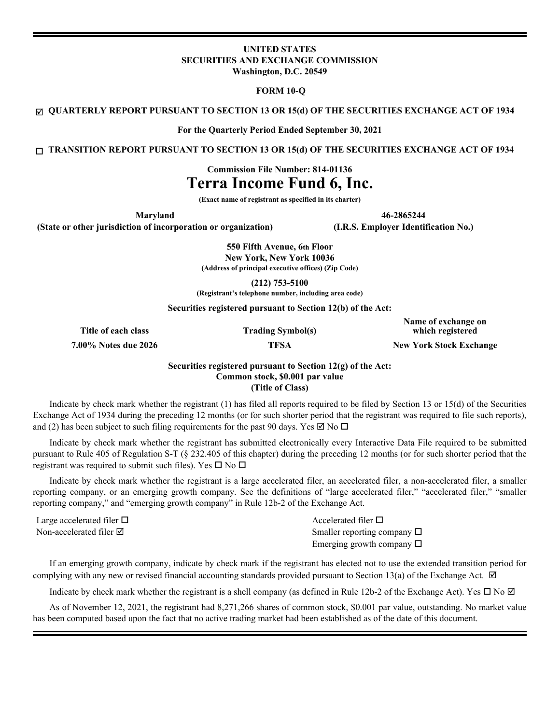# **UNITED STATES SECURITIES AND EXCHANGE COMMISSION Washington, D.C. 20549**

# **FORM 10-Q**

þ **QUARTERLY REPORT PURSUANT TO SECTION 13 OR 15(d) OF THE SECURITIES EXCHANGE ACT OF 1934**

**For the Quarterly Period Ended September 30, 2021**

o **TRANSITION REPORT PURSUANT TO SECTION 13 OR 15(d) OF THE SECURITIES EXCHANGE ACT OF 1934**

**Commission File Number: 814-01136**

# **Terra Income Fund 6, Inc.**

**(Exact name of registrant as specified in its charter)**

**Maryland 46-2865244**

**(State or other jurisdiction of incorporation or organization) (I.R.S. Employer Identification No.)**

**550 Fifth Avenue, 6th Floor New York, New York 10036 (Address of principal executive offices) (Zip Code)**

**(212) 753-5100**

**(Registrant's telephone number, including area code)**

**Securities registered pursuant to Section 12(b) of the Act:** 

**Title of each class Trading Symbol(s)**

**Name of exchange on which registered**

**7.00% Notes due 2026 TFSA New York Stock Exchange**

# **Securities registered pursuant to Section 12(g) of the Act: Common stock, \$0.001 par value (Title of Class)**

 Indicate by check mark whether the registrant (1) has filed all reports required to be filed by Section 13 or 15(d) of the Securities Exchange Act of 1934 during the preceding 12 months (or for such shorter period that the registrant was required to file such reports), and (2) has been subject to such filing requirements for the past 90 days. Yes  $\boxtimes$  No  $\Box$ 

Indicate by check mark whether the registrant has submitted electronically every Interactive Data File required to be submitted pursuant to Rule 405 of Regulation S-T (§ 232.405 of this chapter) during the preceding 12 months (or for such shorter period that the registrant was required to submit such files). Yes  $\square$  No  $\square$ 

Indicate by check mark whether the registrant is a large accelerated filer, an accelerated filer, a non-accelerated filer, a smaller reporting company, or an emerging growth company. See the definitions of "large accelerated filer," "accelerated filer," "smaller reporting company," and "emerging growth company" in Rule 12b-2 of the Exchange Act.

Large accelerated filer  $\Box$  Accelerated filer  $\Box$ 

Non-accelerated filer  $\boxtimes$  Smaller reporting company  $\Box$ Emerging growth company  $\Box$ 

If an emerging growth company, indicate by check mark if the registrant has elected not to use the extended transition period for complying with any new or revised financial accounting standards provided pursuant to Section 13(a) of the Exchange Act.  $\boxtimes$ 

Indicate by check mark whether the registrant is a shell company (as defined in Rule 12b-2 of the Exchange Act). Yes  $\Box$  No  $\Box$ 

As of November 12, 2021, the registrant had 8,271,266 shares of common stock, \$0.001 par value, outstanding. No market value has been computed based upon the fact that no active trading market had been established as of the date of this document.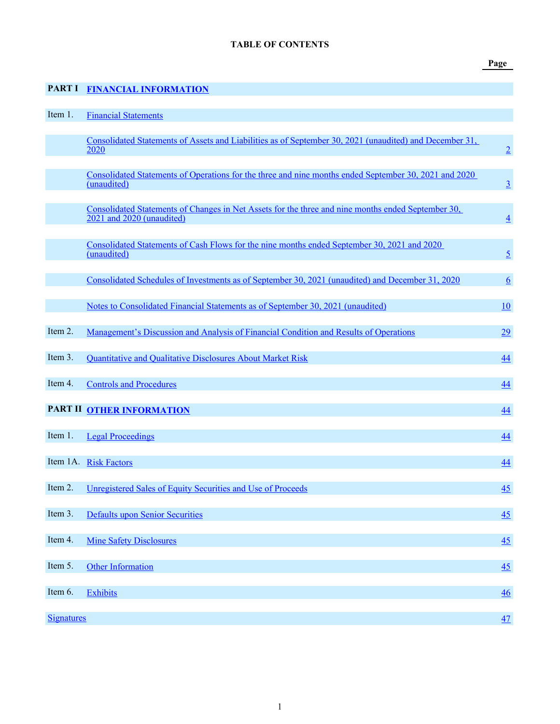**Page**

# <span id="page-1-0"></span>**PART I [FINANCIAL INFORMATION](#page-2-0)**

| Item 1.           | <b>Financial Statements</b>                                                                                                     |                 |
|-------------------|---------------------------------------------------------------------------------------------------------------------------------|-----------------|
|                   | Consolidated Statements of Assets and Liabilities as of September 30, 2021 (unaudited) and December 31,<br>2020                 | $\overline{2}$  |
|                   | Consolidated Statements of Operations for the three and nine months ended September 30, 2021 and 2020<br>(unaudited)            | $\overline{3}$  |
|                   | Consolidated Statements of Changes in Net Assets for the three and nine months ended September 30,<br>2021 and 2020 (unaudited) | $\overline{4}$  |
|                   | Consolidated Statements of Cash Flows for the nine months ended September 30, 2021 and 2020<br>(unaudited)                      | $\overline{5}$  |
|                   | Consolidated Schedules of Investments as of September 30, 2021 (unaudited) and December 31, 2020                                | $6\overline{6}$ |
|                   | Notes to Consolidated Financial Statements as of September 30, 2021 (unaudited)                                                 | 10              |
| Item 2.           | Management's Discussion and Analysis of Financial Condition and Results of Operations                                           | 29              |
| Item 3.           | Quantitative and Qualitative Disclosures About Market Risk                                                                      | 44              |
| Item 4.           | <b>Controls and Procedures</b>                                                                                                  | 44              |
|                   | PART II OTHER INFORMATION                                                                                                       | 44              |
| Item 1.           | <b>Legal Proceedings</b>                                                                                                        | 44              |
|                   | Item 1A. Risk Factors                                                                                                           | $\overline{44}$ |
| Item 2.           | Unregistered Sales of Equity Securities and Use of Proceeds                                                                     | 45              |
| Item 3.           | <b>Defaults upon Senior Securities</b>                                                                                          | 45              |
| Item 4.           | <b>Mine Safety Disclosures</b>                                                                                                  | 45              |
| Item 5.           | <b>Other Information</b>                                                                                                        | 45              |
| Item 6.           | <b>Exhibits</b>                                                                                                                 | 46              |
| <b>Signatures</b> |                                                                                                                                 | 47              |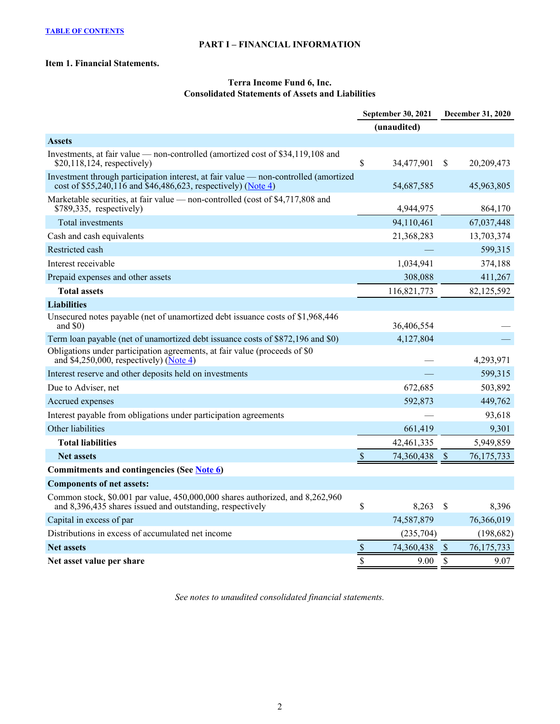# **PART I – FINANCIAL INFORMATION**

# <span id="page-2-0"></span>**Item 1. Financial Statements.**

# **Terra Income Fund 6, Inc. Consolidated Statements of Assets and Liabilities**

|                                                                                                                                                       | September 30, 2021 |               | <b>December 31, 2020</b> |
|-------------------------------------------------------------------------------------------------------------------------------------------------------|--------------------|---------------|--------------------------|
|                                                                                                                                                       | (unaudited)        |               |                          |
| <b>Assets</b>                                                                                                                                         |                    |               |                          |
| Investments, at fair value — non-controlled (amortized cost of \$34,119,108 and<br>$$20,118,124$ , respectively)                                      | \$<br>34,477,901   | <sup>\$</sup> | 20,209,473               |
| Investment through participation interest, at fair value — non-controlled (amortized<br>cost of \$55,240,116 and \$46,486,623, respectively) (Note 4) | 54,687,585         |               | 45,963,805               |
| Marketable securities, at fair value — non-controlled (cost of \$4,717,808 and<br>$$789,335$ , respectively)                                          | 4,944,975          |               | 864,170                  |
| Total investments                                                                                                                                     | 94,110,461         |               | 67,037,448               |
| Cash and cash equivalents                                                                                                                             | 21,368,283         |               | 13,703,374               |
| Restricted cash                                                                                                                                       |                    |               | 599,315                  |
| Interest receivable                                                                                                                                   | 1,034,941          |               | 374,188                  |
| Prepaid expenses and other assets                                                                                                                     | 308,088            |               | 411,267                  |
| <b>Total assets</b>                                                                                                                                   | 116,821,773        |               | 82,125,592               |
| <b>Liabilities</b>                                                                                                                                    |                    |               |                          |
| Unsecured notes payable (net of unamortized debt issuance costs of \$1,968,446<br>and $$0)$                                                           | 36,406,554         |               |                          |
| Term loan payable (net of unamortized debt issuance costs of \$872,196 and \$0)                                                                       | 4,127,804          |               |                          |
| Obligations under participation agreements, at fair value (proceeds of \$0<br>and \$4,250,000, respectively) ( $\overline{\text{Note 4}}$ )           |                    |               | 4,293,971                |
| Interest reserve and other deposits held on investments                                                                                               |                    |               | 599,315                  |
| Due to Adviser, net                                                                                                                                   | 672,685            |               | 503,892                  |
| Accrued expenses                                                                                                                                      | 592,873            |               | 449,762                  |
| Interest payable from obligations under participation agreements                                                                                      |                    |               | 93,618                   |
| Other liabilities                                                                                                                                     | 661,419            |               | 9,301                    |
| <b>Total liabilities</b>                                                                                                                              | 42,461,335         |               | 5,949,859                |
| <b>Net assets</b>                                                                                                                                     | \$<br>74,360,438   | $\mathcal{S}$ | 76, 175, 733             |
| Commitments and contingencies (See Note 6)                                                                                                            |                    |               |                          |
| <b>Components of net assets:</b>                                                                                                                      |                    |               |                          |
| Common stock, \$0.001 par value, 450,000,000 shares authorized, and 8,262,960<br>and 8,396,435 shares issued and outstanding, respectively            | \$<br>8,263        | <sup>\$</sup> | 8,396                    |
| Capital in excess of par                                                                                                                              | 74,587,879         |               | 76,366,019               |
| Distributions in excess of accumulated net income                                                                                                     | (235,704)          |               | (198, 682)               |
| <b>Net assets</b>                                                                                                                                     | \$<br>74,360,438   | $\sqrt{3}$    | 76,175,733               |
| Net asset value per share                                                                                                                             | \$<br>9.00         | $\mathcal{S}$ | 9.07                     |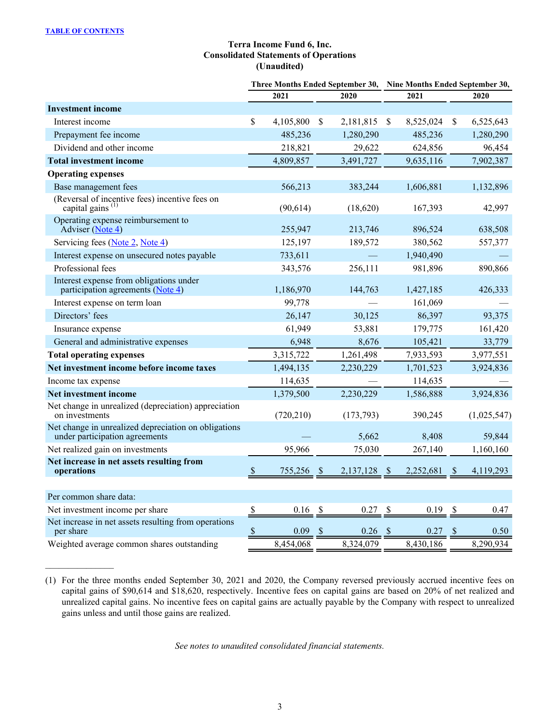# **Terra Income Fund 6, Inc. Consolidated Statements of Operations (Unaudited)**

<span id="page-3-0"></span>

|                                                                                        |               |            |               | Three Months Ended September 30, | Nine Months Ended September 30,   |           |                           |             |  |  |
|----------------------------------------------------------------------------------------|---------------|------------|---------------|----------------------------------|-----------------------------------|-----------|---------------------------|-------------|--|--|
|                                                                                        |               | 2021       |               | 2020                             |                                   | 2021      |                           | 2020        |  |  |
| <b>Investment income</b>                                                               |               |            |               |                                  |                                   |           |                           |             |  |  |
| Interest income                                                                        | \$            | 4,105,800  | $\mathcal{S}$ | 2,181,815                        | <sup>S</sup>                      | 8,525,024 | \$                        | 6,525,643   |  |  |
| Prepayment fee income                                                                  |               | 485,236    |               | 1,280,290                        |                                   | 485,236   |                           | 1,280,290   |  |  |
| Dividend and other income                                                              |               | 218,821    |               | 29,622                           |                                   | 624,856   |                           | 96,454      |  |  |
| <b>Total investment income</b>                                                         |               | 4,809,857  |               | 3,491,727                        |                                   | 9,635,116 |                           | 7,902,387   |  |  |
| <b>Operating expenses</b>                                                              |               |            |               |                                  |                                   |           |                           |             |  |  |
| Base management fees                                                                   |               | 566,213    |               | 383,244                          |                                   | 1,606,881 |                           | 1,132,896   |  |  |
| (Reversal of incentive fees) incentive fees on capital gains $(1)$                     |               | (90, 614)  |               | (18,620)                         |                                   | 167,393   |                           | 42,997      |  |  |
| Operating expense reimbursement to<br>Adviser (Note 4)                                 |               | 255,947    |               | 213,746                          |                                   | 896,524   |                           | 638,508     |  |  |
| Servicing fees (Note 2, Note 4)                                                        |               | 125,197    |               | 189,572                          |                                   | 380,562   |                           | 557,377     |  |  |
| Interest expense on unsecured notes payable                                            |               | 733,611    |               |                                  |                                   | 1,940,490 |                           |             |  |  |
| Professional fees                                                                      |               | 343,576    |               | 256,111                          |                                   | 981,896   |                           | 890,866     |  |  |
| Interest expense from obligations under<br>participation agreements (Note 4)           |               | 1,186,970  |               | 144,763                          |                                   | 1,427,185 |                           | 426,333     |  |  |
| Interest expense on term loan                                                          |               | 99,778     |               |                                  |                                   | 161,069   |                           |             |  |  |
| Directors' fees                                                                        |               | 26,147     |               | 30,125                           |                                   | 86,397    |                           | 93,375      |  |  |
| Insurance expense                                                                      |               | 61,949     |               | 53,881                           |                                   | 179,775   |                           | 161,420     |  |  |
| General and administrative expenses                                                    |               | 6,948      |               | 8,676                            |                                   | 105,421   |                           | 33,779      |  |  |
| <b>Total operating expenses</b>                                                        |               | 3,315,722  |               | 1,261,498                        |                                   | 7,933,593 |                           | 3,977,551   |  |  |
| Net investment income before income taxes                                              |               | 1,494,135  |               | 2,230,229                        |                                   | 1,701,523 |                           | 3,924,836   |  |  |
| Income tax expense                                                                     |               | 114,635    |               |                                  |                                   | 114,635   |                           |             |  |  |
| Net investment income                                                                  |               | 1,379,500  |               | 2,230,229                        |                                   | 1,586,888 |                           | 3,924,836   |  |  |
| Net change in unrealized (depreciation) appreciation<br>on investments                 |               | (720, 210) |               | (173,793)                        |                                   | 390,245   |                           | (1,025,547) |  |  |
| Net change in unrealized depreciation on obligations<br>under participation agreements |               |            |               | 5,662                            |                                   | 8,408     |                           | 59,844      |  |  |
| Net realized gain on investments                                                       |               | 95,966     |               | 75,030                           |                                   | 267,140   |                           | 1,160,160   |  |  |
| Net increase in net assets resulting from<br>operations                                | <sup>\$</sup> | 755,256 \$ |               | 2,137,128                        | - \$                              | 2,252,681 | <sup>S</sup>              | 4,119,293   |  |  |
|                                                                                        |               |            |               |                                  |                                   |           |                           |             |  |  |
| Per common share data:                                                                 |               |            |               |                                  |                                   |           |                           |             |  |  |
| Net investment income per share                                                        | \$            | 0.16       | -S            | 0.27                             | $\boldsymbol{\mathsf{S}}$         | 0.19      | S                         | 0.47        |  |  |
| Net increase in net assets resulting from operations<br>per share                      | $\mathcal{S}$ | 0.09       | $\mathcal{S}$ | 0.26                             | $\frac{\mathcal{S}}{\mathcal{S}}$ | 0.27      | $\boldsymbol{\mathsf{S}}$ | 0.50        |  |  |
| Weighted average common shares outstanding                                             |               | 8,454,068  |               | 8,324,079                        |                                   | 8,430,186 |                           | 8,290,934   |  |  |

<sup>(1)</sup> For the three months ended September 30, 2021 and 2020, the Company reversed previously accrued incentive fees on capital gains of \$90,614 and \$18,620, respectively. Incentive fees on capital gains are based on 20% of net realized and unrealized capital gains. No incentive fees on capital gains are actually payable by the Company with respect to unrealized gains unless and until those gains are realized.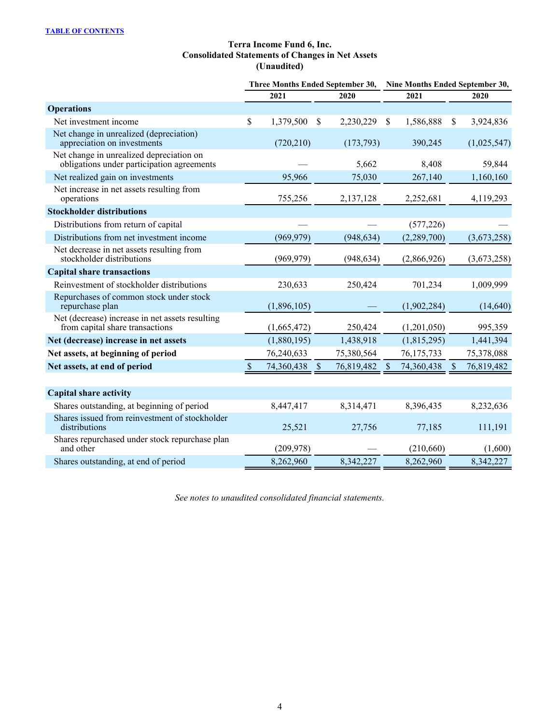# **Terra Income Fund 6, Inc. Consolidated Statements of Changes in Net Assets (Unaudited)**

<span id="page-4-0"></span>

|                                                                                        |               |             |               | Three Months Ended September 30, | Nine Months Ended September 30, |             |              |             |  |
|----------------------------------------------------------------------------------------|---------------|-------------|---------------|----------------------------------|---------------------------------|-------------|--------------|-------------|--|
|                                                                                        |               | 2021        |               | 2020                             |                                 | 2021        |              | 2020        |  |
| <b>Operations</b>                                                                      |               |             |               |                                  |                                 |             |              |             |  |
| Net investment income                                                                  | $\mathsf{\$}$ | 1,379,500   | \$            | 2,230,229                        | \$                              | 1,586,888   | \$           | 3,924,836   |  |
| Net change in unrealized (depreciation)<br>appreciation on investments                 |               | (720, 210)  |               | (173, 793)                       |                                 | 390,245     |              | (1,025,547) |  |
| Net change in unrealized depreciation on<br>obligations under participation agreements |               |             |               | 5,662                            |                                 | 8,408       |              | 59,844      |  |
| Net realized gain on investments                                                       |               | 95,966      |               | 75,030                           |                                 | 267,140     |              | 1,160,160   |  |
| Net increase in net assets resulting from<br>operations                                |               | 755,256     |               | 2,137,128                        |                                 | 2,252,681   |              | 4,119,293   |  |
| <b>Stockholder distributions</b>                                                       |               |             |               |                                  |                                 |             |              |             |  |
| Distributions from return of capital                                                   |               |             |               |                                  |                                 | (577, 226)  |              |             |  |
| Distributions from net investment income                                               |               | (969, 979)  |               | (948, 634)                       |                                 | (2,289,700) |              | (3,673,258) |  |
| Net decrease in net assets resulting from<br>stockholder distributions                 |               | (969, 979)  |               | (948, 634)                       |                                 | (2,866,926) |              | (3,673,258) |  |
| <b>Capital share transactions</b>                                                      |               |             |               |                                  |                                 |             |              |             |  |
| Reinvestment of stockholder distributions                                              |               | 230,633     |               | 250,424                          |                                 | 701,234     |              | 1,009,999   |  |
| Repurchases of common stock under stock<br>repurchase plan                             |               | (1,896,105) |               |                                  |                                 | (1,902,284) |              | (14, 640)   |  |
| Net (decrease) increase in net assets resulting<br>from capital share transactions     |               | (1,665,472) |               | 250,424                          |                                 | (1,201,050) |              | 995,359     |  |
| Net (decrease) increase in net assets                                                  |               | (1,880,195) |               | 1,438,918                        |                                 | (1,815,295) |              | 1,441,394   |  |
| Net assets, at beginning of period                                                     |               | 76,240,633  |               | 75,380,564                       |                                 | 76,175,733  |              | 75,378,088  |  |
| Net assets, at end of period                                                           | $\mathcal{S}$ | 74,360,438  | $\mathcal{S}$ | 76,819,482                       | <sup>S</sup>                    | 74,360,438  | <sup>S</sup> | 76,819,482  |  |
|                                                                                        |               |             |               |                                  |                                 |             |              |             |  |
| <b>Capital share activity</b>                                                          |               |             |               |                                  |                                 |             |              |             |  |
| Shares outstanding, at beginning of period                                             |               | 8,447,417   |               | 8,314,471                        |                                 | 8,396,435   |              | 8,232,636   |  |
| Shares issued from reinvestment of stockholder<br>distributions                        |               | 25,521      |               | 27,756                           |                                 | 77,185      |              | 111,191     |  |
| Shares repurchased under stock repurchase plan<br>and other                            |               | (209, 978)  |               |                                  |                                 | (210,660)   |              | (1,600)     |  |
| Shares outstanding, at end of period                                                   |               | 8,262,960   |               | 8,342,227                        |                                 | 8,262,960   |              | 8,342,227   |  |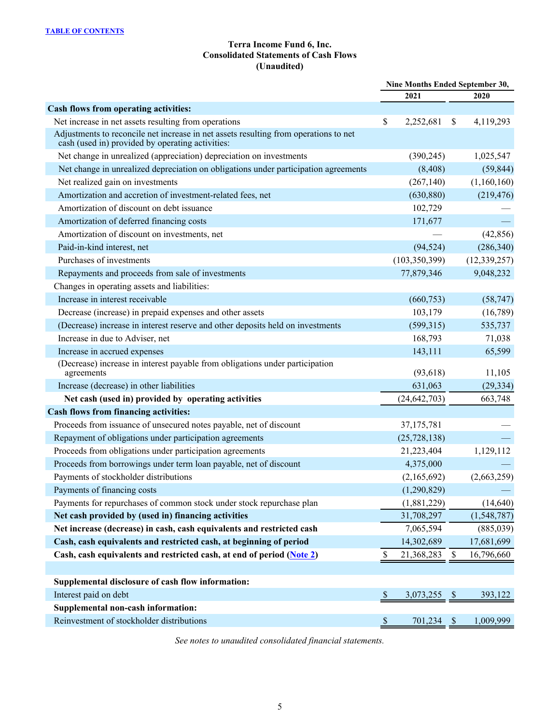# **Terra Income Fund 6, Inc. Consolidated Statements of Cash Flows (Unaudited)**

<span id="page-5-0"></span>

|                                                                                                                                          |                            | Nine Months Ended September 30, |               |                |
|------------------------------------------------------------------------------------------------------------------------------------------|----------------------------|---------------------------------|---------------|----------------|
|                                                                                                                                          |                            | 2021                            |               | 2020           |
| Cash flows from operating activities:                                                                                                    |                            |                                 |               |                |
| Net increase in net assets resulting from operations                                                                                     | \$                         | 2,252,681                       | \$            | 4,119,293      |
| Adjustments to reconcile net increase in net assets resulting from operations to net<br>cash (used in) provided by operating activities: |                            |                                 |               |                |
| Net change in unrealized (appreciation) depreciation on investments                                                                      |                            | (390, 245)                      |               | 1,025,547      |
| Net change in unrealized depreciation on obligations under participation agreements                                                      |                            | (8, 408)                        |               | (59, 844)      |
| Net realized gain on investments                                                                                                         |                            | (267, 140)                      |               | (1,160,160)    |
| Amortization and accretion of investment-related fees, net                                                                               |                            | (630, 880)                      |               | (219, 476)     |
| Amortization of discount on debt issuance                                                                                                |                            | 102,729                         |               |                |
| Amortization of deferred financing costs                                                                                                 |                            | 171,677                         |               |                |
| Amortization of discount on investments, net                                                                                             |                            |                                 |               | (42, 856)      |
| Paid-in-kind interest, net                                                                                                               |                            | (94, 524)                       |               | (286, 340)     |
| Purchases of investments                                                                                                                 |                            | (103, 350, 399)                 |               | (12, 339, 257) |
| Repayments and proceeds from sale of investments                                                                                         |                            | 77,879,346                      |               | 9,048,232      |
| Changes in operating assets and liabilities:                                                                                             |                            |                                 |               |                |
| Increase in interest receivable                                                                                                          |                            | (660, 753)                      |               | (58, 747)      |
| Decrease (increase) in prepaid expenses and other assets                                                                                 |                            | 103,179                         |               | (16,789)       |
| (Decrease) increase in interest reserve and other deposits held on investments                                                           |                            | (599,315)                       |               | 535,737        |
| Increase in due to Adviser, net                                                                                                          |                            | 168,793                         |               | 71,038         |
| Increase in accrued expenses                                                                                                             |                            | 143,111                         |               | 65,599         |
| (Decrease) increase in interest payable from obligations under participation<br>agreements                                               |                            | (93, 618)                       |               | 11,105         |
| Increase (decrease) in other liabilities                                                                                                 |                            | 631,063                         |               | (29, 334)      |
| Net cash (used in) provided by operating activities                                                                                      |                            | (24, 642, 703)                  |               | 663,748        |
| Cash flows from financing activities:                                                                                                    |                            |                                 |               |                |
| Proceeds from issuance of unsecured notes payable, net of discount                                                                       |                            | 37, 175, 781                    |               |                |
| Repayment of obligations under participation agreements                                                                                  |                            | (25, 728, 138)                  |               |                |
| Proceeds from obligations under participation agreements                                                                                 |                            | 21,223,404                      |               | 1,129,112      |
| Proceeds from borrowings under term loan payable, net of discount                                                                        |                            | 4,375,000                       |               |                |
| Payments of stockholder distributions                                                                                                    |                            | (2,165,692)                     |               | (2,663,259)    |
| Payments of financing costs                                                                                                              |                            | (1,290,829)                     |               |                |
| Payments for repurchases of common stock under stock repurchase plan                                                                     |                            | (1,881,229)                     |               | (14, 640)      |
| Net cash provided by (used in) financing activities                                                                                      |                            | 31,708,297                      |               | (1,548,787)    |
| Net increase (decrease) in cash, cash equivalents and restricted cash                                                                    |                            | 7,065,594                       |               | (885,039)      |
| Cash, cash equivalents and restricted cash, at beginning of period                                                                       |                            | 14,302,689                      |               | 17,681,699     |
| Cash, cash equivalents and restricted cash, at end of period (Note 2)                                                                    | \$                         | 21,368,283                      | S             | 16,796,660     |
|                                                                                                                                          |                            |                                 |               |                |
| Supplemental disclosure of cash flow information:                                                                                        |                            |                                 |               |                |
| Interest paid on debt                                                                                                                    | $\boldsymbol{\mathcal{S}}$ | 3,073,255                       | $\mathcal{P}$ | 393,122        |
| Supplemental non-cash information:                                                                                                       |                            |                                 |               |                |
| Reinvestment of stockholder distributions                                                                                                | \$                         | 701,234 \$                      |               | 1,009,999      |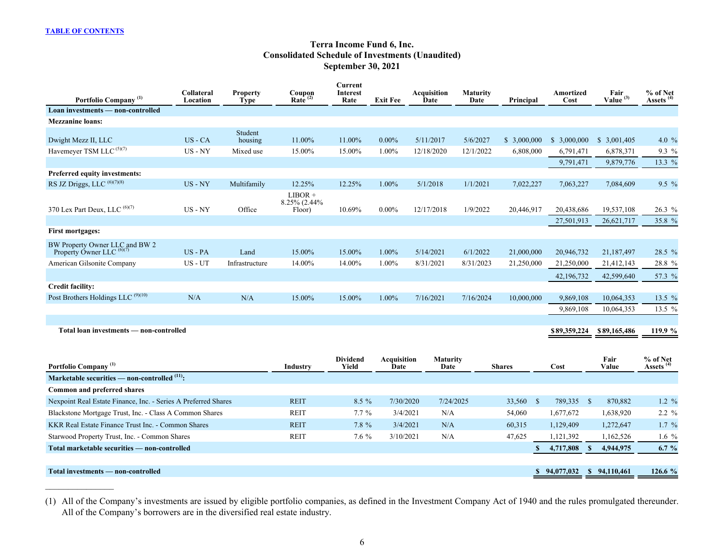$\mathcal{L}_\text{max}$  , where  $\mathcal{L}_\text{max}$ 

# **Terra Income Fund 6, Inc. Consolidated Schedule of Investments (Unaudited) September 30, 2021**

<span id="page-6-0"></span>

| Portfolio Company <sup>(1)</sup>                                       | Collateral<br>Location | <b>Property</b><br>Type | Coupon<br>Rate $(2)$                 | Current<br>Interest<br>Rate | <b>Exit Fee</b> | Acquisition<br>Date | <b>Maturity</b><br>Date | Principal   | Amortized<br>Cost | Fair<br>Value <sup>(3)</sup> | % of Net<br>Assets <sup>(4)</sup> |
|------------------------------------------------------------------------|------------------------|-------------------------|--------------------------------------|-----------------------------|-----------------|---------------------|-------------------------|-------------|-------------------|------------------------------|-----------------------------------|
| Loan investments — non-controlled                                      |                        |                         |                                      |                             |                 |                     |                         |             |                   |                              |                                   |
| <b>Mezzanine loans:</b>                                                |                        |                         |                                      |                             |                 |                     |                         |             |                   |                              |                                   |
| Dwight Mezz II, LLC                                                    | $US - CA$              | Student<br>housing      | 11.00%                               | 11.00%                      | $0.00\%$        | 5/11/2017           | 5/6/2027                | \$3,000,000 | \$3,000,000       | $\mathbb{S}$<br>3,001,405    | 4.0 $%$                           |
| Havemeyer TSM LLC <sup>(5)(7)</sup>                                    | $US - NY$              | Mixed use               | 15.00%                               | 15.00%                      | 1.00%           | 12/18/2020          | 12/1/2022               | 6,808,000   | 6,791,471         | 6,878,371                    | 9.3 %                             |
|                                                                        |                        |                         |                                      |                             |                 |                     |                         |             | 9,791,471         | 9,879,776                    | 13.3 %                            |
| Preferred equity investments:                                          |                        |                         |                                      |                             |                 |                     |                         |             |                   |                              |                                   |
| RS JZ Driggs, LLC (6)(7)(8)                                            | $US - NY$              | Multifamily             | 12.25%                               | 12.25%                      | $1.00\%$        | 5/1/2018            | 1/1/2021                | 7,022,227   | 7,063,227         | 7,084,609                    | $9.5 \%$                          |
| 370 Lex Part Deux, LLC (6)(7)                                          | $US - NY$              | Office                  | $LIBOR +$<br>8.25% (2.44%)<br>Floor) | 10.69%                      | $0.00\%$        | 12/17/2018          | 1/9/2022                | 20,446,917  | 20,438,686        | 19,537,108                   | 26.3 %                            |
|                                                                        |                        |                         |                                      |                             |                 |                     |                         |             | 27,501,913        | 26,621,717                   | 35.8 %                            |
| <b>First mortgages:</b>                                                |                        |                         |                                      |                             |                 |                     |                         |             |                   |                              |                                   |
| BW Property Owner LLC and BW 2<br>Property Owner LLC <sup>(6)(7)</sup> | $US - PA$              | Land                    | 15.00%                               | 15.00%                      | $1.00\%$        | 5/14/2021           | 6/1/2022                | 21,000,000  | 20,946,732        | 21,187,497                   | 28.5 %                            |
| American Gilsonite Company                                             | US - UT                | Infrastructure          | 14.00%                               | 14.00%                      | 1.00%           | 8/31/2021           | 8/31/2023               | 21,250,000  | 21,250,000        | 21,412,143                   | 28.8 %                            |
|                                                                        |                        |                         |                                      |                             |                 |                     |                         |             | 42,196,732        | 42,599,640                   | 57.3 %                            |
| <b>Credit facility:</b>                                                |                        |                         |                                      |                             |                 |                     |                         |             |                   |                              |                                   |
| Post Brothers Holdings LLC <sup>(9)(10)</sup>                          | N/A                    | N/A                     | 15.00%                               | 15.00%                      | $1.00\%$        | 7/16/2021           | 7/16/2024               | 10,000,000  | 9,869,108         | 10,064,353                   | 13.5 %                            |
|                                                                        |                        |                         |                                      |                             |                 |                     |                         |             | 9,869,108         | 10,064,353                   | 13.5 %                            |
|                                                                        |                        |                         |                                      |                             |                 |                     |                         |             |                   |                              |                                   |
| Total loan investments — non-controlled                                |                        |                         |                                      |                             |                 |                     |                         |             | \$89,359,224      | \$89,165,486                 | 119.9 %                           |

| Portfolio Company <sup>(1)</sup>                               | Industry    | <b>Dividend</b><br>Yield | <b>Acquisition</b><br>Date | <b>Maturity</b><br>Date | <b>Shares</b> | Cost           |               | Fair<br>Value | % of Net<br>Assets <sup>(4)</sup> |
|----------------------------------------------------------------|-------------|--------------------------|----------------------------|-------------------------|---------------|----------------|---------------|---------------|-----------------------------------|
| Marketable securities — non-controlled $(11)$ :                |             |                          |                            |                         |               |                |               |               |                                   |
| Common and preferred shares                                    |             |                          |                            |                         |               |                |               |               |                                   |
| Nexpoint Real Estate Finance, Inc. - Series A Preferred Shares | <b>REIT</b> | $8.5\%$                  | 7/30/2020                  | 7/24/2025               | 33,560        | 789,335        | <sup>\$</sup> | 870,882       | 1.2 $%$                           |
| Blackstone Mortgage Trust, Inc. - Class A Common Shares        | <b>REIT</b> | $7.7\%$                  | 3/4/2021                   | N/A                     | 54,060        | 1,677,672      |               | 1,638,920     | $2.2 \%$                          |
| KKR Real Estate Finance Trust Inc. - Common Shares             | <b>REIT</b> | $7.8 \%$                 | 3/4/2021                   | N/A                     | 60,315        | 1,129,409      |               | 1,272,647     | $1.7\%$                           |
| Starwood Property Trust, Inc. - Common Shares                  | <b>REIT</b> | $7.6\%$                  | 3/10/2021                  | N/A                     | 47,625        | 1,121,392      |               | 1,162,526     | 1.6 $%$                           |
| Total marketable securities — non-controlled                   |             |                          |                            |                         |               | 4,717,808      |               | 4,944,975     | 6.7 $%$                           |
|                                                                |             |                          |                            |                         |               |                |               |               |                                   |
| Total investments — non-controlled                             |             |                          |                            |                         |               | \$94.077.032\$ |               | \$94,110,461  | 126.6 %                           |

(1) All of the Company's investments are issued by eligible portfolio companies, as defined in the Investment Company Act of 1940 and the rules promulgated thereunder. All of the Company's borrowers are in the diversified real estate industry.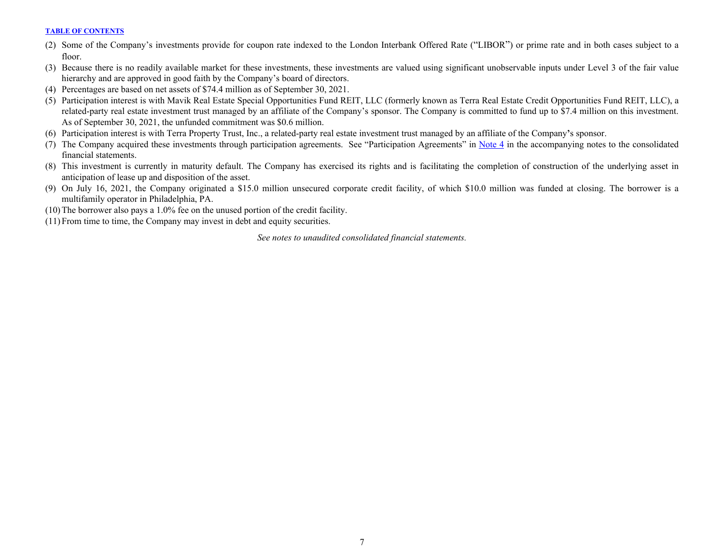- (2) Some of the Company's investments provide for coupon rate indexed to the London Interbank Offered Rate ("LIBOR") or prime rate and in both cases subject to a floor.
- (3) Because there is no readily available market for these investments, these investments are valued using significant unobservable inputs under Level 3 of the fair value hierarchy and are approved in good faith by the Company's board of directors.
- (4) Percentages are based on net assets of \$74.4 million as of September 30, 2021.
- (5) Participation interest is with Mavik Real Estate Special Opportunities Fund REIT, LLC (formerly known as Terra Real Estate Credit Opportunities Fund REIT, LLC), a related-party real estate investment trust managed by an affiliate of the Company's sponsor. The Company is committed to fund up to \$7.4 million on this investment. As of September 30, 2021, the unfunded commitment was \$0.6 million.
- (6) Participation interest is with Terra Property Trust, Inc., a related-party real estate investment trust managed by an affiliate of the Company**'**s sponsor.
- (7) The Company acquired these investments through participation agreements. See "Participation Agreements" in [Note 4](#page-18-0) in the accompanying notes to the consolidated financial statements.
- (8) This investment is currently in maturity default. The Company has exercised its rights and is facilitating the completion of construction of the underlying asset in anticipation of lease up and disposition of the asset.
- (9) On July 16, 2021, the Company originated a \$15.0 million unsecured corporate credit facility, of which \$10.0 million was funded at closing. The borrower is a multifamily operator in Philadelphia, PA.
- (10)The borrower also pays a 1.0% fee on the unused portion of the credit facility.
- (11)From time to time, the Company may invest in debt and equity securities.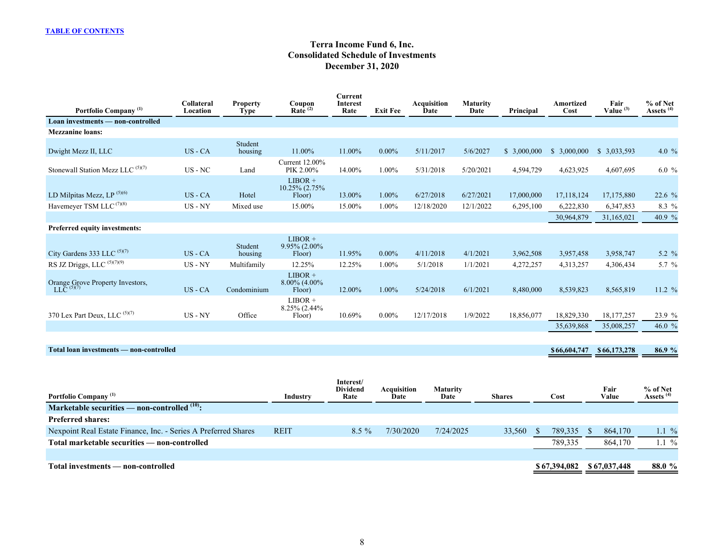# **Terra Income Fund 6, Inc. Consolidated Schedule of Investments December 31, 2020**

| Portfolio Company <sup>(1)</sup>                 | Collateral<br>Location    | <b>Property</b><br><b>Type</b> | Coupon<br>Rate $^{(2)}$               | <b>Current</b><br><b>Interest</b><br>Rate | <b>Exit Fee</b> | <b>Acquisition</b><br>Date | <b>Maturity</b><br>Date | Principal   | Amortized<br>Cost | Fair<br>Value $(3)$ | % of Net<br>Assets <sup>(4)</sup> |
|--------------------------------------------------|---------------------------|--------------------------------|---------------------------------------|-------------------------------------------|-----------------|----------------------------|-------------------------|-------------|-------------------|---------------------|-----------------------------------|
| Loan investments - non-controlled                |                           |                                |                                       |                                           |                 |                            |                         |             |                   |                     |                                   |
| <b>Mezzanine loans:</b>                          |                           |                                |                                       |                                           |                 |                            |                         |             |                   |                     |                                   |
| Dwight Mezz II, LLC                              | US - CA                   | Student<br>housing             | 11.00%                                | 11.00%                                    | $0.00\%$        | 5/11/2017                  | 5/6/2027                | \$3,000,000 | \$3,000,000       | \$3,033,593         | 4.0 $%$                           |
| Stonewall Station Mezz LLC (5)(7)                | $\text{US}$ - $\text{NC}$ | Land                           | Current 12.00%<br>PIK 2.00%           | 14.00%                                    | 1.00%           | 5/31/2018                  | 5/20/2021               | 4,594,729   | 4,623,925         | 4,607,695           | $6.0 \%$                          |
| LD Milpitas Mezz, LP <sup>(5)(6)</sup>           | $US - CA$                 | Hotel                          | $LIBOR +$<br>10.25% (2.75%)<br>Floor) | 13.00%                                    | 1.00%           | 6/27/2018                  | 6/27/2021               | 17,000,000  | 17,118,124        | 17,175,880          | 22.6%                             |
| Havemeyer TSM LLC <sup>(7)(8)</sup>              | $US - NY$                 | Mixed use                      | 15.00%                                | 15.00%                                    | 1.00%           | 12/18/2020                 | 12/1/2022               | 6,295,100   | 6,222,830         | 6,347,853           | 8.3 %                             |
|                                                  |                           |                                |                                       |                                           |                 |                            |                         |             | 30,964,879        | 31,165,021          | 40.9 %                            |
| Preferred equity investments:                    |                           |                                |                                       |                                           |                 |                            |                         |             |                   |                     |                                   |
| City Gardens 333 LLC (5)(7)                      | US - CA                   | Student<br>housing             | $LIBOR +$<br>9.95% (2.00%)<br>Floor)  | 11.95%                                    | $0.00\%$        | 4/11/2018                  | 4/1/2021                | 3,962,508   | 3,957,458         | 3,958,747           | 5.2 %                             |
| RS JZ Driggs, LLC (5)(7)(9)                      | US - NY                   | Multifamily                    | 12.25%                                | 12.25%                                    | 1.00%           | 5/1/2018                   | 1/1/2021                | 4,272,257   | 4,313,257         | 4,306,434           | 5.7 %                             |
| Orange Grove Property Investors, LLC $^{(5)(7)}$ | US - CA                   | Condominium                    | $LIBOR +$<br>8.00% (4.00%)<br>Floor)  | 12.00%                                    | 1.00%           | 5/24/2018                  | 6/1/2021                | 8,480,000   | 8,539,823         | 8,565,819           | 11.2 %                            |
| 370 Lex Part Deux, LLC (5)(7)                    | US - NY                   | Office                         | $LIBOR +$<br>8.25% (2.44%)<br>Floor)  | 10.69%                                    | $0.00\%$        | 12/17/2018                 | 1/9/2022                | 18,856,077  | 18,829,330        | 18, 177, 257        | 23.9 %                            |
|                                                  |                           |                                |                                       |                                           |                 |                            |                         |             | 35,639,868        | 35,008,257          | 46.0 %                            |
|                                                  |                           |                                |                                       |                                           |                 |                            |                         |             |                   |                     |                                   |
| Total loan investments - non-controlled          |                           |                                |                                       |                                           |                 |                            |                         |             | \$66,604,747      | \$66,173,278        | 86.9 %                            |
|                                                  |                           |                                |                                       |                                           |                 |                            |                         |             |                   |                     |                                   |
|                                                  |                           |                                |                                       | Intoract/                                 |                 |                            |                         |             |                   |                     |                                   |

| Portfolio Company <sup>(1)</sup>                               | Industry    | mterest/<br><b>Dividend</b><br>Rate | Acquisition<br>Date | <b>Maturity</b><br>Date | <b>Shares</b> | Cost         | Fair<br>Value | % of Net<br>Assets <sup>(4)</sup> |
|----------------------------------------------------------------|-------------|-------------------------------------|---------------------|-------------------------|---------------|--------------|---------------|-----------------------------------|
| Marketable securities — non-controlled $(10)$ :                |             |                                     |                     |                         |               |              |               |                                   |
| <b>Preferred shares:</b>                                       |             |                                     |                     |                         |               |              |               |                                   |
| Nexpoint Real Estate Finance, Inc. - Series A Preferred Shares | <b>REIT</b> | $8.5\%$                             | 7/30/2020           | 7/24/2025               | 33.560        | 789.335      | 864,170       | 1.1 $\%$                          |
| Total marketable securities — non-controlled                   |             |                                     |                     |                         |               | 789,335      | 864.170       | $.1\%$                            |
|                                                                |             |                                     |                     |                         |               |              |               |                                   |
| Total investments — non-controlled                             |             |                                     |                     |                         |               | \$67,394,082 | \$67,037,448  | 88.0 %                            |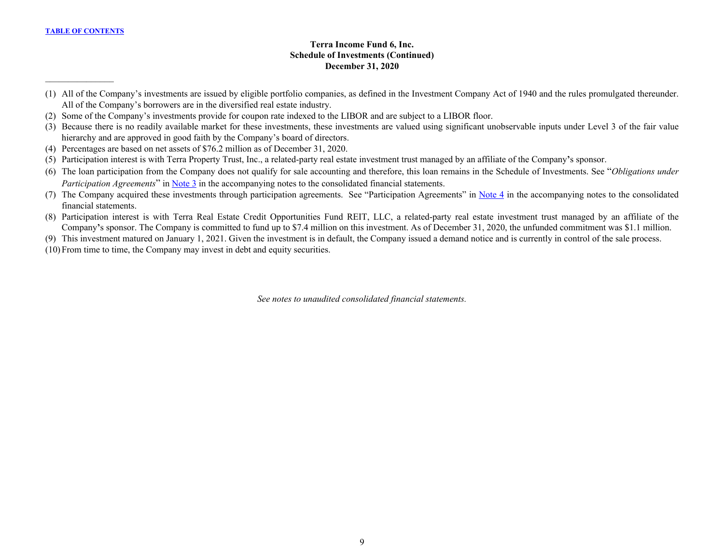$\mathcal{L}_\text{max}$  , where  $\mathcal{L}_\text{max}$ 

# **Terra Income Fund 6, Inc. Schedule of Investments (Continued) December 31, 2020**

- (1) All of the Company's investments are issued by eligible portfolio companies, as defined in the Investment Company Act of 1940 and the rules promulgated thereunder. All of the Company's borrowers are in the diversified real estate industry.
- (2) Some of the Company's investments provide for coupon rate indexed to the LIBOR and are subject to a LIBOR floor.
- (3) Because there is no readily available market for these investments, these investments are valued using significant unobservable inputs under Level 3 of the fair value hierarchy and are approved in good faith by the Company's board of directors.
- (4) Percentages are based on net assets of \$76.2 million as of December 31, 2020.
- (5) Participation interest is with Terra Property Trust, Inc., a related-party real estate investment trust managed by an affiliate of the Company**'**s sponsor.
- (6) The loan participation from the Company does not qualify for sale accounting and therefore, this loan remains in the Schedule of Investments. See "*Obligations under Participation Agreements*" in [Note 3](#page-15-0) in the accompanying notes to the consolidated financial statements.
- (7) The Company acquired these investments through participation agreements. See "Participation Agreements" in [Note 4](#page-18-0) in the accompanying notes to the consolidated financial statements.
- (8) Participation interest is with Terra Real Estate Credit Opportunities Fund REIT, LLC, a related-party real estate investment trust managed by an affiliate of the Company**'**s sponsor. The Company is committed to fund up to \$7.4 million on this investment. As of December 31, 2020, the unfunded commitment was \$1.1 million.
- (9) This investment matured on January 1, 2021. Given the investment is in default, the Company issued a demand notice and is currently in control of the sale process.
- (10)From time to time, the Company may invest in debt and equity securities.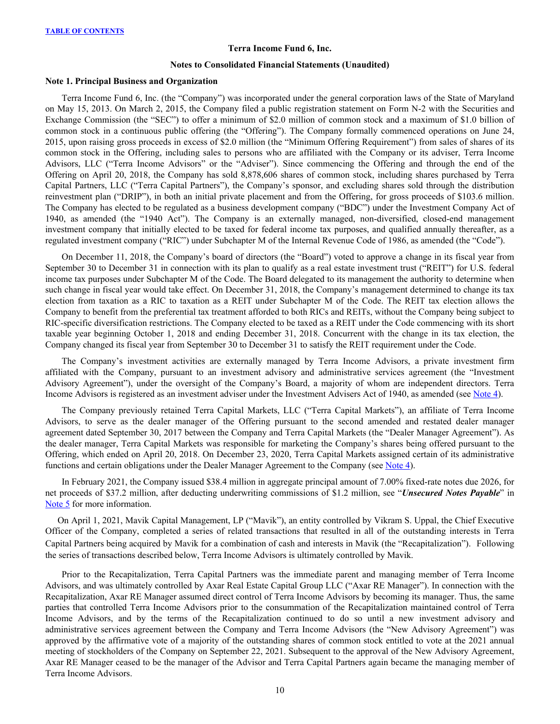# **Terra Income Fund 6, Inc.**

#### **Notes to Consolidated Financial Statements (Unaudited)**

#### <span id="page-10-0"></span>**Note 1. Principal Business and Organization**

Terra Income Fund 6, Inc. (the "Company") was incorporated under the general corporation laws of the State of Maryland on May 15, 2013. On March 2, 2015, the Company filed a public registration statement on Form N-2 with the Securities and Exchange Commission (the "SEC") to offer a minimum of \$2.0 million of common stock and a maximum of \$1.0 billion of common stock in a continuous public offering (the "Offering"). The Company formally commenced operations on June 24, 2015, upon raising gross proceeds in excess of \$2.0 million (the "Minimum Offering Requirement") from sales of shares of its common stock in the Offering, including sales to persons who are affiliated with the Company or its adviser, Terra Income Advisors, LLC ("Terra Income Advisors" or the "Adviser"). Since commencing the Offering and through the end of the Offering on April 20, 2018, the Company has sold 8,878,606 shares of common stock, including shares purchased by Terra Capital Partners, LLC ("Terra Capital Partners"), the Company's sponsor, and excluding shares sold through the distribution reinvestment plan ("DRIP"), in both an initial private placement and from the Offering, for gross proceeds of \$103.6 million. The Company has elected to be regulated as a business development company ("BDC") under the Investment Company Act of 1940, as amended (the "1940 Act"). The Company is an externally managed, non-diversified, closed-end management investment company that initially elected to be taxed for federal income tax purposes, and qualified annually thereafter, as a regulated investment company ("RIC") under Subchapter M of the Internal Revenue Code of 1986, as amended (the "Code").

On December 11, 2018, the Company's board of directors (the "Board") voted to approve a change in its fiscal year from September 30 to December 31 in connection with its plan to qualify as a real estate investment trust ("REIT") for U.S. federal income tax purposes under Subchapter M of the Code. The Board delegated to its management the authority to determine when such change in fiscal year would take effect. On December 31, 2018, the Company's management determined to change its tax election from taxation as a RIC to taxation as a REIT under Subchapter M of the Code. The REIT tax election allows the Company to benefit from the preferential tax treatment afforded to both RICs and REITs, without the Company being subject to RIC-specific diversification restrictions. The Company elected to be taxed as a REIT under the Code commencing with its short taxable year beginning October 1, 2018 and ending December 31, 2018. Concurrent with the change in its tax election, the Company changed its fiscal year from September 30 to December 31 to satisfy the REIT requirement under the Code.

The Company's investment activities are externally managed by Terra Income Advisors, a private investment firm affiliated with the Company, pursuant to an investment advisory and administrative services agreement (the "Investment Advisory Agreement"), under the oversight of the Company's Board, a majority of whom are independent directors. Terra Income Advisors is registered as an investment adviser under the Investment Advisers Act of 1940, as amended (see [Note 4\)](#page-18-0).

The Company previously retained Terra Capital Markets, LLC ("Terra Capital Markets"), an affiliate of Terra Income Advisors, to serve as the dealer manager of the Offering pursuant to the second amended and restated dealer manager agreement dated September 30, 2017 between the Company and Terra Capital Markets (the "Dealer Manager Agreement"). As the dealer manager, Terra Capital Markets was responsible for marketing the Company's shares being offered pursuant to the Offering, which ended on April 20, 2018. On December 23, 2020, Terra Capital Markets assigned certain of its administrative functions and certain obligations under the Dealer Manager Agreement to the Company (see [Note 4](#page-18-0)).

In February 2021, the Company issued \$38.4 million in aggregate principal amount of 7.00% fixed-rate notes due 2026, for net proceeds of \$37.2 million, after deducting underwriting commissions of \$1.2 million, see "*Unsecured Notes Payable*" in [Note 5](#page-22-0) for more information.

On April 1, 2021, Mavik Capital Management, LP ("Mavik"), an entity controlled by Vikram S. Uppal, the Chief Executive Officer of the Company, completed a series of related transactions that resulted in all of the outstanding interests in Terra Capital Partners being acquired by Mavik for a combination of cash and interests in Mavik (the "Recapitalization"). Following the series of transactions described below, Terra Income Advisors is ultimately controlled by Mavik.

Prior to the Recapitalization, Terra Capital Partners was the immediate parent and managing member of Terra Income Advisors, and was ultimately controlled by Axar Real Estate Capital Group LLC ("Axar RE Manager"). In connection with the Recapitalization, Axar RE Manager assumed direct control of Terra Income Advisors by becoming its manager. Thus, the same parties that controlled Terra Income Advisors prior to the consummation of the Recapitalization maintained control of Terra Income Advisors, and by the terms of the Recapitalization continued to do so until a new investment advisory and administrative services agreement between the Company and Terra Income Advisors (the "New Advisory Agreement") was approved by the affirmative vote of a majority of the outstanding shares of common stock entitled to vote at the 2021 annual meeting of stockholders of the Company on September 22, 2021. Subsequent to the approval of the New Advisory Agreement, Axar RE Manager ceased to be the manager of the Advisor and Terra Capital Partners again became the managing member of Terra Income Advisors.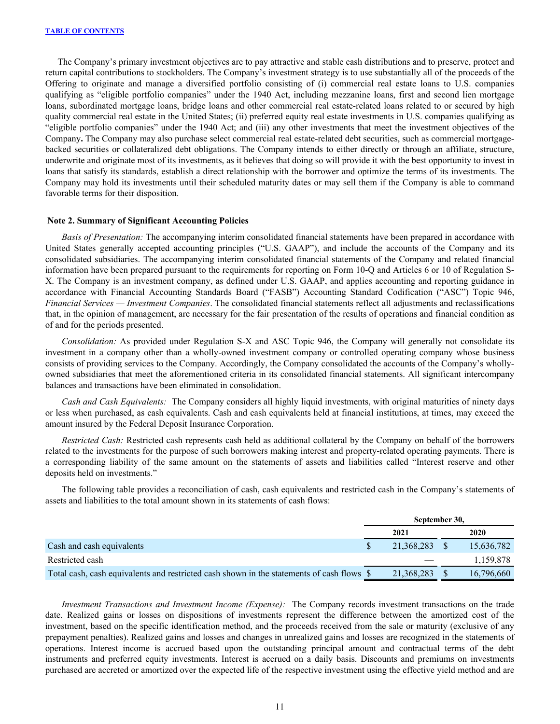<span id="page-11-0"></span>The Company's primary investment objectives are to pay attractive and stable cash distributions and to preserve, protect and return capital contributions to stockholders. The Company's investment strategy is to use substantially all of the proceeds of the Offering to originate and manage a diversified portfolio consisting of (i) commercial real estate loans to U.S. companies qualifying as "eligible portfolio companies" under the 1940 Act, including mezzanine loans, first and second lien mortgage loans, subordinated mortgage loans, bridge loans and other commercial real estate-related loans related to or secured by high quality commercial real estate in the United States; (ii) preferred equity real estate investments in U.S. companies qualifying as "eligible portfolio companies" under the 1940 Act; and (iii) any other investments that meet the investment objectives of the Company**.** The Company may also purchase select commercial real estate-related debt securities, such as commercial mortgagebacked securities or collateralized debt obligations. The Company intends to either directly or through an affiliate, structure, underwrite and originate most of its investments, as it believes that doing so will provide it with the best opportunity to invest in loans that satisfy its standards, establish a direct relationship with the borrower and optimize the terms of its investments. The Company may hold its investments until their scheduled maturity dates or may sell them if the Company is able to command favorable terms for their disposition.

### **Note 2. Summary of Significant Accounting Policies**

*Basis of Presentation:* The accompanying interim consolidated financial statements have been prepared in accordance with United States generally accepted accounting principles ("U.S. GAAP"), and include the accounts of the Company and its consolidated subsidiaries. The accompanying interim consolidated financial statements of the Company and related financial information have been prepared pursuant to the requirements for reporting on Form 10-Q and Articles 6 or 10 of Regulation S-X. The Company is an investment company, as defined under U.S. GAAP, and applies accounting and reporting guidance in accordance with Financial Accounting Standards Board ("FASB") Accounting Standard Codification ("ASC") Topic 946, *Financial Services — Investment Companies*. The consolidated financial statements reflect all adjustments and reclassifications that, in the opinion of management, are necessary for the fair presentation of the results of operations and financial condition as of and for the periods presented.

*Consolidation:* As provided under Regulation S-X and ASC Topic 946, the Company will generally not consolidate its investment in a company other than a wholly-owned investment company or controlled operating company whose business consists of providing services to the Company. Accordingly, the Company consolidated the accounts of the Company's whollyowned subsidiaries that meet the aforementioned criteria in its consolidated financial statements. All significant intercompany balances and transactions have been eliminated in consolidation.

*Cash and Cash Equivalents:* The Company considers all highly liquid investments, with original maturities of ninety days or less when purchased, as cash equivalents. Cash and cash equivalents held at financial institutions, at times, may exceed the amount insured by the Federal Deposit Insurance Corporation.

*Restricted Cash:* Restricted cash represents cash held as additional collateral by the Company on behalf of the borrowers related to the investments for the purpose of such borrowers making interest and property-related operating payments. There is a corresponding liability of the same amount on the statements of assets and liabilities called "Interest reserve and other deposits held on investments."

 The following table provides a reconciliation of cash, cash equivalents and restricted cash in the Company's statements of assets and liabilities to the total amount shown in its statements of cash flows:

|                                                                                           | September 30, |               |  |            |  |  |
|-------------------------------------------------------------------------------------------|---------------|---------------|--|------------|--|--|
|                                                                                           |               | 2021          |  | 2020       |  |  |
| Cash and cash equivalents                                                                 |               | 21,368,283 \$ |  | 15,636,782 |  |  |
| Restricted cash                                                                           |               |               |  | 1,159,878  |  |  |
| Total cash, cash equivalents and restricted cash shown in the statements of cash flows \$ |               | 21,368,283    |  | 16.796.660 |  |  |

*Investment Transactions and Investment Income (Expense):* The Company records investment transactions on the trade date. Realized gains or losses on dispositions of investments represent the difference between the amortized cost of the investment, based on the specific identification method, and the proceeds received from the sale or maturity (exclusive of any prepayment penalties). Realized gains and losses and changes in unrealized gains and losses are recognized in the statements of operations. Interest income is accrued based upon the outstanding principal amount and contractual terms of the debt instruments and preferred equity investments. Interest is accrued on a daily basis. Discounts and premiums on investments purchased are accreted or amortized over the expected life of the respective investment using the effective yield method and are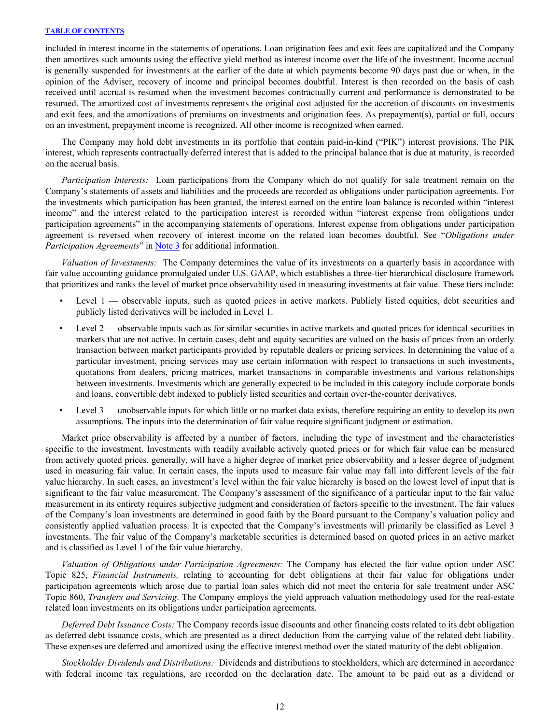included in interest income in the statements of operations. Loan origination fees and exit fees are capitalized and the Company then amortizes such amounts using the effective yield method as interest income over the life of the investment. Income accrual is generally suspended for investments at the earlier of the date at which payments become 90 days past due or when, in the opinion of the Adviser, recovery of income and principal becomes doubtful. Interest is then recorded on the basis of cash received until accrual is resumed when the investment becomes contractually current and performance is demonstrated to be resumed. The amortized cost of investments represents the original cost adjusted for the accretion of discounts on investments and exit fees, and the amortizations of premiums on investments and origination fees. As prepayment(s), partial or full, occurs on an investment, prepayment income is recognized. All other income is recognized when earned.

 The Company may hold debt investments in its portfolio that contain paid-in-kind ("PIK") interest provisions. The PIK interest, which represents contractually deferred interest that is added to the principal balance that is due at maturity, is recorded on the accrual basis.

*Participation Interests:* Loan participations from the Company which do not qualify for sale treatment remain on the Company's statements of assets and liabilities and the proceeds are recorded as obligations under participation agreements. For the investments which participation has been granted, the interest earned on the entire loan balance is recorded within "interest income" and the interest related to the participation interest is recorded within "interest expense from obligations under participation agreements" in the accompanying statements of operations. Interest expense from obligations under participation agreement is reversed when recovery of interest income on the related loan becomes doubtful. See "*Obligations under Participation Agreements*" in [Note 3](#page-15-0) for additional information.

*Valuation of Investments:* The Company determines the value of its investments on a quarterly basis in accordance with fair value accounting guidance promulgated under U.S. GAAP, which establishes a three-tier hierarchical disclosure framework that prioritizes and ranks the level of market price observability used in measuring investments at fair value. These tiers include:

- Level 1 observable inputs, such as quoted prices in active markets. Publicly listed equities, debt securities and publicly listed derivatives will be included in Level 1.
- Level 2 observable inputs such as for similar securities in active markets and quoted prices for identical securities in markets that are not active. In certain cases, debt and equity securities are valued on the basis of prices from an orderly transaction between market participants provided by reputable dealers or pricing services. In determining the value of a particular investment, pricing services may use certain information with respect to transactions in such investments, quotations from dealers, pricing matrices, market transactions in comparable investments and various relationships between investments. Investments which are generally expected to be included in this category include corporate bonds and loans, convertible debt indexed to publicly listed securities and certain over-the-counter derivatives.
- Level 3 unobservable inputs for which little or no market data exists, therefore requiring an entity to develop its own assumptions. The inputs into the determination of fair value require significant judgment or estimation.

Market price observability is affected by a number of factors, including the type of investment and the characteristics specific to the investment. Investments with readily available actively quoted prices or for which fair value can be measured from actively quoted prices, generally, will have a higher degree of market price observability and a lesser degree of judgment used in measuring fair value. In certain cases, the inputs used to measure fair value may fall into different levels of the fair value hierarchy. In such cases, an investment's level within the fair value hierarchy is based on the lowest level of input that is significant to the fair value measurement. The Company's assessment of the significance of a particular input to the fair value measurement in its entirety requires subjective judgment and consideration of factors specific to the investment. The fair values of the Company's loan investments are determined in good faith by the Board pursuant to the Company's valuation policy and consistently applied valuation process. It is expected that the Company's investments will primarily be classified as Level 3 investments. The fair value of the Company's marketable securities is determined based on quoted prices in an active market and is classified as Level 1 of the fair value hierarchy.

 *Valuation of Obligations under Participation Agreements:* The Company has elected the fair value option under ASC Topic 825, *Financial Instruments,* relating to accounting for debt obligations at their fair value for obligations under participation agreements which arose due to partial loan sales which did not meet the criteria for sale treatment under ASC Topic 860, *Transfers and Servicing*. The Company employs the yield approach valuation methodology used for the real-estate related loan investments on its obligations under participation agreements.

*Deferred Debt Issuance Costs:* The Company records issue discounts and other financing costs related to its debt obligation as deferred debt issuance costs, which are presented as a direct deduction from the carrying value of the related debt liability. These expenses are deferred and amortized using the effective interest method over the stated maturity of the debt obligation.

*Stockholder Dividends and Distributions:* Dividends and distributions to stockholders, which are determined in accordance with federal income tax regulations, are recorded on the declaration date. The amount to be paid out as a dividend or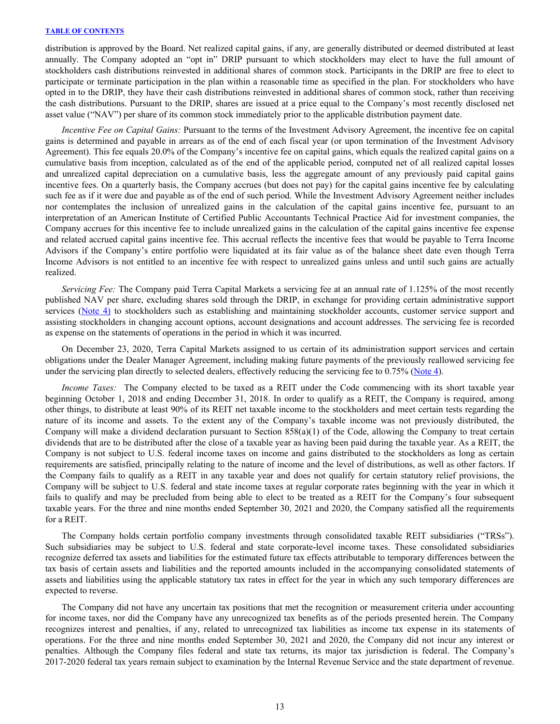distribution is approved by the Board. Net realized capital gains, if any, are generally distributed or deemed distributed at least annually. The Company adopted an "opt in" DRIP pursuant to which stockholders may elect to have the full amount of stockholders cash distributions reinvested in additional shares of common stock. Participants in the DRIP are free to elect to participate or terminate participation in the plan within a reasonable time as specified in the plan. For stockholders who have opted in to the DRIP, they have their cash distributions reinvested in additional shares of common stock, rather than receiving the cash distributions. Pursuant to the DRIP, shares are issued at a price equal to the Company's most recently disclosed net asset value ("NAV") per share of its common stock immediately prior to the applicable distribution payment date.

 *Incentive Fee on Capital Gains:* Pursuant to the terms of the Investment Advisory Agreement, the incentive fee on capital gains is determined and payable in arrears as of the end of each fiscal year (or upon termination of the Investment Advisory Agreement). This fee equals 20.0% of the Company's incentive fee on capital gains, which equals the realized capital gains on a cumulative basis from inception, calculated as of the end of the applicable period, computed net of all realized capital losses and unrealized capital depreciation on a cumulative basis, less the aggregate amount of any previously paid capital gains incentive fees. On a quarterly basis, the Company accrues (but does not pay) for the capital gains incentive fee by calculating such fee as if it were due and payable as of the end of such period. While the Investment Advisory Agreement neither includes nor contemplates the inclusion of unrealized gains in the calculation of the capital gains incentive fee, pursuant to an interpretation of an American Institute of Certified Public Accountants Technical Practice Aid for investment companies, the Company accrues for this incentive fee to include unrealized gains in the calculation of the capital gains incentive fee expense and related accrued capital gains incentive fee. This accrual reflects the incentive fees that would be payable to Terra Income Advisors if the Company's entire portfolio were liquidated at its fair value as of the balance sheet date even though Terra Income Advisors is not entitled to an incentive fee with respect to unrealized gains unless and until such gains are actually realized.

*Servicing Fee:* The Company paid Terra Capital Markets a servicing fee at an annual rate of 1.125% of the most recently published NAV per share, excluding shares sold through the DRIP, in exchange for providing certain administrative support services [\(Note 4\)](#page-18-0) to stockholders such as establishing and maintaining stockholder accounts, customer service support and assisting stockholders in changing account options, account designations and account addresses. The servicing fee is recorded as expense on the statements of operations in the period in which it was incurred.

On December 23, 2020, Terra Capital Markets assigned to us certain of its administration support services and certain obligations under the Dealer Manager Agreement, including making future payments of the previously reallowed servicing fee under the servicing plan directly to selected dealers, effectively reducing the servicing fee to  $0.75\%$  ([Note 4\)](#page-18-0).

*Income Taxes:* The Company elected to be taxed as a REIT under the Code commencing with its short taxable year beginning October 1, 2018 and ending December 31, 2018. In order to qualify as a REIT, the Company is required, among other things, to distribute at least 90% of its REIT net taxable income to the stockholders and meet certain tests regarding the nature of its income and assets. To the extent any of the Company's taxable income was not previously distributed, the Company will make a dividend declaration pursuant to Section  $858(a)(1)$  of the Code, allowing the Company to treat certain dividends that are to be distributed after the close of a taxable year as having been paid during the taxable year. As a REIT, the Company is not subject to U.S. federal income taxes on income and gains distributed to the stockholders as long as certain requirements are satisfied, principally relating to the nature of income and the level of distributions, as well as other factors. If the Company fails to qualify as a REIT in any taxable year and does not qualify for certain statutory relief provisions, the Company will be subject to U.S. federal and state income taxes at regular corporate rates beginning with the year in which it fails to qualify and may be precluded from being able to elect to be treated as a REIT for the Company's four subsequent taxable years. For the three and nine months ended September 30, 2021 and 2020, the Company satisfied all the requirements for a REIT.

The Company holds certain portfolio company investments through consolidated taxable REIT subsidiaries ("TRSs"). Such subsidiaries may be subject to U.S. federal and state corporate-level income taxes. These consolidated subsidiaries recognize deferred tax assets and liabilities for the estimated future tax effects attributable to temporary differences between the tax basis of certain assets and liabilities and the reported amounts included in the accompanying consolidated statements of assets and liabilities using the applicable statutory tax rates in effect for the year in which any such temporary differences are expected to reverse.

The Company did not have any uncertain tax positions that met the recognition or measurement criteria under accounting for income taxes, nor did the Company have any unrecognized tax benefits as of the periods presented herein. The Company recognizes interest and penalties, if any, related to unrecognized tax liabilities as income tax expense in its statements of operations. For the three and nine months ended September 30, 2021 and 2020, the Company did not incur any interest or penalties. Although the Company files federal and state tax returns, its major tax jurisdiction is federal. The Company's 2017-2020 federal tax years remain subject to examination by the Internal Revenue Service and the state department of revenue.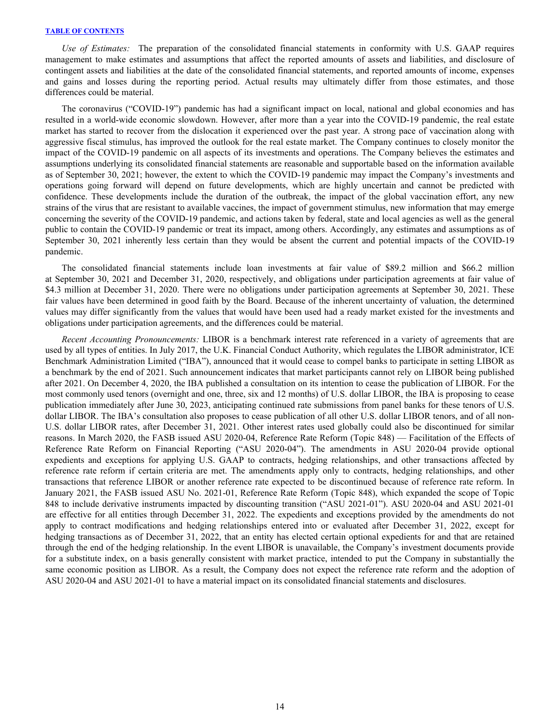*Use of Estimates:* The preparation of the consolidated financial statements in conformity with U.S. GAAP requires management to make estimates and assumptions that affect the reported amounts of assets and liabilities, and disclosure of contingent assets and liabilities at the date of the consolidated financial statements, and reported amounts of income, expenses and gains and losses during the reporting period. Actual results may ultimately differ from those estimates, and those differences could be material.

The coronavirus ("COVID-19") pandemic has had a significant impact on local, national and global economies and has resulted in a world-wide economic slowdown. However, after more than a year into the COVID-19 pandemic, the real estate market has started to recover from the dislocation it experienced over the past year. A strong pace of vaccination along with aggressive fiscal stimulus, has improved the outlook for the real estate market. The Company continues to closely monitor the impact of the COVID-19 pandemic on all aspects of its investments and operations. The Company believes the estimates and assumptions underlying its consolidated financial statements are reasonable and supportable based on the information available as of September 30, 2021; however, the extent to which the COVID-19 pandemic may impact the Company's investments and operations going forward will depend on future developments, which are highly uncertain and cannot be predicted with confidence. These developments include the duration of the outbreak, the impact of the global vaccination effort, any new strains of the virus that are resistant to available vaccines, the impact of government stimulus, new information that may emerge concerning the severity of the COVID-19 pandemic, and actions taken by federal, state and local agencies as well as the general public to contain the COVID-19 pandemic or treat its impact, among others. Accordingly, any estimates and assumptions as of September 30, 2021 inherently less certain than they would be absent the current and potential impacts of the COVID-19 pandemic.

The consolidated financial statements include loan investments at fair value of \$89.2 million and \$66.2 million at September 30, 2021 and December 31, 2020, respectively, and obligations under participation agreements at fair value of \$4.3 million at December 31, 2020. There were no obligations under participation agreements at September 30, 2021. These fair values have been determined in good faith by the Board. Because of the inherent uncertainty of valuation, the determined values may differ significantly from the values that would have been used had a ready market existed for the investments and obligations under participation agreements, and the differences could be material.

*Recent Accounting Pronouncements:* LIBOR is a benchmark interest rate referenced in a variety of agreements that are used by all types of entities. In July 2017, the U.K. Financial Conduct Authority, which regulates the LIBOR administrator, ICE Benchmark Administration Limited ("IBA"), announced that it would cease to compel banks to participate in setting LIBOR as a benchmark by the end of 2021. Such announcement indicates that market participants cannot rely on LIBOR being published after 2021. On December 4, 2020, the IBA published a consultation on its intention to cease the publication of LIBOR. For the most commonly used tenors (overnight and one, three, six and 12 months) of U.S. dollar LIBOR, the IBA is proposing to cease publication immediately after June 30, 2023, anticipating continued rate submissions from panel banks for these tenors of U.S. dollar LIBOR. The IBA's consultation also proposes to cease publication of all other U.S. dollar LIBOR tenors, and of all non-U.S. dollar LIBOR rates, after December 31, 2021. Other interest rates used globally could also be discontinued for similar reasons. In March 2020, the FASB issued ASU 2020-04, Reference Rate Reform (Topic 848) — Facilitation of the Effects of Reference Rate Reform on Financial Reporting ("ASU 2020-04"). The amendments in ASU 2020-04 provide optional expedients and exceptions for applying U.S. GAAP to contracts, hedging relationships, and other transactions affected by reference rate reform if certain criteria are met. The amendments apply only to contracts, hedging relationships, and other transactions that reference LIBOR or another reference rate expected to be discontinued because of reference rate reform. In January 2021, the FASB issued ASU No. 2021-01, Reference Rate Reform (Topic 848), which expanded the scope of Topic 848 to include derivative instruments impacted by discounting transition ("ASU 2021-01"). ASU 2020-04 and ASU 2021-01 are effective for all entities through December 31, 2022. The expedients and exceptions provided by the amendments do not apply to contract modifications and hedging relationships entered into or evaluated after December 31, 2022, except for hedging transactions as of December 31, 2022, that an entity has elected certain optional expedients for and that are retained through the end of the hedging relationship. In the event LIBOR is unavailable, the Company's investment documents provide for a substitute index, on a basis generally consistent with market practice, intended to put the Company in substantially the same economic position as LIBOR. As a result, the Company does not expect the reference rate reform and the adoption of ASU 2020-04 and ASU 2021-01 to have a material impact on its consolidated financial statements and disclosures.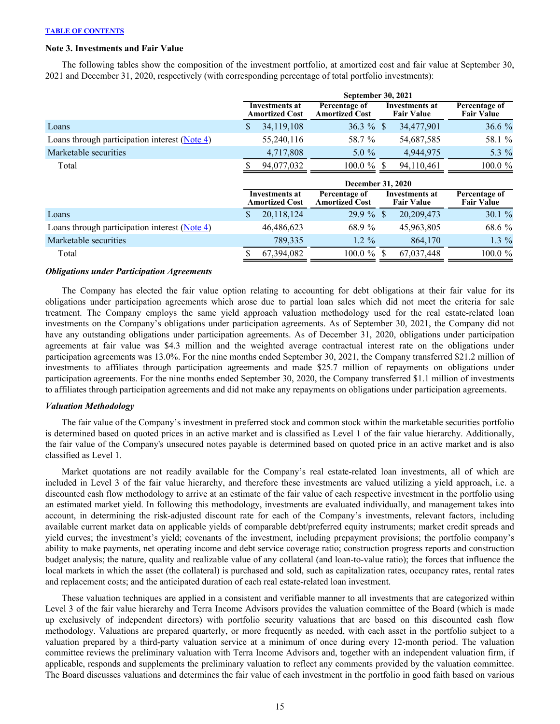# <span id="page-15-0"></span>**Note 3. Investments and Fair Value**

The following tables show the composition of the investment portfolio, at amortized cost and fair value at September 30, 2021 and December 31, 2020, respectively (with corresponding percentage of total portfolio investments):

|                                                 |                                                | <b>September 30, 2021</b>              |              |                                            |                                    |
|-------------------------------------------------|------------------------------------------------|----------------------------------------|--------------|--------------------------------------------|------------------------------------|
|                                                 | Investments at<br><b>Amortized Cost</b>        | Percentage of<br><b>Amortized Cost</b> |              | <b>Investments at</b><br><b>Fair Value</b> | Percentage of<br><b>Fair Value</b> |
| Loans                                           | \$<br>34,119,108                               | $36.3 \%$ \$                           |              | 34,477,901                                 | 36.6%                              |
| Loans through participation interest $(Note 4)$ | 55,240,116                                     | 58.7 %                                 |              | 54,687,585                                 | 58.1 %                             |
| Marketable securities                           | 4,717,808                                      | 5.0 $%$                                |              | 4,944,975                                  | 5.3 %                              |
| Total                                           | 94,077,032                                     | $100.0 \%$                             |              | 94,110,461                                 | 100.0 %                            |
|                                                 |                                                | <b>December 31, 2020</b>               |              |                                            |                                    |
|                                                 | <b>Investments at</b><br><b>Amortized Cost</b> | Percentage of<br><b>Amortized Cost</b> |              | Investments at<br><b>Fair Value</b>        | Percentage of<br><b>Fair Value</b> |
| Loans                                           | \$<br>20,118,124                               | $29.9\%$                               | <sup>S</sup> | 20,209,473                                 | 30.1%                              |
| Loans through participation interest (Note 4)   | 46,486,623                                     | 68.9 %                                 |              | 45,963,805                                 | 68.6 %                             |
| Marketable securities                           | 789,335                                        | $1.2 \%$                               |              | 864,170                                    | 1.3 %                              |
|                                                 |                                                |                                        |              |                                            |                                    |

#### *Obligations under Participation Agreements*

 The Company has elected the fair value option relating to accounting for debt obligations at their fair value for its obligations under participation agreements which arose due to partial loan sales which did not meet the criteria for sale treatment. The Company employs the same yield approach valuation methodology used for the real estate-related loan investments on the Company's obligations under participation agreements. As of September 30, 2021, the Company did not have any outstanding obligations under participation agreements. As of December 31, 2020, obligations under participation agreements at fair value was \$4.3 million and the weighted average contractual interest rate on the obligations under participation agreements was 13.0%. For the nine months ended September 30, 2021, the Company transferred \$21.2 million of investments to affiliates through participation agreements and made \$25.7 million of repayments on obligations under participation agreements. For the nine months ended September 30, 2020, the Company transferred \$1.1 million of investments to affiliates through participation agreements and did not make any repayments on obligations under participation agreements.

### *Valuation Methodology*

 The fair value of the Company's investment in preferred stock and common stock within the marketable securities portfolio is determined based on quoted prices in an active market and is classified as Level 1 of the fair value hierarchy. Additionally, the fair value of the Company's unsecured notes payable is determined based on quoted price in an active market and is also classified as Level 1.

Market quotations are not readily available for the Company's real estate-related loan investments, all of which are included in Level 3 of the fair value hierarchy, and therefore these investments are valued utilizing a yield approach, i.e. a discounted cash flow methodology to arrive at an estimate of the fair value of each respective investment in the portfolio using an estimated market yield. In following this methodology, investments are evaluated individually, and management takes into account, in determining the risk-adjusted discount rate for each of the Company's investments, relevant factors, including available current market data on applicable yields of comparable debt/preferred equity instruments; market credit spreads and yield curves; the investment's yield; covenants of the investment, including prepayment provisions; the portfolio company's ability to make payments, net operating income and debt service coverage ratio; construction progress reports and construction budget analysis; the nature, quality and realizable value of any collateral (and loan-to-value ratio); the forces that influence the local markets in which the asset (the collateral) is purchased and sold, such as capitalization rates, occupancy rates, rental rates and replacement costs; and the anticipated duration of each real estate-related loan investment.

These valuation techniques are applied in a consistent and verifiable manner to all investments that are categorized within Level 3 of the fair value hierarchy and Terra Income Advisors provides the valuation committee of the Board (which is made up exclusively of independent directors) with portfolio security valuations that are based on this discounted cash flow methodology. Valuations are prepared quarterly, or more frequently as needed, with each asset in the portfolio subject to a valuation prepared by a third-party valuation service at a minimum of once during every 12-month period. The valuation committee reviews the preliminary valuation with Terra Income Advisors and, together with an independent valuation firm, if applicable, responds and supplements the preliminary valuation to reflect any comments provided by the valuation committee. The Board discusses valuations and determines the fair value of each investment in the portfolio in good faith based on various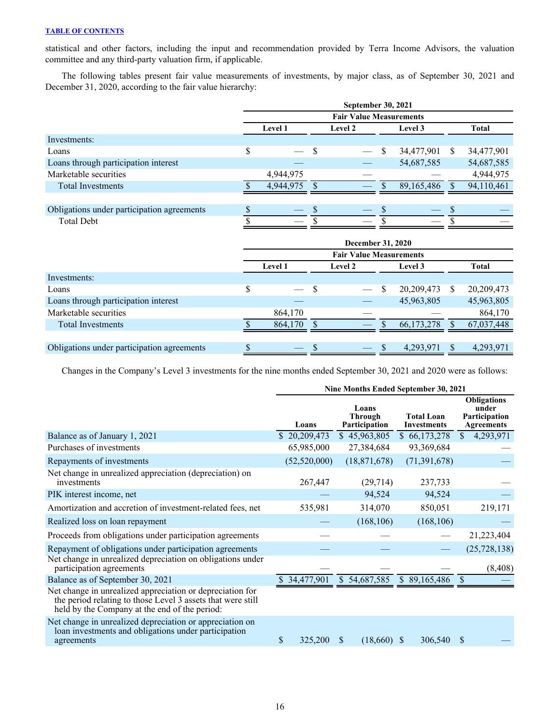statistical and other factors, including the input and recommendation provided by Terra Income Advisors, the valuation committee and any third-party valuation firm, if applicable.

The following tables present fair value measurements of investments, by major class, as of September 30, 2021 and December 31, 2020, according to the fair value hierarchy:

|                                            | <b>September 30, 2021</b>      |                |  |         |   |              |    |              |  |  |  |  |  |
|--------------------------------------------|--------------------------------|----------------|--|---------|---|--------------|----|--------------|--|--|--|--|--|
|                                            | <b>Fair Value Measurements</b> |                |  |         |   |              |    |              |  |  |  |  |  |
|                                            |                                | <b>Level 1</b> |  | Level 2 |   | Level 3      |    | <b>Total</b> |  |  |  |  |  |
| Investments:                               |                                |                |  |         |   |              |    |              |  |  |  |  |  |
| Loans                                      | \$                             | $\frac{1}{2}$  |  |         | S | 34,477,901   | S. | 34,477,901   |  |  |  |  |  |
| Loans through participation interest       |                                |                |  |         |   | 54,687,585   |    | 54,687,585   |  |  |  |  |  |
| Marketable securities                      |                                | 4,944,975      |  |         |   |              |    | 4,944,975    |  |  |  |  |  |
| <b>Total Investments</b>                   |                                | 4,944,975      |  |         |   | 89, 165, 486 |    | 94,110,461   |  |  |  |  |  |
|                                            |                                |                |  |         |   |              |    |              |  |  |  |  |  |
| Obligations under participation agreements |                                |                |  |         |   |              |    |              |  |  |  |  |  |
| <b>Total Debt</b>                          |                                |                |  |         |   |              |    |              |  |  |  |  |  |
|                                            |                                |                |  |         |   |              |    |              |  |  |  |  |  |

| December 31, 2020              |                |   |                |  |              |    |              |  |  |
|--------------------------------|----------------|---|----------------|--|--------------|----|--------------|--|--|
| <b>Fair Value Measurements</b> |                |   |                |  |              |    |              |  |  |
|                                | <b>Level 1</b> |   | <b>Level 2</b> |  | Level 3      |    | <b>Total</b> |  |  |
|                                |                |   |                |  |              |    |              |  |  |
| \$                             |                | S |                |  | 20,209,473   | S. | 20,209,473   |  |  |
|                                |                |   |                |  | 45,963,805   |    | 45,963,805   |  |  |
|                                | 864,170        |   |                |  |              |    | 864,170      |  |  |
|                                | 864,170        |   |                |  | 66, 173, 278 |    | 67,037,448   |  |  |
|                                |                |   |                |  |              |    |              |  |  |
|                                |                |   |                |  | 4,293,971    |    | 4,293,971    |  |  |
|                                |                |   | $-$ \$         |  | $-$ \$       |    |              |  |  |

Changes in the Company's Level 3 investments for the nine months ended September 30, 2021 and 2020 were as follows:

|                                                                                                                                                                           | Nine Months Ended September 30, 2021 |                                          |                                         |                                                                   |  |  |  |
|---------------------------------------------------------------------------------------------------------------------------------------------------------------------------|--------------------------------------|------------------------------------------|-----------------------------------------|-------------------------------------------------------------------|--|--|--|
|                                                                                                                                                                           | Loans                                | Loans<br><b>Through</b><br>Participation | <b>Total Loan</b><br><b>Investments</b> | <b>Obligations</b><br>under<br>Participation<br><b>Agreements</b> |  |  |  |
| Balance as of January 1, 2021                                                                                                                                             | \$20,209,473                         | \$45,963,805                             | \$66,173,278                            | 4,293,971<br>$\mathbb{S}$                                         |  |  |  |
| Purchases of investments                                                                                                                                                  | 65,985,000                           | 27,384,684                               | 93,369,684                              |                                                                   |  |  |  |
| Repayments of investments                                                                                                                                                 | (52, 520, 000)                       | (18, 871, 678)                           | (71, 391, 678)                          |                                                                   |  |  |  |
| Net change in unrealized appreciation (depreciation) on<br>investments                                                                                                    | 267,447                              | (29, 714)                                | 237,733                                 |                                                                   |  |  |  |
| PIK interest income, net                                                                                                                                                  |                                      | 94,524                                   | 94,524                                  |                                                                   |  |  |  |
| Amortization and accretion of investment-related fees, net                                                                                                                | 535,981                              | 314,070                                  | 850,051                                 | 219,171                                                           |  |  |  |
| Realized loss on loan repayment                                                                                                                                           |                                      | (168, 106)                               | (168, 106)                              |                                                                   |  |  |  |
| Proceeds from obligations under participation agreements                                                                                                                  |                                      |                                          |                                         | 21,223,404                                                        |  |  |  |
| Repayment of obligations under participation agreements                                                                                                                   |                                      |                                          |                                         | (25, 728, 138)                                                    |  |  |  |
| Net change in unrealized depreciation on obligations under<br>participation agreements                                                                                    |                                      |                                          |                                         | (8, 408)                                                          |  |  |  |
| Balance as of September 30, 2021                                                                                                                                          | $\overline{\$}$ 34,477,901           | \$54,687,585                             | \$89,165,486                            | $\sqrt{S}$                                                        |  |  |  |
| Net change in unrealized appreciation or depreciation for<br>the period relating to those Level 3 assets that were still<br>held by the Company at the end of the period: |                                      |                                          |                                         |                                                                   |  |  |  |
| Net change in unrealized depreciation or appreciation on<br>loan investments and obligations under participation<br>agreements                                            | \$<br>325,200                        | $(18,660)$ \$<br>\$                      | 306,540                                 | S                                                                 |  |  |  |
|                                                                                                                                                                           |                                      |                                          |                                         |                                                                   |  |  |  |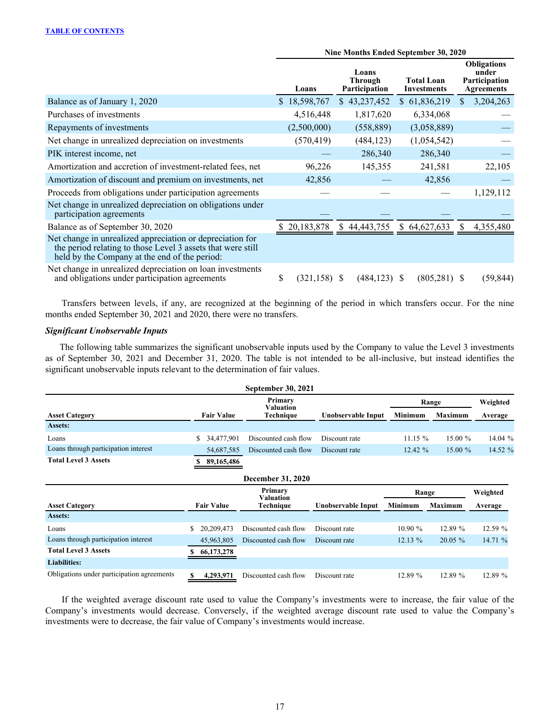|                                                                                                                                                                           | Nine Months Ended September 30, 2020 |                                   |                                         |                                                                   |  |  |  |
|---------------------------------------------------------------------------------------------------------------------------------------------------------------------------|--------------------------------------|-----------------------------------|-----------------------------------------|-------------------------------------------------------------------|--|--|--|
|                                                                                                                                                                           | Loans                                | Loans<br>Through<br>Participation | <b>Total Loan</b><br><b>Investments</b> | <b>Obligations</b><br>under<br>Participation<br><b>Agreements</b> |  |  |  |
| Balance as of January 1, 2020                                                                                                                                             | \$18,598,767                         | \$43,237,452                      | \$61,836,219                            | 3,204,263<br><sup>S</sup>                                         |  |  |  |
| Purchases of investments                                                                                                                                                  | 4,516,448                            | 1,817,620                         | 6,334,068                               |                                                                   |  |  |  |
| Repayments of investments                                                                                                                                                 | (2,500,000)                          | (558, 889)                        | (3,058,889)                             |                                                                   |  |  |  |
| Net change in unrealized depreciation on investments                                                                                                                      | (570, 419)                           | (484, 123)                        | (1,054,542)                             |                                                                   |  |  |  |
| PIK interest income, net                                                                                                                                                  |                                      | 286,340                           | 286,340                                 |                                                                   |  |  |  |
| Amortization and accretion of investment-related fees, net                                                                                                                | 96,226                               | 145,355                           | 241,581                                 | 22,105                                                            |  |  |  |
| Amortization of discount and premium on investments, net                                                                                                                  | 42,856                               |                                   | 42,856                                  |                                                                   |  |  |  |
| Proceeds from obligations under participation agreements                                                                                                                  |                                      |                                   |                                         | 1,129,112                                                         |  |  |  |
| Net change in unrealized depreciation on obligations under<br>participation agreements                                                                                    |                                      |                                   |                                         |                                                                   |  |  |  |
| Balance as of September 30, 2020                                                                                                                                          | 20,183,878<br>S.                     | \$44,443,755                      | \$64,627,633                            | S.<br>4,355,480                                                   |  |  |  |
| Net change in unrealized appreciation or depreciation for<br>the period relating to those Level 3 assets that were still<br>held by the Company at the end of the period: |                                      |                                   |                                         |                                                                   |  |  |  |
| Net change in unrealized depreciation on loan investments<br>and obligations under participation agreements                                                               | \$<br>(321,158)                      | $(484, 123)$ \$<br>-S             | (805, 281)                              | (59,844)<br><sup>S</sup>                                          |  |  |  |

 Transfers between levels, if any, are recognized at the beginning of the period in which transfers occur. For the nine months ended September 30, 2021 and 2020, there were no transfers.

# *Significant Unobservable Inputs*

The following table summarizes the significant unobservable inputs used by the Company to value the Level 3 investments as of September 30, 2021 and December 31, 2020. The table is not intended to be all-inclusive, but instead identifies the significant unobservable inputs relevant to the determination of fair values.

| <b>September 30, 2021</b>            |                   |                      |                    |                |                |          |  |  |
|--------------------------------------|-------------------|----------------------|--------------------|----------------|----------------|----------|--|--|
|                                      |                   | Primary<br>Valuation |                    | Range          |                | Weighted |  |  |
| <b>Asset Category</b>                | <b>Fair Value</b> | Technique            | Unobservable Input | <b>Minimum</b> | <b>Maximum</b> | Average  |  |  |
| Assets:                              |                   |                      |                    |                |                |          |  |  |
| Loans                                | \$ 34,477,901     | Discounted cash flow | Discount rate      | 11.15 $%$      | $15.00 \%$     | 14.04 %  |  |  |
| Loans through participation interest | 54.687.585        | Discounted cash flow | Discount rate      | $12.42 \%$     | $15.00\%$      | 14.52 %  |  |  |
| <b>Total Level 3 Assets</b>          | 89,165,486        |                      |                    |                |                |          |  |  |

| <b>December 31, 2020</b>                   |                    |                      |                    |                |                |          |  |  |
|--------------------------------------------|--------------------|----------------------|--------------------|----------------|----------------|----------|--|--|
|                                            |                    | Primary<br>Valuation |                    | Range          |                | Weighted |  |  |
| <b>Asset Category</b>                      | <b>Fair Value</b>  | Technique            | Unobservable Input | <b>Minimum</b> | <b>Maximum</b> | Average  |  |  |
| Assets:                                    |                    |                      |                    |                |                |          |  |  |
| Loans                                      | S.<br>20, 209, 473 | Discounted cash flow | Discount rate      | 10.90%         | 12.89 %        | 12.59 %  |  |  |
| Loans through participation interest       | 45,963,805         | Discounted cash flow | Discount rate      | $12.13\%$      | $20.05 \%$     | 14.71%   |  |  |
| <b>Total Level 3 Assets</b>                | 66,173,278         |                      |                    |                |                |          |  |  |
| <b>Liabilities:</b>                        |                    |                      |                    |                |                |          |  |  |
| Obligations under participation agreements | 4,293,971          | Discounted cash flow | Discount rate      | 12.89 %        | 12.89 %        | 12.89 %  |  |  |

 If the weighted average discount rate used to value the Company's investments were to increase, the fair value of the Company's investments would decrease. Conversely, if the weighted average discount rate used to value the Company's investments were to decrease, the fair value of Company's investments would increase.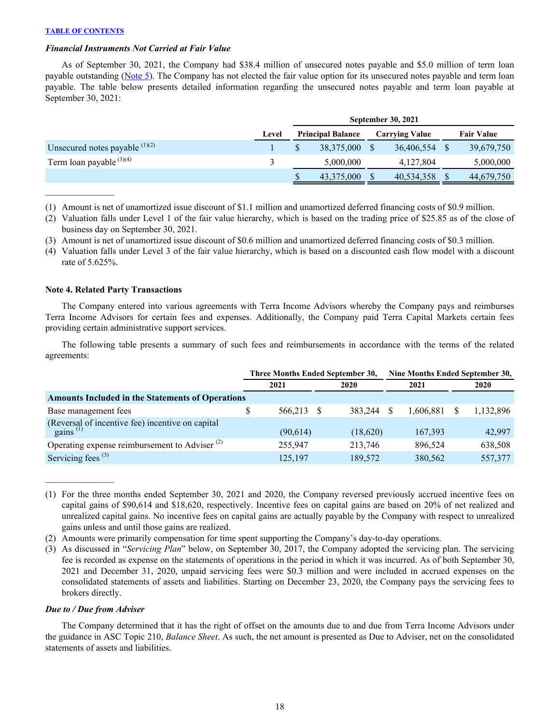$\mathcal{L}_\text{max}$  and  $\mathcal{L}_\text{max}$ 

### <span id="page-18-0"></span>*Financial Instruments Not Carried at Fair Value*

As of September 30, 2021, the Company had \$38.4 million of unsecured notes payable and \$5.0 million of term loan payable outstanding [\(Note 5](#page-22-0)). The Company has not elected the fair value option for its unsecured notes payable and term loan payable. The table below presents detailed information regarding the unsecured notes payable and term loan payable at September 30, 2021:

|                                  |       | <b>September 30, 2021</b> |            |                       |            |  |                   |  |  |  |
|----------------------------------|-------|---------------------------|------------|-----------------------|------------|--|-------------------|--|--|--|
|                                  | Level | <b>Principal Balance</b>  |            | <b>Carrying Value</b> |            |  | <b>Fair Value</b> |  |  |  |
| Unsecured notes payable $(1)(2)$ |       |                           | 38,375,000 |                       | 36,406,554 |  | 39,679,750        |  |  |  |
| Term loan payable $(3)(4)$       |       |                           | 5,000,000  |                       | 4,127,804  |  | 5,000,000         |  |  |  |
|                                  |       |                           | 43,375,000 |                       | 40,534,358 |  | 44,679,750        |  |  |  |

(1) Amount is net of unamortized issue discount of \$1.1 million and unamortized deferred financing costs of \$0.9 million.

- (2) Valuation falls under Level 1 of the fair value hierarchy, which is based on the trading price of \$25.85 as of the close of business day on September 30, 2021.
- (3) Amount is net of unamortized issue discount of \$0.6 million and unamortized deferred financing costs of \$0.3 million.
- (4) Valuation falls under Level 3 of the fair value hierarchy, which is based on a discounted cash flow model with a discount rate of 5.625%.

# **Note 4. Related Party Transactions**

The Company entered into various agreements with Terra Income Advisors whereby the Company pays and reimburses Terra Income Advisors for certain fees and expenses. Additionally, the Company paid Terra Capital Markets certain fees providing certain administrative support services.

 The following table presents a summary of such fees and reimbursements in accordance with the terms of the related agreements:

|                                                                       | Three Months Ended September 30, |          |  |          | Nine Months Ended September 30, |           |  |           |
|-----------------------------------------------------------------------|----------------------------------|----------|--|----------|---------------------------------|-----------|--|-----------|
|                                                                       |                                  | 2021     |  | 2020     |                                 | 2021      |  | 2020      |
| <b>Amounts Included in the Statements of Operations</b>               |                                  |          |  |          |                                 |           |  |           |
| Base management fees                                                  | \$                               | 566.213  |  | 383.244  |                                 | 1.606.881 |  | 1,132,896 |
| (Reversal of incentive fee) incentive on capital gains <sup>(1)</sup> |                                  | (90,614) |  | (18,620) |                                 | 167,393   |  | 42,997    |
| Operating expense reimbursement to Adviser <sup>(2)</sup>             |                                  | 255,947  |  | 213,746  |                                 | 896.524   |  | 638,508   |
| Servicing fees $(3)$                                                  |                                  | 125,197  |  | 189,572  |                                 | 380,562   |  | 557,377   |

<sup>(1)</sup> For the three months ended September 30, 2021 and 2020, the Company reversed previously accrued incentive fees on capital gains of \$90,614 and \$18,620, respectively. Incentive fees on capital gains are based on 20% of net realized and unrealized capital gains. No incentive fees on capital gains are actually payable by the Company with respect to unrealized gains unless and until those gains are realized.

(2) Amounts were primarily compensation for time spent supporting the Company's day-to-day operations.

(3) As discussed in "*Servicing Plan*" below, on September 30, 2017, the Company adopted the servicing plan. The servicing fee is recorded as expense on the statements of operations in the period in which it was incurred. As of both September 30, 2021 and December 31, 2020, unpaid servicing fees were \$0.3 million and were included in accrued expenses on the consolidated statements of assets and liabilities. Starting on December 23, 2020, the Company pays the servicing fees to brokers directly.

### *Due to / Due from Adviser*

 $\mathcal{L}_\text{max}$  , where  $\mathcal{L}_\text{max}$ 

The Company determined that it has the right of offset on the amounts due to and due from Terra Income Advisors under the guidance in ASC Topic 210, *Balance Sheet*. As such, the net amount is presented as Due to Adviser, net on the consolidated statements of assets and liabilities.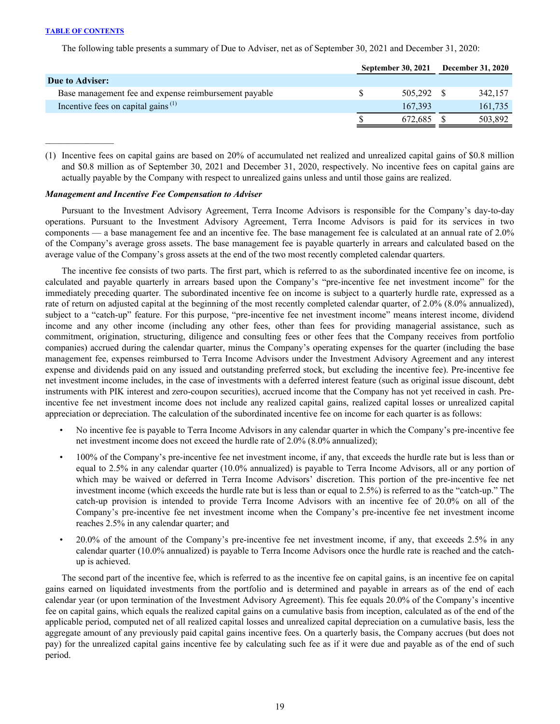The following table presents a summary of Due to Adviser, net as of September 30, 2021 and December 31, 2020:

|                                                             | <b>September 30, 2021</b> | <b>December 31, 2020</b> |         |
|-------------------------------------------------------------|---------------------------|--------------------------|---------|
| Due to Adviser:                                             |                           |                          |         |
| Base management fee and expense reimbursement payable       | 505.292 \$                |                          | 342.157 |
| Incentive fees on capital gains <sup><math>(1)</math></sup> | 167.393                   |                          | 161,735 |
|                                                             | 672.685                   |                          | 503,892 |

(1) Incentive fees on capital gains are based on 20% of accumulated net realized and unrealized capital gains of \$0.8 million and \$0.8 million as of September 30, 2021 and December 31, 2020, respectively. No incentive fees on capital gains are actually payable by the Company with respect to unrealized gains unless and until those gains are realized.

### *Management and Incentive Fee Compensation to Adviser*

Pursuant to the Investment Advisory Agreement, Terra Income Advisors is responsible for the Company's day-to-day operations. Pursuant to the Investment Advisory Agreement, Terra Income Advisors is paid for its services in two components — a base management fee and an incentive fee. The base management fee is calculated at an annual rate of 2.0% of the Company's average gross assets. The base management fee is payable quarterly in arrears and calculated based on the average value of the Company's gross assets at the end of the two most recently completed calendar quarters.

The incentive fee consists of two parts. The first part, which is referred to as the subordinated incentive fee on income, is calculated and payable quarterly in arrears based upon the Company's "pre-incentive fee net investment income" for the immediately preceding quarter. The subordinated incentive fee on income is subject to a quarterly hurdle rate, expressed as a rate of return on adjusted capital at the beginning of the most recently completed calendar quarter, of 2.0% (8.0% annualized), subject to a "catch-up" feature. For this purpose, "pre-incentive fee net investment income" means interest income, dividend income and any other income (including any other fees, other than fees for providing managerial assistance, such as commitment, origination, structuring, diligence and consulting fees or other fees that the Company receives from portfolio companies) accrued during the calendar quarter, minus the Company's operating expenses for the quarter (including the base management fee, expenses reimbursed to Terra Income Advisors under the Investment Advisory Agreement and any interest expense and dividends paid on any issued and outstanding preferred stock, but excluding the incentive fee). Pre-incentive fee net investment income includes, in the case of investments with a deferred interest feature (such as original issue discount, debt instruments with PIK interest and zero-coupon securities), accrued income that the Company has not yet received in cash. Preincentive fee net investment income does not include any realized capital gains, realized capital losses or unrealized capital appreciation or depreciation. The calculation of the subordinated incentive fee on income for each quarter is as follows:

- No incentive fee is payable to Terra Income Advisors in any calendar quarter in which the Company's pre-incentive fee net investment income does not exceed the hurdle rate of 2.0% (8.0% annualized);
- 100% of the Company's pre-incentive fee net investment income, if any, that exceeds the hurdle rate but is less than or equal to 2.5% in any calendar quarter (10.0% annualized) is payable to Terra Income Advisors, all or any portion of which may be waived or deferred in Terra Income Advisors' discretion. This portion of the pre-incentive fee net investment income (which exceeds the hurdle rate but is less than or equal to 2.5%) is referred to as the "catch-up." The catch-up provision is intended to provide Terra Income Advisors with an incentive fee of 20.0% on all of the Company's pre-incentive fee net investment income when the Company's pre-incentive fee net investment income reaches 2.5% in any calendar quarter; and
- 20.0% of the amount of the Company's pre-incentive fee net investment income, if any, that exceeds 2.5% in any calendar quarter (10.0% annualized) is payable to Terra Income Advisors once the hurdle rate is reached and the catchup is achieved.

The second part of the incentive fee, which is referred to as the incentive fee on capital gains, is an incentive fee on capital gains earned on liquidated investments from the portfolio and is determined and payable in arrears as of the end of each calendar year (or upon termination of the Investment Advisory Agreement). This fee equals 20.0% of the Company's incentive fee on capital gains, which equals the realized capital gains on a cumulative basis from inception, calculated as of the end of the applicable period, computed net of all realized capital losses and unrealized capital depreciation on a cumulative basis, less the aggregate amount of any previously paid capital gains incentive fees. On a quarterly basis, the Company accrues (but does not pay) for the unrealized capital gains incentive fee by calculating such fee as if it were due and payable as of the end of such period.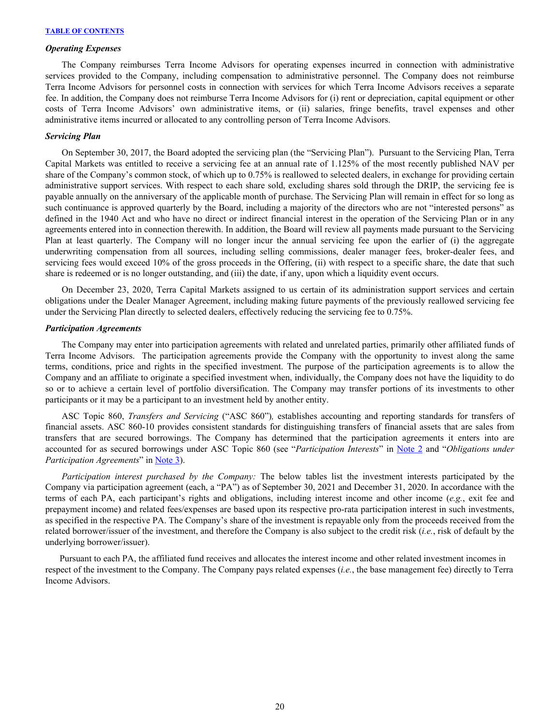#### *Operating Expenses*

The Company reimburses Terra Income Advisors for operating expenses incurred in connection with administrative services provided to the Company, including compensation to administrative personnel. The Company does not reimburse Terra Income Advisors for personnel costs in connection with services for which Terra Income Advisors receives a separate fee. In addition, the Company does not reimburse Terra Income Advisors for (i) rent or depreciation, capital equipment or other costs of Terra Income Advisors' own administrative items, or (ii) salaries, fringe benefits, travel expenses and other administrative items incurred or allocated to any controlling person of Terra Income Advisors.

#### *Servicing Plan*

On September 30, 2017, the Board adopted the servicing plan (the "Servicing Plan"). Pursuant to the Servicing Plan, Terra Capital Markets was entitled to receive a servicing fee at an annual rate of 1.125% of the most recently published NAV per share of the Company's common stock, of which up to 0.75% is reallowed to selected dealers, in exchange for providing certain administrative support services. With respect to each share sold, excluding shares sold through the DRIP, the servicing fee is payable annually on the anniversary of the applicable month of purchase. The Servicing Plan will remain in effect for so long as such continuance is approved quarterly by the Board, including a majority of the directors who are not "interested persons" as defined in the 1940 Act and who have no direct or indirect financial interest in the operation of the Servicing Plan or in any agreements entered into in connection therewith. In addition, the Board will review all payments made pursuant to the Servicing Plan at least quarterly. The Company will no longer incur the annual servicing fee upon the earlier of (i) the aggregate underwriting compensation from all sources, including selling commissions, dealer manager fees, broker-dealer fees, and servicing fees would exceed 10% of the gross proceeds in the Offering, (ii) with respect to a specific share, the date that such share is redeemed or is no longer outstanding, and (iii) the date, if any, upon which a liquidity event occurs.

On December 23, 2020, Terra Capital Markets assigned to us certain of its administration support services and certain obligations under the Dealer Manager Agreement, including making future payments of the previously reallowed servicing fee under the Servicing Plan directly to selected dealers, effectively reducing the servicing fee to 0.75%.

#### *Participation Agreements*

The Company may enter into participation agreements with related and unrelated parties, primarily other affiliated funds of Terra Income Advisors. The participation agreements provide the Company with the opportunity to invest along the same terms, conditions, price and rights in the specified investment. The purpose of the participation agreements is to allow the Company and an affiliate to originate a specified investment when, individually, the Company does not have the liquidity to do so or to achieve a certain level of portfolio diversification. The Company may transfer portions of its investments to other participants or it may be a participant to an investment held by another entity.

ASC Topic 860, *Transfers and Servicing* ("ASC 860")*,* establishes accounting and reporting standards for transfers of financial assets. ASC 860-10 provides consistent standards for distinguishing transfers of financial assets that are sales from transfers that are secured borrowings. The Company has determined that the participation agreements it enters into are accounted for as secured borrowings under ASC Topic 860 (see "*Participation Interests*" in [Note 2](#page-11-0) and "*Obligations under Participation Agreements*" in [Note 3\)](#page-15-0).

*Participation interest purchased by the Company:* The below tables list the investment interests participated by the Company via participation agreement (each, a "PA") as of September 30, 2021 and December 31, 2020. In accordance with the terms of each PA, each participant's rights and obligations, including interest income and other income (*e.g.*, exit fee and prepayment income) and related fees/expenses are based upon its respective pro-rata participation interest in such investments, as specified in the respective PA. The Company's share of the investment is repayable only from the proceeds received from the related borrower/issuer of the investment, and therefore the Company is also subject to the credit risk (*i.e.*, risk of default by the underlying borrower/issuer).

Pursuant to each PA, the affiliated fund receives and allocates the interest income and other related investment incomes in respect of the investment to the Company. The Company pays related expenses (*i.e.*, the base management fee) directly to Terra Income Advisors.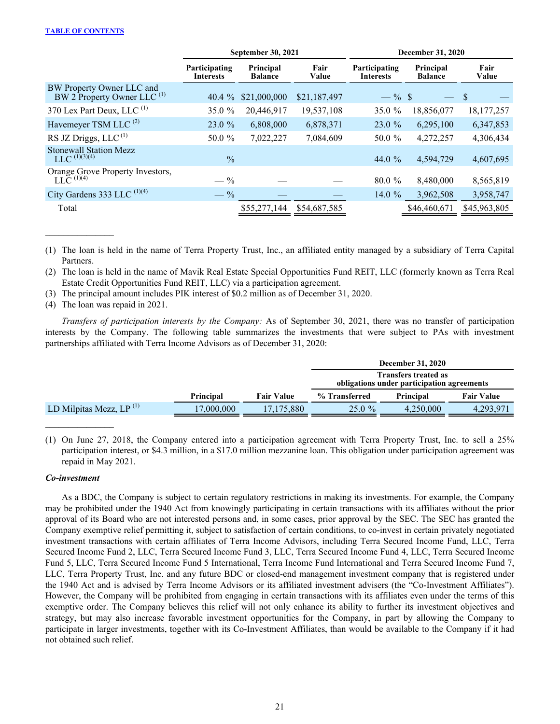|                                                                     |                            | <b>September 30, 2021</b>   |               | <b>December 31, 2020</b>                                         |              |               |  |  |
|---------------------------------------------------------------------|----------------------------|-----------------------------|---------------|------------------------------------------------------------------|--------------|---------------|--|--|
|                                                                     | Participating<br>Interests | Principal<br><b>Balance</b> | Fair<br>Value | Principal<br>Participating<br><b>Balance</b><br><b>Interests</b> |              | Fair<br>Value |  |  |
| BW Property Owner LLC and<br>BW 2 Property Owner LLC <sup>(1)</sup> | 40.4 $\%$                  | \$21,000,000                | \$21,187,497  | $-$ % \$                                                         |              | \$            |  |  |
| 370 Lex Part Deux, LLC $(1)$                                        | 35.0 %                     | 20,446,917                  | 19,537,108    | 35.0 $%$                                                         | 18,856,077   | 18, 177, 257  |  |  |
| Havemeyer TSM LLC <sup>(2)</sup>                                    | 23.0%                      | 6,808,000                   | 6,878,371     | 23.0 %                                                           | 6,295,100    | 6,347,853     |  |  |
| RS JZ Driggs, LLC $(1)$                                             | 50.0 %                     | 7,022,227                   | 7,084,609     | 50.0 %                                                           | 4,272,257    | 4,306,434     |  |  |
| <b>Stonewall Station Mezz</b><br>$LLC$ <sup>(1)(3)(4)</sup>         | $- \frac{9}{6}$            |                             |               | 44.0 %                                                           | 4,594,729    | 4,607,695     |  |  |
| Orange Grove Property Investors,<br>LLC <sup>(1)(4)</sup>           | $- \frac{9}{6}$            |                             |               | $80.0 \%$                                                        | 8,480,000    | 8,565,819     |  |  |
| City Gardens 333 LLC $^{(1)(4)}$                                    | $-$ %                      |                             |               | 14.0 $%$                                                         | 3,962,508    | 3,958,747     |  |  |
| Total                                                               |                            | \$55,277,144                | \$54,687,585  |                                                                  | \$46,460,671 | \$45,963,805  |  |  |
|                                                                     |                            |                             |               |                                                                  |              |               |  |  |

(1) The loan is held in the name of Terra Property Trust, Inc., an affiliated entity managed by a subsidiary of Terra Capital Partners.

(2) The loan is held in the name of Mavik Real Estate Special Opportunities Fund REIT, LLC (formerly known as Terra Real Estate Credit Opportunities Fund REIT, LLC) via a participation agreement.

(3) The principal amount includes PIK interest of \$0.2 million as of December 31, 2020.

(4) The loan was repaid in 2021.

 $\mathcal{L}_\text{max}$  and  $\mathcal{L}_\text{max}$ 

*Transfers of participation interests by the Company:* As of September 30, 2021, there was no transfer of participation interests by the Company. The following table summarizes the investments that were subject to PAs with investment partnerships affiliated with Terra Income Advisors as of December 31, 2020:

|                               |                  |                   | <b>December 31, 2020</b>                                                  |           |  |  |  |  |
|-------------------------------|------------------|-------------------|---------------------------------------------------------------------------|-----------|--|--|--|--|
|                               |                  |                   | <b>Transfers treated as</b><br>obligations under participation agreements |           |  |  |  |  |
|                               | <b>Principal</b> | <b>Fair Value</b> | <b>Fair Value</b><br>% Transferred<br><b>Principal</b>                    |           |  |  |  |  |
| LD Milpitas Mezz, LP $^{(1)}$ | 17,000,000       | 17.175.880        | $25.0 \%$                                                                 | 4.293.971 |  |  |  |  |

(1) On June 27, 2018, the Company entered into a participation agreement with Terra Property Trust, Inc. to sell a 25% participation interest, or \$4.3 million, in a \$17.0 million mezzanine loan. This obligation under participation agreement was repaid in May 2021.

# *Co-investment*

As a BDC, the Company is subject to certain regulatory restrictions in making its investments. For example, the Company may be prohibited under the 1940 Act from knowingly participating in certain transactions with its affiliates without the prior approval of its Board who are not interested persons and, in some cases, prior approval by the SEC. The SEC has granted the Company exemptive relief permitting it, subject to satisfaction of certain conditions, to co-invest in certain privately negotiated investment transactions with certain affiliates of Terra Income Advisors, including Terra Secured Income Fund, LLC, Terra Secured Income Fund 2, LLC, Terra Secured Income Fund 3, LLC, Terra Secured Income Fund 4, LLC, Terra Secured Income Fund 5, LLC, Terra Secured Income Fund 5 International, Terra Income Fund International and Terra Secured Income Fund 7, LLC, Terra Property Trust, Inc. and any future BDC or closed-end management investment company that is registered under the 1940 Act and is advised by Terra Income Advisors or its affiliated investment advisers (the "Co-Investment Affiliates"). However, the Company will be prohibited from engaging in certain transactions with its affiliates even under the terms of this exemptive order. The Company believes this relief will not only enhance its ability to further its investment objectives and strategy, but may also increase favorable investment opportunities for the Company, in part by allowing the Company to participate in larger investments, together with its Co-Investment Affiliates, than would be available to the Company if it had not obtained such relief.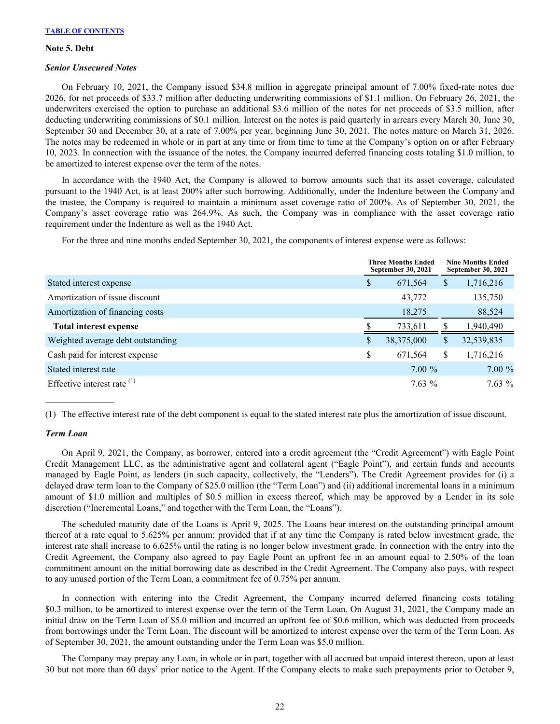#### <span id="page-22-0"></span>**Note 5. Debt**

### *Senior Unsecured Notes*

On February 10, 2021, the Company issued \$34.8 million in aggregate principal amount of 7.00% fixed-rate notes due 2026, for net proceeds of \$33.7 million after deducting underwriting commissions of \$1.1 million. On February 26, 2021, the underwriters exercised the option to purchase an additional \$3.6 million of the notes for net proceeds of \$3.5 million, after deducting underwriting commissions of \$0.1 million. Interest on the notes is paid quarterly in arrears every March 30, June 30, September 30 and December 30, at a rate of 7.00% per year, beginning June 30, 2021. The notes mature on March 31, 2026. The notes may be redeemed in whole or in part at any time or from time to time at the Company's option on or after February 10, 2023. In connection with the issuance of the notes, the Company incurred deferred financing costs totaling \$1.0 million, to be amortized to interest expense over the term of the notes.

In accordance with the 1940 Act, the Company is allowed to borrow amounts such that its asset coverage, calculated pursuant to the 1940 Act, is at least 200% after such borrowing. Additionally, under the Indenture between the Company and the trustee, the Company is required to maintain a minimum asset coverage ratio of 200%. As of September 30, 2021, the Company's asset coverage ratio was 264.9%. As such, the Company was in compliance with the asset coverage ratio requirement under the Indenture as well as the 1940 Act.

For the three and nine months ended September 30, 2021, the components of interest expense were as follows:

|                                   | <b>Three Months Ended</b><br><b>September 30, 2021</b> |            | <b>Nine Months Ended</b><br><b>September 30, 2021</b> |
|-----------------------------------|--------------------------------------------------------|------------|-------------------------------------------------------|
| Stated interest expense           | \$                                                     | 671,564    | \$<br>1,716,216                                       |
| Amortization of issue discount    |                                                        | 43,772     | 135,750                                               |
| Amortization of financing costs   |                                                        | 18,275     | 88,524                                                |
| <b>Total interest expense</b>     |                                                        | 733,611    | 1,940,490                                             |
| Weighted average debt outstanding | \$                                                     | 38,375,000 | \$<br>32,539,835                                      |
| Cash paid for interest expense    | \$                                                     | 671,564    | \$<br>1,716,216                                       |
| Stated interest rate              |                                                        | $7.00\%$   | $7.00\%$                                              |
| Effective interest rate $(1)$     |                                                        | $7.63\%$   | $7.63\%$                                              |

(1) The effective interest rate of the debt component is equal to the stated interest rate plus the amortization of issue discount.

# *Term Loan*

 $\mathcal{L}_\text{max}$  and  $\mathcal{L}_\text{max}$ 

On April 9, 2021, the Company, as borrower, entered into a credit agreement (the "Credit Agreement") with Eagle Point Credit Management LLC, as the administrative agent and collateral agent ("Eagle Point"), and certain funds and accounts managed by Eagle Point, as lenders (in such capacity, collectively, the "Lenders"). The Credit Agreement provides for (i) a delayed draw term loan to the Company of \$25.0 million (the "Term Loan") and (ii) additional incremental loans in a minimum amount of \$1.0 million and multiples of \$0.5 million in excess thereof, which may be approved by a Lender in its sole discretion ("Incremental Loans," and together with the Term Loan, the "Loans").

The scheduled maturity date of the Loans is April 9, 2025. The Loans bear interest on the outstanding principal amount thereof at a rate equal to 5.625% per annum; provided that if at any time the Company is rated below investment grade, the interest rate shall increase to 6.625% until the rating is no longer below investment grade. In connection with the entry into the Credit Agreement, the Company also agreed to pay Eagle Point an upfront fee in an amount equal to 2.50% of the loan commitment amount on the initial borrowing date as described in the Credit Agreement. The Company also pays, with respect to any unused portion of the Term Loan, a commitment fee of 0.75% per annum.

In connection with entering into the Credit Agreement, the Company incurred deferred financing costs totaling \$0.3 million, to be amortized to interest expense over the term of the Term Loan. On August 31, 2021, the Company made an initial draw on the Term Loan of \$5.0 million and incurred an upfront fee of \$0.6 million, which was deducted from proceeds from borrowings under the Term Loan. The discount will be amortized to interest expense over the term of the Term Loan. As of September 30, 2021, the amount outstanding under the Term Loan was \$5.0 million.

The Company may prepay any Loan, in whole or in part, together with all accrued but unpaid interest thereon, upon at least 30 but not more than 60 days' prior notice to the Agent. If the Company elects to make such prepayments prior to October 9,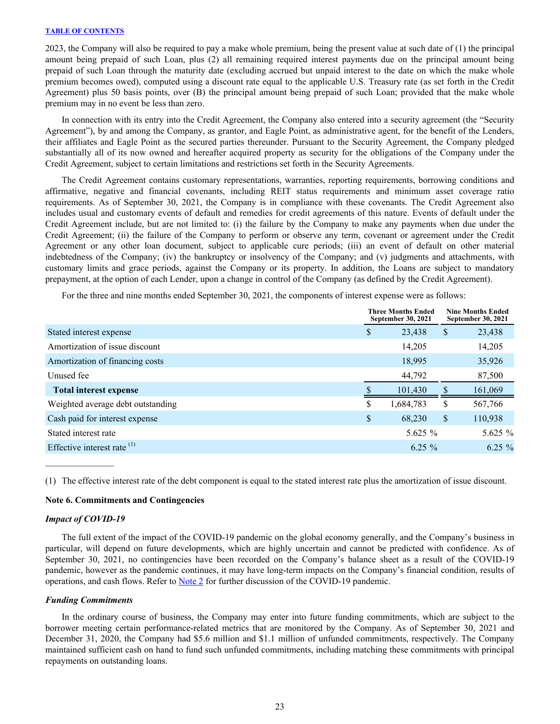<span id="page-23-0"></span>2023, the Company will also be required to pay a make whole premium, being the present value at such date of (1) the principal amount being prepaid of such Loan, plus (2) all remaining required interest payments due on the principal amount being prepaid of such Loan through the maturity date (excluding accrued but unpaid interest to the date on which the make whole premium becomes owed), computed using a discount rate equal to the applicable U.S. Treasury rate (as set forth in the Credit Agreement) plus 50 basis points, over (B) the principal amount being prepaid of such Loan; provided that the make whole premium may in no event be less than zero.

In connection with its entry into the Credit Agreement, the Company also entered into a security agreement (the "Security Agreement"), by and among the Company, as grantor, and Eagle Point, as administrative agent, for the benefit of the Lenders, their affiliates and Eagle Point as the secured parties thereunder. Pursuant to the Security Agreement, the Company pledged substantially all of its now owned and hereafter acquired property as security for the obligations of the Company under the Credit Agreement, subject to certain limitations and restrictions set forth in the Security Agreements.

The Credit Agreement contains customary representations, warranties, reporting requirements, borrowing conditions and affirmative, negative and financial covenants, including REIT status requirements and minimum asset coverage ratio requirements. As of September 30, 2021, the Company is in compliance with these covenants. The Credit Agreement also includes usual and customary events of default and remedies for credit agreements of this nature. Events of default under the Credit Agreement include, but are not limited to: (i) the failure by the Company to make any payments when due under the Credit Agreement; (ii) the failure of the Company to perform or observe any term, covenant or agreement under the Credit Agreement or any other loan document, subject to applicable cure periods; (iii) an event of default on other material indebtedness of the Company; (iv) the bankruptcy or insolvency of the Company; and (v) judgments and attachments, with customary limits and grace periods, against the Company or its property. In addition, the Loans are subject to mandatory prepayment, at the option of each Lender, upon a change in control of the Company (as defined by the Credit Agreement).

For the three and nine months ended September 30, 2021, the components of interest expense were as follows:

|                                        | <b>Three Months Ended</b><br>September 30, 2021 |    | <b>Nine Months Ended</b><br>September 30, 2021 |  |
|----------------------------------------|-------------------------------------------------|----|------------------------------------------------|--|
| Stated interest expense                | \$<br>23,438                                    | \$ | 23,438                                         |  |
| Amortization of issue discount         | 14,205                                          |    | 14,205                                         |  |
| Amortization of financing costs        | 18,995                                          |    | 35,926                                         |  |
| Unused fee                             | 44,792                                          |    | 87,500                                         |  |
| <b>Total interest expense</b>          | 101,430                                         |    | 161,069                                        |  |
| Weighted average debt outstanding      | \$<br>1,684,783                                 | \$ | 567,766                                        |  |
| Cash paid for interest expense         | \$<br>68,230                                    | \$ | 110,938                                        |  |
| Stated interest rate                   | 5.625 $%$                                       |    | 5.625 $%$                                      |  |
| Effective interest rate <sup>(1)</sup> | $6.25 \%$                                       |    | $6.25 \%$                                      |  |

(1) The effective interest rate of the debt component is equal to the stated interest rate plus the amortization of issue discount.

# **Note 6. Commitments and Contingencies**

#### *Impact of COVID-19*

 $\mathcal{L}_\text{max}$  and  $\mathcal{L}_\text{max}$ 

The full extent of the impact of the COVID-19 pandemic on the global economy generally, and the Company's business in particular, will depend on future developments, which are highly uncertain and cannot be predicted with confidence. As of September 30, 2021, no contingencies have been recorded on the Company's balance sheet as a result of the COVID-19 pandemic, however as the pandemic continues, it may have long-term impacts on the Company's financial condition, results of operations, and cash flows. Refer to [Note 2](#page-11-0) for further discussion of the COVID-19 pandemic.

#### *Funding Commitments*

In the ordinary course of business, the Company may enter into future funding commitments, which are subject to the borrower meeting certain performance-related metrics that are monitored by the Company. As of September 30, 2021 and December 31, 2020, the Company had \$5.6 million and \$1.1 million of unfunded commitments, respectively. The Company maintained sufficient cash on hand to fund such unfunded commitments, including matching these commitments with principal repayments on outstanding loans.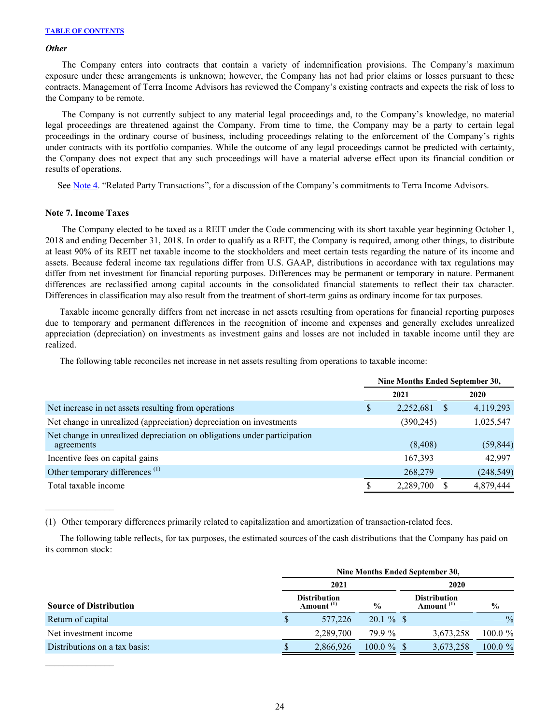#### *Other*

The Company enters into contracts that contain a variety of indemnification provisions. The Company's maximum exposure under these arrangements is unknown; however, the Company has not had prior claims or losses pursuant to these contracts. Management of Terra Income Advisors has reviewed the Company's existing contracts and expects the risk of loss to the Company to be remote.

The Company is not currently subject to any material legal proceedings and, to the Company's knowledge, no material legal proceedings are threatened against the Company. From time to time, the Company may be a party to certain legal proceedings in the ordinary course of business, including proceedings relating to the enforcement of the Company's rights under contracts with its portfolio companies. While the outcome of any legal proceedings cannot be predicted with certainty, the Company does not expect that any such proceedings will have a material adverse effect upon its financial condition or results of operations.

See [Note 4.](#page-18-0) "Related Party Transactions", for a discussion of the Company's commitments to Terra Income Advisors.

### **Note 7. Income Taxes**

 $\mathcal{L}_\text{max}$  and  $\mathcal{L}_\text{max}$ 

The Company elected to be taxed as a REIT under the Code commencing with its short taxable year beginning October 1, 2018 and ending December 31, 2018. In order to qualify as a REIT, the Company is required, among other things, to distribute at least 90% of its REIT net taxable income to the stockholders and meet certain tests regarding the nature of its income and assets. Because federal income tax regulations differ from U.S. GAAP, distributions in accordance with tax regulations may differ from net investment for financial reporting purposes. Differences may be permanent or temporary in nature. Permanent differences are reclassified among capital accounts in the consolidated financial statements to reflect their tax character. Differences in classification may also result from the treatment of short-term gains as ordinary income for tax purposes.

Taxable income generally differs from net increase in net assets resulting from operations for financial reporting purposes due to temporary and permanent differences in the recognition of income and expenses and generally excludes unrealized appreciation (depreciation) on investments as investment gains and losses are not included in taxable income until they are realized.

The following table reconciles net increase in net assets resulting from operations to taxable income:

|                                                                                        | Nine Months Ended September 30, |            |              |            |  |
|----------------------------------------------------------------------------------------|---------------------------------|------------|--------------|------------|--|
|                                                                                        |                                 | 2021       |              | 2020       |  |
| Net increase in net assets resulting from operations                                   | S                               | 2,252,681  | <sup>8</sup> | 4,119,293  |  |
| Net change in unrealized (appreciation) depreciation on investments                    |                                 | (390, 245) |              | 1,025,547  |  |
| Net change in unrealized depreciation on obligations under participation<br>agreements |                                 | (8, 408)   |              | (59, 844)  |  |
| Incentive fees on capital gains                                                        |                                 | 167,393    |              | 42.997     |  |
| Other temporary differences <sup>(1)</sup>                                             |                                 | 268,279    |              | (248, 549) |  |
| Total taxable income                                                                   |                                 | 2,289,700  |              | 4,879,444  |  |

(1) Other temporary differences primarily related to capitalization and amortization of transaction-related fees.

The following table reflects, for tax purposes, the estimated sources of the cash distributions that the Company has paid on its common stock:

|                               | Nine Months Ended September 30, |                                              |               |      |                                              |                 |  |  |  |  |  |
|-------------------------------|---------------------------------|----------------------------------------------|---------------|------|----------------------------------------------|-----------------|--|--|--|--|--|
|                               |                                 | 2021                                         |               | 2020 |                                              |                 |  |  |  |  |  |
| <b>Source of Distribution</b> |                                 | <b>Distribution</b><br>Amount <sup>(1)</sup> | $\frac{6}{6}$ |      | <b>Distribution</b><br>Amount <sup>(1)</sup> | $\frac{0}{0}$   |  |  |  |  |  |
| Return of capital             | S                               | 577,226                                      | $20.1 \%$ \$  |      |                                              | $- \frac{9}{6}$ |  |  |  |  |  |
| Net investment income         |                                 | 2,289,700                                    | 79.9 %        |      | 3,673,258                                    | $100.0 \%$      |  |  |  |  |  |
| Distributions on a tax basis: | \$                              | 2,866,926                                    | $100.0 \%$ \$ |      | 3,673,258                                    | $100.0 \%$      |  |  |  |  |  |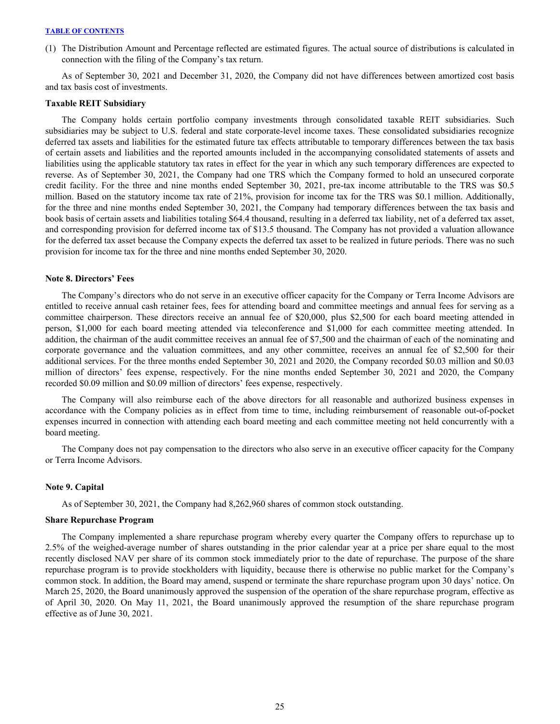(1) The Distribution Amount and Percentage reflected are estimated figures. The actual source of distributions is calculated in connection with the filing of the Company's tax return.

 As of September 30, 2021 and December 31, 2020, the Company did not have differences between amortized cost basis and tax basis cost of investments.

#### **Taxable REIT Subsidiary**

The Company holds certain portfolio company investments through consolidated taxable REIT subsidiaries. Such subsidiaries may be subject to U.S. federal and state corporate-level income taxes. These consolidated subsidiaries recognize deferred tax assets and liabilities for the estimated future tax effects attributable to temporary differences between the tax basis of certain assets and liabilities and the reported amounts included in the accompanying consolidated statements of assets and liabilities using the applicable statutory tax rates in effect for the year in which any such temporary differences are expected to reverse. As of September 30, 2021, the Company had one TRS which the Company formed to hold an unsecured corporate credit facility. For the three and nine months ended September 30, 2021, pre-tax income attributable to the TRS was \$0.5 million. Based on the statutory income tax rate of 21%, provision for income tax for the TRS was \$0.1 million. Additionally, for the three and nine months ended September 30, 2021, the Company had temporary differences between the tax basis and book basis of certain assets and liabilities totaling \$64.4 thousand, resulting in a deferred tax liability, net of a deferred tax asset, and corresponding provision for deferred income tax of \$13.5 thousand. The Company has not provided a valuation allowance for the deferred tax asset because the Company expects the deferred tax asset to be realized in future periods. There was no such provision for income tax for the three and nine months ended September 30, 2020.

#### **Note 8. Directors' Fees**

The Company's directors who do not serve in an executive officer capacity for the Company or Terra Income Advisors are entitled to receive annual cash retainer fees, fees for attending board and committee meetings and annual fees for serving as a committee chairperson. These directors receive an annual fee of \$20,000, plus \$2,500 for each board meeting attended in person, \$1,000 for each board meeting attended via teleconference and \$1,000 for each committee meeting attended. In addition, the chairman of the audit committee receives an annual fee of \$7,500 and the chairman of each of the nominating and corporate governance and the valuation committees, and any other committee, receives an annual fee of \$2,500 for their additional services. For the three months ended September 30, 2021 and 2020, the Company recorded \$0.03 million and \$0.03 million of directors' fees expense, respectively. For the nine months ended September 30, 2021 and 2020, the Company recorded \$0.09 million and \$0.09 million of directors' fees expense, respectively.

The Company will also reimburse each of the above directors for all reasonable and authorized business expenses in accordance with the Company policies as in effect from time to time, including reimbursement of reasonable out-of-pocket expenses incurred in connection with attending each board meeting and each committee meeting not held concurrently with a board meeting.

The Company does not pay compensation to the directors who also serve in an executive officer capacity for the Company or Terra Income Advisors.

#### **Note 9. Capital**

As of September 30, 2021, the Company had 8,262,960 shares of common stock outstanding.

#### **Share Repurchase Program**

 The Company implemented a share repurchase program whereby every quarter the Company offers to repurchase up to 2.5% of the weighed-average number of shares outstanding in the prior calendar year at a price per share equal to the most recently disclosed NAV per share of its common stock immediately prior to the date of repurchase. The purpose of the share repurchase program is to provide stockholders with liquidity, because there is otherwise no public market for the Company's common stock. In addition, the Board may amend, suspend or terminate the share repurchase program upon 30 days' notice. On March 25, 2020, the Board unanimously approved the suspension of the operation of the share repurchase program, effective as of April 30, 2020. On May 11, 2021, the Board unanimously approved the resumption of the share repurchase program effective as of June 30, 2021.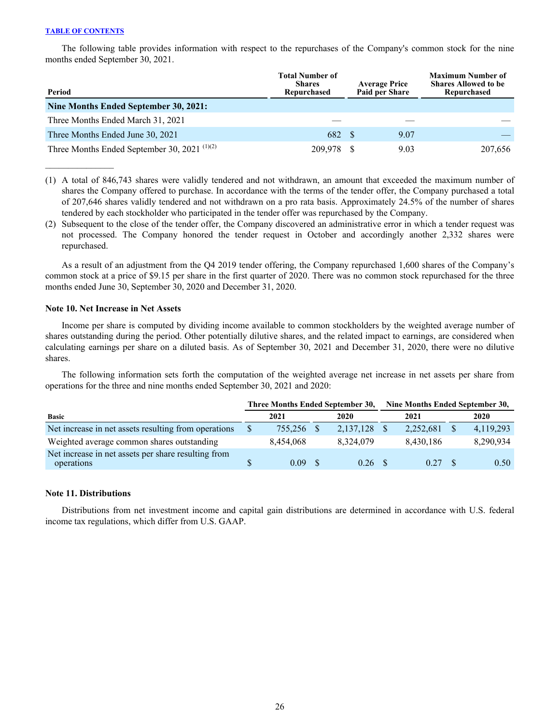$\mathcal{L}_\text{max}$  and  $\mathcal{L}_\text{max}$ 

The following table provides information with respect to the repurchases of the Company's common stock for the nine months ended September 30, 2021.

| Period                                                               | <b>Total Number of</b><br><b>Shares</b><br>Repurchased | <b>Average Price</b><br>Paid per Share | <b>Maximum Number of</b><br><b>Shares Allowed to be</b><br>Repurchased |
|----------------------------------------------------------------------|--------------------------------------------------------|----------------------------------------|------------------------------------------------------------------------|
| Nine Months Ended September 30, 2021:                                |                                                        |                                        |                                                                        |
| Three Months Ended March 31, 2021                                    |                                                        |                                        |                                                                        |
| Three Months Ended June 30, 2021                                     | 682 \$                                                 | 9.07                                   |                                                                        |
| Three Months Ended September 30, 2021 <sup><math>(1)(2)</math></sup> | 209,978 \$                                             | 9.03                                   | 207,656                                                                |

(1) A total of 846,743 shares were validly tendered and not withdrawn, an amount that exceeded the maximum number of shares the Company offered to purchase. In accordance with the terms of the tender offer, the Company purchased a total of 207,646 shares validly tendered and not withdrawn on a pro rata basis. Approximately 24.5% of the number of shares tendered by each stockholder who participated in the tender offer was repurchased by the Company.

(2) Subsequent to the close of the tender offer, the Company discovered an administrative error in which a tender request was not processed. The Company honored the tender request in October and accordingly another 2,332 shares were repurchased.

As a result of an adjustment from the Q4 2019 tender offering, the Company repurchased 1,600 shares of the Company's common stock at a price of \$9.15 per share in the first quarter of 2020. There was no common stock repurchased for the three months ended June 30, September 30, 2020 and December 31, 2020.

# **Note 10. Net Increase in Net Assets**

Income per share is computed by dividing income available to common stockholders by the weighted average number of shares outstanding during the period. Other potentially dilutive shares, and the related impact to earnings, are considered when calculating earnings per share on a diluted basis. As of September 30, 2021 and December 31, 2020, there were no dilutive shares.

The following information sets forth the computation of the weighted average net increase in net assets per share from operations for the three and nine months ended September 30, 2021 and 2020:

|                                                                   | Three Months Ended September 30, |           |  |           | Nine Months Ended September 30, |           |  |           |
|-------------------------------------------------------------------|----------------------------------|-----------|--|-----------|---------------------------------|-----------|--|-----------|
| <b>Basic</b>                                                      |                                  | 2021      |  | 2020      |                                 | 2021      |  | 2020      |
| Net increase in net assets resulting from operations              |                                  | 755.256   |  | 2,137,128 |                                 | 2,252,681 |  | 4,119,293 |
| Weighted average common shares outstanding                        |                                  | 8.454.068 |  | 8.324.079 |                                 | 8,430,186 |  | 8,290,934 |
| Net increase in net assets per share resulting from<br>operations |                                  | 0.09      |  | 0.26      |                                 | 0.27      |  | 0.50      |

# **Note 11. Distributions**

Distributions from net investment income and capital gain distributions are determined in accordance with U.S. federal income tax regulations, which differ from U.S. GAAP.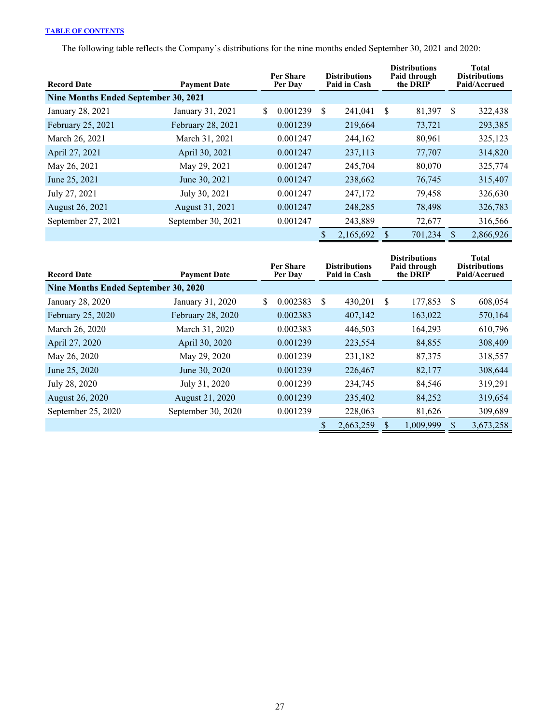The following table reflects the Company's distributions for the nine months ended September 30, 2021 and 2020:

| <b>Record Date</b>                          | <b>Payment Date</b> |   | Per Share<br>Per Day |    | <b>Distributions</b><br>Paid in Cash |    | <b>Distributions</b><br>Paid through<br>the DRIP |     | <b>Total</b><br><b>Distributions</b><br>Paid/Accrued |
|---------------------------------------------|---------------------|---|----------------------|----|--------------------------------------|----|--------------------------------------------------|-----|------------------------------------------------------|
| <b>Nine Months Ended September 30, 2021</b> |                     |   |                      |    |                                      |    |                                                  |     |                                                      |
| January 28, 2021                            | January 31, 2021    | S | 0.001239             | \$ | 241,041                              | -S | 81,397                                           | \$  | 322,438                                              |
| February 25, 2021                           | February 28, 2021   |   | 0.001239             |    | 219,664                              |    | 73,721                                           |     | 293,385                                              |
| March 26, 2021                              | March 31, 2021      |   | 0.001247             |    | 244,162                              |    | 80,961                                           |     | 325,123                                              |
| April 27, 2021                              | April 30, 2021      |   | 0.001247             |    | 237,113                              |    | 77,707                                           |     | 314,820                                              |
| May 26, 2021                                | May 29, 2021        |   | 0.001247             |    | 245,704                              |    | 80,070                                           |     | 325,774                                              |
| June 25, 2021                               | June 30, 2021       |   | 0.001247             |    | 238,662                              |    | 76,745                                           |     | 315,407                                              |
| July 27, 2021                               | July 30, 2021       |   | 0.001247             |    | 247,172                              |    | 79,458                                           |     | 326,630                                              |
| August 26, 2021                             | August 31, 2021     |   | 0.001247             |    | 248,285                              |    | 78,498                                           |     | 326,783                                              |
| September 27, 2021                          | September 30, 2021  |   | 0.001247             |    | 243,889                              |    | 72,677                                           |     | 316,566                                              |
|                                             |                     |   |                      | S  | 2,165,692                            |    | 701,234                                          | \$. | 2,866,926                                            |

| <b>Record Date</b>                   | <b>Payment Date</b> | Per Share<br>Per Day |    | <b>Distributions</b><br>Paid in Cash | <b>Distributions</b><br>Paid through<br>the DRIP |           | Total<br><b>Distributions</b><br>Paid/Accrued |           |
|--------------------------------------|---------------------|----------------------|----|--------------------------------------|--------------------------------------------------|-----------|-----------------------------------------------|-----------|
| Nine Months Ended September 30, 2020 |                     |                      |    |                                      |                                                  |           |                                               |           |
| January 28, 2020                     | January 31, 2020    | \$<br>0.002383       | -S | 430,201                              | -S                                               | 177,853   | S                                             | 608,054   |
| February 25, 2020                    | February 28, 2020   | 0.002383             |    | 407,142                              |                                                  | 163,022   |                                               | 570,164   |
| March 26, 2020                       | March 31, 2020      | 0.002383             |    | 446,503                              |                                                  | 164,293   |                                               | 610,796   |
| April 27, 2020                       | April 30, 2020      | 0.001239             |    | 223,554                              |                                                  | 84,855    |                                               | 308,409   |
| May 26, 2020                         | May 29, 2020        | 0.001239             |    | 231,182                              |                                                  | 87,375    |                                               | 318,557   |
| June 25, 2020                        | June 30, 2020       | 0.001239             |    | 226,467                              |                                                  | 82,177    |                                               | 308,644   |
| July 28, 2020                        | July 31, 2020       | 0.001239             |    | 234,745                              |                                                  | 84,546    |                                               | 319,291   |
| <b>August 26, 2020</b>               | August 21, 2020     | 0.001239             |    | 235,402                              |                                                  | 84,252    |                                               | 319,654   |
| September 25, 2020                   | September 30, 2020  | 0.001239             |    | 228,063                              |                                                  | 81,626    |                                               | 309,689   |
|                                      |                     |                      |    | 2,663,259                            |                                                  | 1,009,999 | S                                             | 3,673,258 |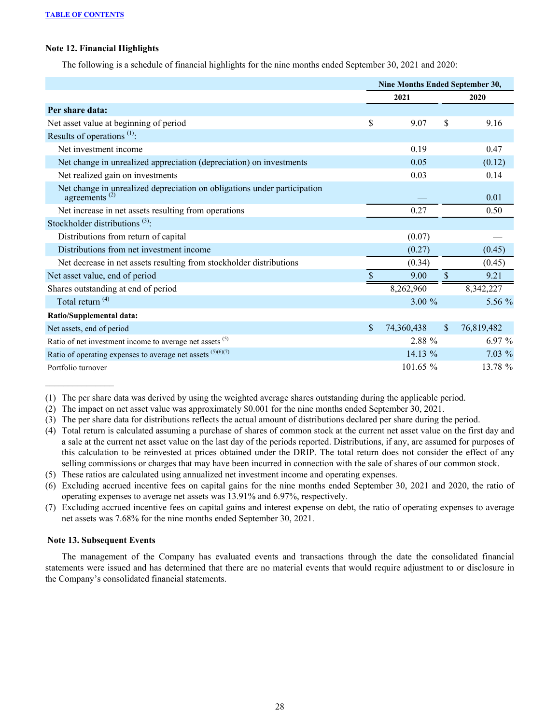# **Note 12. Financial Highlights**

The following is a schedule of financial highlights for the nine months ended September 30, 2021 and 2020:

|                                                                                                       | Nine Months Ended September 30, |              |            |  |  |
|-------------------------------------------------------------------------------------------------------|---------------------------------|--------------|------------|--|--|
|                                                                                                       | 2021                            |              | 2020       |  |  |
| Per share data:                                                                                       |                                 |              |            |  |  |
| Net asset value at beginning of period                                                                | \$<br>9.07                      | \$           | 9.16       |  |  |
| Results of operations $(1)$ :                                                                         |                                 |              |            |  |  |
| Net investment income                                                                                 | 0.19                            |              | 0.47       |  |  |
| Net change in unrealized appreciation (depreciation) on investments                                   | 0.05                            |              | (0.12)     |  |  |
| Net realized gain on investments                                                                      | 0.03                            |              | 0.14       |  |  |
| Net change in unrealized depreciation on obligations under participation<br>agreements <sup>(2)</sup> |                                 |              | 0.01       |  |  |
| Net increase in net assets resulting from operations                                                  | 0.27                            |              | 0.50       |  |  |
| Stockholder distributions $(3)$ :                                                                     |                                 |              |            |  |  |
| Distributions from return of capital                                                                  | (0.07)                          |              |            |  |  |
| Distributions from net investment income                                                              | (0.27)                          |              | (0.45)     |  |  |
| Net decrease in net assets resulting from stockholder distributions                                   | (0.34)                          |              | (0.45)     |  |  |
| Net asset value, end of period                                                                        | 9.00                            | \$           | 9.21       |  |  |
| Shares outstanding at end of period                                                                   | 8,262,960                       |              | 8,342,227  |  |  |
| Total return <sup>(4)</sup>                                                                           | $3.00 \%$                       |              | 5.56 $%$   |  |  |
| Ratio/Supplemental data:                                                                              |                                 |              |            |  |  |
| Net assets, end of period                                                                             | \$<br>74,360,438                | $\mathbb{S}$ | 76,819,482 |  |  |
| Ratio of net investment income to average net assets (5)                                              | 2.88 %                          |              | 6.97%      |  |  |
| Ratio of operating expenses to average net assets $(5)(6)(7)$                                         | 14.13 %                         |              | $7.03\%$   |  |  |
| Portfolio turnover                                                                                    | 101.65 %                        |              | 13.78 %    |  |  |

(1) The per share data was derived by using the weighted average shares outstanding during the applicable period.

- (2) The impact on net asset value was approximately \$0.001 for the nine months ended September 30, 2021.
- (3) The per share data for distributions reflects the actual amount of distributions declared per share during the period.
- (4) Total return is calculated assuming a purchase of shares of common stock at the current net asset value on the first day and a sale at the current net asset value on the last day of the periods reported. Distributions, if any, are assumed for purposes of this calculation to be reinvested at prices obtained under the DRIP. The total return does not consider the effect of any selling commissions or charges that may have been incurred in connection with the sale of shares of our common stock.
- (5) These ratios are calculated using annualized net investment income and operating expenses.
- (6) Excluding accrued incentive fees on capital gains for the nine months ended September 30, 2021 and 2020, the ratio of operating expenses to average net assets was 13.91% and 6.97%, respectively.
- (7) Excluding accrued incentive fees on capital gains and interest expense on debt, the ratio of operating expenses to average net assets was 7.68% for the nine months ended September 30, 2021.

# **Note 13. Subsequent Events**

The management of the Company has evaluated events and transactions through the date the consolidated financial statements were issued and has determined that there are no material events that would require adjustment to or disclosure in the Company's consolidated financial statements.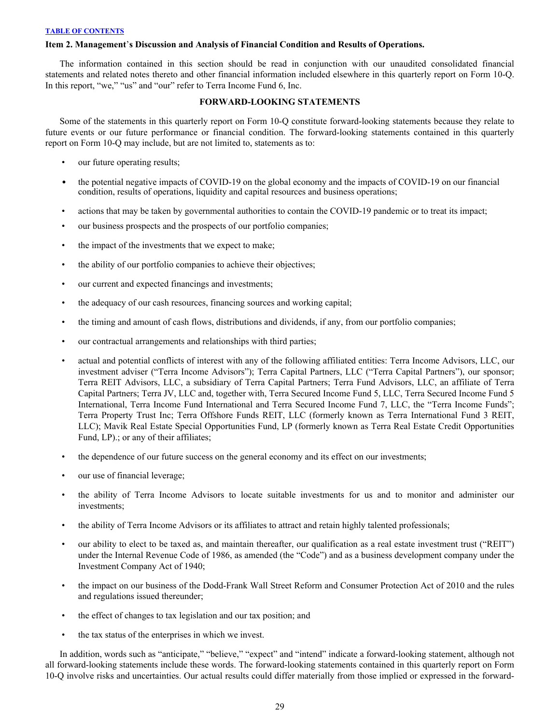# <span id="page-29-0"></span>**Item 2. Management**'**s Discussion and Analysis of Financial Condition and Results of Operations.**

The information contained in this section should be read in conjunction with our unaudited consolidated financial statements and related notes thereto and other financial information included elsewhere in this quarterly report on Form 10-Q. In this report, "we," "us" and "our" refer to Terra Income Fund 6, Inc.

# **FORWARD-LOOKING STATEMENTS**

Some of the statements in this quarterly report on Form 10-Q constitute forward-looking statements because they relate to future events or our future performance or financial condition. The forward-looking statements contained in this quarterly report on Form 10-Q may include, but are not limited to, statements as to:

- our future operating results;
- the potential negative impacts of COVID-19 on the global economy and the impacts of COVID-19 on our financial condition, results of operations, liquidity and capital resources and business operations;
- actions that may be taken by governmental authorities to contain the COVID-19 pandemic or to treat its impact;
- our business prospects and the prospects of our portfolio companies;
- the impact of the investments that we expect to make;
- the ability of our portfolio companies to achieve their objectives;
- our current and expected financings and investments;
- the adequacy of our cash resources, financing sources and working capital;
- the timing and amount of cash flows, distributions and dividends, if any, from our portfolio companies;
- our contractual arrangements and relationships with third parties;
- actual and potential conflicts of interest with any of the following affiliated entities: Terra Income Advisors, LLC, our investment adviser ("Terra Income Advisors"); Terra Capital Partners, LLC ("Terra Capital Partners"), our sponsor; Terra REIT Advisors, LLC, a subsidiary of Terra Capital Partners; Terra Fund Advisors, LLC, an affiliate of Terra Capital Partners; Terra JV, LLC and, together with, Terra Secured Income Fund 5, LLC, Terra Secured Income Fund 5 International, Terra Income Fund International and Terra Secured Income Fund 7, LLC, the "Terra Income Funds"; Terra Property Trust Inc; Terra Offshore Funds REIT, LLC (formerly known as Terra International Fund 3 REIT, LLC); Mavik Real Estate Special Opportunities Fund, LP (formerly known as Terra Real Estate Credit Opportunities Fund, LP).; or any of their affiliates;
- the dependence of our future success on the general economy and its effect on our investments;
- our use of financial leverage;
- the ability of Terra Income Advisors to locate suitable investments for us and to monitor and administer our investments;
- the ability of Terra Income Advisors or its affiliates to attract and retain highly talented professionals;
- our ability to elect to be taxed as, and maintain thereafter, our qualification as a real estate investment trust ("REIT") under the Internal Revenue Code of 1986, as amended (the "Code") and as a business development company under the Investment Company Act of 1940;
- the impact on our business of the Dodd-Frank Wall Street Reform and Consumer Protection Act of 2010 and the rules and regulations issued thereunder;
- the effect of changes to tax legislation and our tax position; and
- the tax status of the enterprises in which we invest.

In addition, words such as "anticipate," "believe," "expect" and "intend" indicate a forward-looking statement, although not all forward-looking statements include these words. The forward-looking statements contained in this quarterly report on Form 10-Q involve risks and uncertainties. Our actual results could differ materially from those implied or expressed in the forward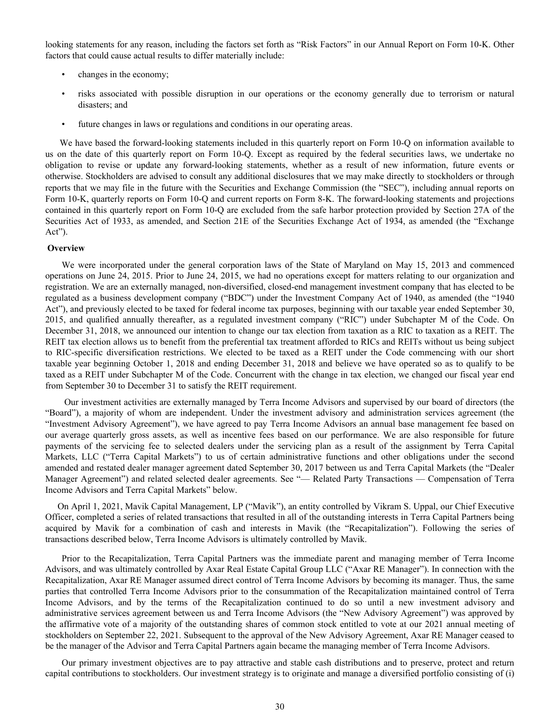looking statements for any reason, including the factors set forth as "Risk Factors" in our Annual Report on Form 10-K. Other factors that could cause actual results to differ materially include:

- changes in the economy;
- risks associated with possible disruption in our operations or the economy generally due to terrorism or natural disasters; and
- future changes in laws or regulations and conditions in our operating areas.

We have based the forward-looking statements included in this quarterly report on Form 10-Q on information available to us on the date of this quarterly report on Form 10-Q. Except as required by the federal securities laws, we undertake no obligation to revise or update any forward-looking statements, whether as a result of new information, future events or otherwise. Stockholders are advised to consult any additional disclosures that we may make directly to stockholders or through reports that we may file in the future with the Securities and Exchange Commission (the "SEC"), including annual reports on Form 10-K, quarterly reports on Form 10-Q and current reports on Form 8-K. The forward-looking statements and projections contained in this quarterly report on Form 10-Q are excluded from the safe harbor protection provided by Section 27A of the Securities Act of 1933, as amended, and Section 21E of the Securities Exchange Act of 1934, as amended (the "Exchange Act").

### **Overview**

We were incorporated under the general corporation laws of the State of Maryland on May 15, 2013 and commenced operations on June 24, 2015. Prior to June 24, 2015, we had no operations except for matters relating to our organization and registration. We are an externally managed, non-diversified, closed-end management investment company that has elected to be regulated as a business development company ("BDC") under the Investment Company Act of 1940, as amended (the "1940 Act"), and previously elected to be taxed for federal income tax purposes, beginning with our taxable year ended September 30, 2015, and qualified annually thereafter, as a regulated investment company ("RIC") under Subchapter M of the Code. On December 31, 2018, we announced our intention to change our tax election from taxation as a RIC to taxation as a REIT. The REIT tax election allows us to benefit from the preferential tax treatment afforded to RICs and REITs without us being subject to RIC-specific diversification restrictions. We elected to be taxed as a REIT under the Code commencing with our short taxable year beginning October 1, 2018 and ending December 31, 2018 and believe we have operated so as to qualify to be taxed as a REIT under Subchapter M of the Code. Concurrent with the change in tax election, we changed our fiscal year end from September 30 to December 31 to satisfy the REIT requirement.

 Our investment activities are externally managed by Terra Income Advisors and supervised by our board of directors (the "Board"), a majority of whom are independent. Under the investment advisory and administration services agreement (the "Investment Advisory Agreement"), we have agreed to pay Terra Income Advisors an annual base management fee based on our average quarterly gross assets, as well as incentive fees based on our performance. We are also responsible for future payments of the servicing fee to selected dealers under the servicing plan as a result of the assignment by Terra Capital Markets, LLC ("Terra Capital Markets") to us of certain administrative functions and other obligations under the second amended and restated dealer manager agreement dated September 30, 2017 between us and Terra Capital Markets (the "Dealer Manager Agreement") and related selected dealer agreements. See "— Related Party Transactions — Compensation of Terra Income Advisors and Terra Capital Markets" below.

On April 1, 2021, Mavik Capital Management, LP ("Mavik"), an entity controlled by Vikram S. Uppal, our Chief Executive Officer, completed a series of related transactions that resulted in all of the outstanding interests in Terra Capital Partners being acquired by Mavik for a combination of cash and interests in Mavik (the "Recapitalization"). Following the series of transactions described below, Terra Income Advisors is ultimately controlled by Mavik.

Prior to the Recapitalization, Terra Capital Partners was the immediate parent and managing member of Terra Income Advisors, and was ultimately controlled by Axar Real Estate Capital Group LLC ("Axar RE Manager"). In connection with the Recapitalization, Axar RE Manager assumed direct control of Terra Income Advisors by becoming its manager. Thus, the same parties that controlled Terra Income Advisors prior to the consummation of the Recapitalization maintained control of Terra Income Advisors, and by the terms of the Recapitalization continued to do so until a new investment advisory and administrative services agreement between us and Terra Income Advisors (the "New Advisory Agreement") was approved by the affirmative vote of a majority of the outstanding shares of common stock entitled to vote at our 2021 annual meeting of stockholders on September 22, 2021. Subsequent to the approval of the New Advisory Agreement, Axar RE Manager ceased to be the manager of the Advisor and Terra Capital Partners again became the managing member of Terra Income Advisors.

Our primary investment objectives are to pay attractive and stable cash distributions and to preserve, protect and return capital contributions to stockholders. Our investment strategy is to originate and manage a diversified portfolio consisting of (i)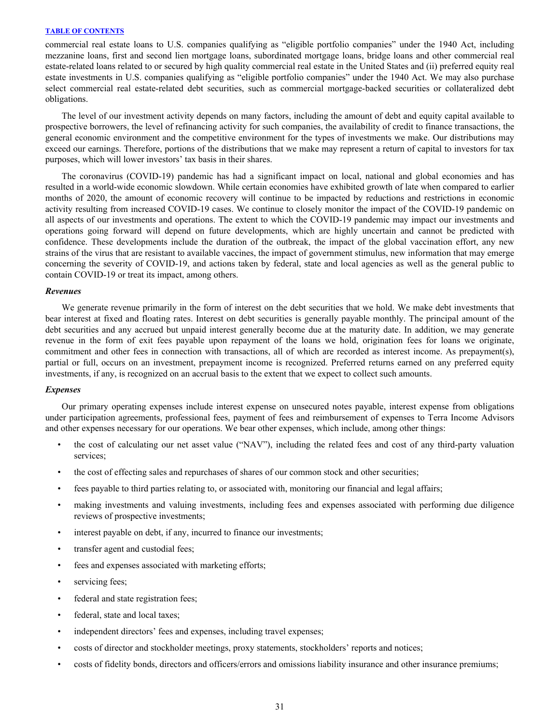commercial real estate loans to U.S. companies qualifying as "eligible portfolio companies" under the 1940 Act, including mezzanine loans, first and second lien mortgage loans, subordinated mortgage loans, bridge loans and other commercial real estate-related loans related to or secured by high quality commercial real estate in the United States and (ii) preferred equity real estate investments in U.S. companies qualifying as "eligible portfolio companies" under the 1940 Act. We may also purchase select commercial real estate-related debt securities, such as commercial mortgage-backed securities or collateralized debt obligations.

The level of our investment activity depends on many factors, including the amount of debt and equity capital available to prospective borrowers, the level of refinancing activity for such companies, the availability of credit to finance transactions, the general economic environment and the competitive environment for the types of investments we make. Our distributions may exceed our earnings. Therefore, portions of the distributions that we make may represent a return of capital to investors for tax purposes, which will lower investors' tax basis in their shares.

The coronavirus (COVID-19) pandemic has had a significant impact on local, national and global economies and has resulted in a world-wide economic slowdown. While certain economies have exhibited growth of late when compared to earlier months of 2020, the amount of economic recovery will continue to be impacted by reductions and restrictions in economic activity resulting from increased COVID-19 cases. We continue to closely monitor the impact of the COVID-19 pandemic on all aspects of our investments and operations. The extent to which the COVID-19 pandemic may impact our investments and operations going forward will depend on future developments, which are highly uncertain and cannot be predicted with confidence. These developments include the duration of the outbreak, the impact of the global vaccination effort, any new strains of the virus that are resistant to available vaccines, the impact of government stimulus, new information that may emerge concerning the severity of COVID-19, and actions taken by federal, state and local agencies as well as the general public to contain COVID-19 or treat its impact, among others.

#### *Revenues*

We generate revenue primarily in the form of interest on the debt securities that we hold. We make debt investments that bear interest at fixed and floating rates. Interest on debt securities is generally payable monthly. The principal amount of the debt securities and any accrued but unpaid interest generally become due at the maturity date. In addition, we may generate revenue in the form of exit fees payable upon repayment of the loans we hold, origination fees for loans we originate, commitment and other fees in connection with transactions, all of which are recorded as interest income. As prepayment(s), partial or full, occurs on an investment, prepayment income is recognized. Preferred returns earned on any preferred equity investments, if any, is recognized on an accrual basis to the extent that we expect to collect such amounts.

#### *Expenses*

Our primary operating expenses include interest expense on unsecured notes payable, interest expense from obligations under participation agreements, professional fees, payment of fees and reimbursement of expenses to Terra Income Advisors and other expenses necessary for our operations. We bear other expenses, which include, among other things:

- the cost of calculating our net asset value ("NAV"), including the related fees and cost of any third-party valuation services;
- the cost of effecting sales and repurchases of shares of our common stock and other securities;
- fees payable to third parties relating to, or associated with, monitoring our financial and legal affairs;
- making investments and valuing investments, including fees and expenses associated with performing due diligence reviews of prospective investments;
- interest payable on debt, if any, incurred to finance our investments;
- transfer agent and custodial fees;
- fees and expenses associated with marketing efforts;
- servicing fees;
- federal and state registration fees;
- federal, state and local taxes;
- independent directors' fees and expenses, including travel expenses;
- costs of director and stockholder meetings, proxy statements, stockholders' reports and notices;
- costs of fidelity bonds, directors and officers/errors and omissions liability insurance and other insurance premiums;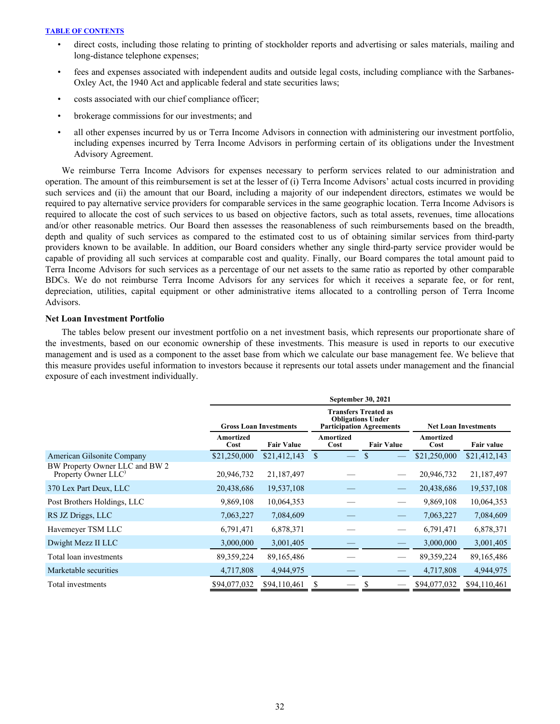- direct costs, including those relating to printing of stockholder reports and advertising or sales materials, mailing and long-distance telephone expenses;
- fees and expenses associated with independent audits and outside legal costs, including compliance with the Sarbanes-Oxley Act, the 1940 Act and applicable federal and state securities laws;
- costs associated with our chief compliance officer;
- brokerage commissions for our investments; and
- all other expenses incurred by us or Terra Income Advisors in connection with administering our investment portfolio, including expenses incurred by Terra Income Advisors in performing certain of its obligations under the Investment Advisory Agreement.

We reimburse Terra Income Advisors for expenses necessary to perform services related to our administration and operation. The amount of this reimbursement is set at the lesser of (i) Terra Income Advisors' actual costs incurred in providing such services and (ii) the amount that our Board, including a majority of our independent directors, estimates we would be required to pay alternative service providers for comparable services in the same geographic location. Terra Income Advisors is required to allocate the cost of such services to us based on objective factors, such as total assets, revenues, time allocations and/or other reasonable metrics. Our Board then assesses the reasonableness of such reimbursements based on the breadth, depth and quality of such services as compared to the estimated cost to us of obtaining similar services from third-party providers known to be available. In addition, our Board considers whether any single third-party service provider would be capable of providing all such services at comparable cost and quality. Finally, our Board compares the total amount paid to Terra Income Advisors for such services as a percentage of our net assets to the same ratio as reported by other comparable BDCs. We do not reimburse Terra Income Advisors for any services for which it receives a separate fee, or for rent, depreciation, utilities, capital equipment or other administrative items allocated to a controlling person of Terra Income Advisors.

# **Net Loan Investment Portfolio**

 The tables below present our investment portfolio on a net investment basis, which represents our proportionate share of the investments, based on our economic ownership of these investments. This measure is used in reports to our executive management and is used as a component to the asset base from which we calculate our base management fee. We believe that this measure provides useful information to investors because it represents our total assets under management and the financial exposure of each investment individually.

|                                                                   |                   |                               |                   | <b>September 30, 2021</b>                                                                  |                             |              |  |
|-------------------------------------------------------------------|-------------------|-------------------------------|-------------------|--------------------------------------------------------------------------------------------|-----------------------------|--------------|--|
|                                                                   |                   | <b>Gross Loan Investments</b> |                   | <b>Transfers Treated as</b><br><b>Obligations Under</b><br><b>Participation Agreements</b> | <b>Net Loan Investments</b> |              |  |
|                                                                   | Amortized<br>Cost | <b>Fair Value</b>             | Amortized<br>Cost | <b>Fair Value</b>                                                                          | Amortized<br>Cost           | Fair value   |  |
| American Gilsonite Company                                        | \$21,250,000      | \$21,412,143                  | \$                |                                                                                            | \$21,250,000                | \$21,412,143 |  |
| BW Property Owner LLC and BW 2<br>Property Owner LLC <sup>'</sup> | 20,946,732        | 21,187,497                    |                   |                                                                                            | 20,946,732                  | 21,187,497   |  |
| 370 Lex Part Deux, LLC                                            | 20,438,686        | 19,537,108                    |                   |                                                                                            | 20,438,686                  | 19,537,108   |  |
| Post Brothers Holdings, LLC                                       | 9,869,108         | 10,064,353                    |                   |                                                                                            | 9,869,108                   | 10,064,353   |  |
| RS JZ Driggs, LLC                                                 | 7,063,227         | 7,084,609                     |                   |                                                                                            | 7,063,227                   | 7,084,609    |  |
| Havemeyer TSM LLC                                                 | 6,791,471         | 6,878,371                     |                   |                                                                                            | 6,791,471                   | 6,878,371    |  |
| Dwight Mezz II LLC                                                | 3,000,000         | 3,001,405                     |                   |                                                                                            | 3,000,000                   | 3,001,405    |  |
| Total loan investments                                            | 89,359,224        | 89, 165, 486                  |                   |                                                                                            | 89,359,224                  | 89,165,486   |  |
| Marketable securities                                             | 4,717,808         | 4,944,975                     |                   |                                                                                            | 4,717,808                   | 4,944,975    |  |
| Total investments                                                 | \$94,077,032      | \$94,110,461                  | S                 |                                                                                            | \$94,077,032                | \$94,110,461 |  |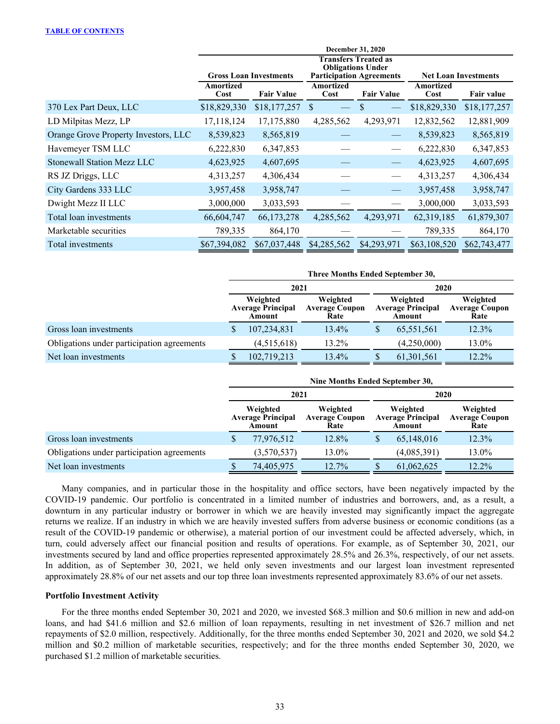|                                      |                   |                               |                                               | <b>December 31, 2020</b>                                                                   |                             |                   |  |
|--------------------------------------|-------------------|-------------------------------|-----------------------------------------------|--------------------------------------------------------------------------------------------|-----------------------------|-------------------|--|
|                                      |                   | <b>Gross Loan Investments</b> |                                               | <b>Transfers Treated as</b><br><b>Obligations Under</b><br><b>Participation Agreements</b> | <b>Net Loan Investments</b> |                   |  |
|                                      | Amortized<br>Cost | <b>Fair Value</b>             | <b>Amortized</b><br><b>Fair Value</b><br>Cost |                                                                                            | Amortized<br>Cost           | <b>Fair value</b> |  |
| 370 Lex Part Deux, LLC               | \$18,829,330      | \$18,177,257                  | <sup>\$</sup>                                 | \$                                                                                         | \$18,829,330                | \$18,177,257      |  |
| LD Milpitas Mezz, LP                 | 17,118,124        | 17,175,880                    | 4,285,562                                     | 4,293,971                                                                                  | 12,832,562                  | 12,881,909        |  |
| Orange Grove Property Investors, LLC | 8,539,823         | 8,565,819                     |                                               |                                                                                            | 8,539,823                   | 8,565,819         |  |
| Havemeyer TSM LLC                    | 6,222,830         | 6,347,853                     |                                               |                                                                                            | 6,222,830                   | 6,347,853         |  |
| <b>Stonewall Station Mezz LLC</b>    | 4,623,925         | 4,607,695                     |                                               |                                                                                            | 4,623,925                   | 4,607,695         |  |
| RS JZ Driggs, LLC                    | 4,313,257         | 4,306,434                     |                                               |                                                                                            | 4,313,257                   | 4,306,434         |  |
| City Gardens 333 LLC                 | 3,957,458         | 3,958,747                     |                                               |                                                                                            | 3,957,458                   | 3,958,747         |  |
| Dwight Mezz II LLC                   | 3,000,000         | 3,033,593                     |                                               |                                                                                            | 3,000,000                   | 3,033,593         |  |
| Total loan investments               | 66,604,747        | 66,173,278                    | 4,285,562                                     | 4,293,971                                                                                  | 62,319,185                  | 61,879,307        |  |
| Marketable securities                | 789,335           | 864,170                       |                                               |                                                                                            | 789,335                     | 864,170           |  |
| Total investments                    | \$67,394,082      | \$67,037,448                  | \$4,285,562                                   | \$4,293,971                                                                                | \$63,108,520                | \$62,743,477      |  |

|                                            | Three Months Ended September 30,               |             |                                           |                                                |              |                                           |  |  |  |
|--------------------------------------------|------------------------------------------------|-------------|-------------------------------------------|------------------------------------------------|--------------|-------------------------------------------|--|--|--|
|                                            |                                                | 2021        |                                           | 2020                                           |              |                                           |  |  |  |
|                                            | Weighted<br><b>Average Principal</b><br>Amount |             | Weighted<br><b>Average Coupon</b><br>Rate | Weighted<br><b>Average Principal</b><br>Amount |              | Weighted<br><b>Average Coupon</b><br>Rate |  |  |  |
| Gross loan investments                     |                                                | 107,234,831 | 13.4%                                     |                                                | 65,551,561   | $12.3\%$                                  |  |  |  |
| Obligations under participation agreements |                                                | (4,515,618) | 13.2%                                     |                                                | (4,250,000)  | 13.0%                                     |  |  |  |
| Net loan investments                       |                                                | 102,719,213 | 13.4%                                     |                                                | 61, 301, 561 | 12.2%                                     |  |  |  |

|                                            | Nine Months Ended September 30,                |             |                                           |                                                |             |                                           |  |  |  |
|--------------------------------------------|------------------------------------------------|-------------|-------------------------------------------|------------------------------------------------|-------------|-------------------------------------------|--|--|--|
|                                            |                                                | 2021        |                                           | 2020                                           |             |                                           |  |  |  |
|                                            | Weighted<br><b>Average Principal</b><br>Amount |             | Weighted<br><b>Average Coupon</b><br>Rate | Weighted<br><b>Average Principal</b><br>Amount |             | Weighted<br><b>Average Coupon</b><br>Rate |  |  |  |
| Gross loan investments                     | S.                                             | 77,976,512  | 12.8%                                     |                                                | 65,148,016  | 12.3%                                     |  |  |  |
| Obligations under participation agreements |                                                | (3.570.537) | 13.0%                                     |                                                | (4,085,391) | 13.0%                                     |  |  |  |
| Net loan investments                       |                                                | 74,405,975  | 12.7%                                     |                                                | 61,062,625  | $12.2\%$                                  |  |  |  |

Many companies, and in particular those in the hospitality and office sectors, have been negatively impacted by the COVID-19 pandemic. Our portfolio is concentrated in a limited number of industries and borrowers, and, as a result, a downturn in any particular industry or borrower in which we are heavily invested may significantly impact the aggregate returns we realize. If an industry in which we are heavily invested suffers from adverse business or economic conditions (as a result of the COVID-19 pandemic or otherwise), a material portion of our investment could be affected adversely, which, in turn, could adversely affect our financial position and results of operations. For example, as of September 30, 2021, our investments secured by land and office properties represented approximately 28.5% and 26.3%, respectively, of our net assets. In addition, as of September 30, 2021, we held only seven investments and our largest loan investment represented approximately 28.8% of our net assets and our top three loan investments represented approximately 83.6% of our net assets.

# **Portfolio Investment Activity**

For the three months ended September 30, 2021 and 2020, we invested \$68.3 million and \$0.6 million in new and add-on loans, and had \$41.6 million and \$2.6 million of loan repayments, resulting in net investment of \$26.7 million and net repayments of \$2.0 million, respectively. Additionally, for the three months ended September 30, 2021 and 2020, we sold \$4.2 million and \$0.2 million of marketable securities, respectively; and for the three months ended September 30, 2020, we purchased \$1.2 million of marketable securities.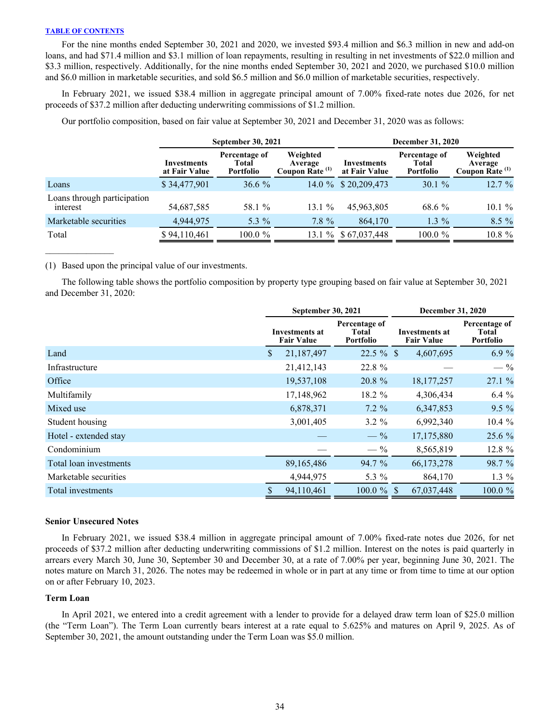For the nine months ended September 30, 2021 and 2020, we invested \$93.4 million and \$6.3 million in new and add-on loans, and had \$71.4 million and \$3.1 million of loan repayments, resulting in resulting in net investments of \$22.0 million and \$3.3 million, respectively. Additionally, for the nine months ended September 30, 2021 and 2020, we purchased \$10.0 million and \$6.0 million in marketable securities, and sold \$6.5 million and \$6.0 million of marketable securities, respectively.

In February 2021, we issued \$38.4 million in aggregate principal amount of 7.00% fixed-rate notes due 2026, for net proceeds of \$37.2 million after deducting underwriting commissions of \$1.2 million.

|                                         |                              | <b>September 30, 2021</b>                  |                                                   | <b>December 31, 2020</b>     |                                     |                                                   |  |  |
|-----------------------------------------|------------------------------|--------------------------------------------|---------------------------------------------------|------------------------------|-------------------------------------|---------------------------------------------------|--|--|
|                                         | Investments<br>at Fair Value | Percentage of<br>Total<br><b>Portfolio</b> | Weighted<br>Average<br>Coupon Rate <sup>(1)</sup> | Investments<br>at Fair Value | Percentage of<br>Total<br>Portfolio | Weighted<br>Average<br>Coupon Rate <sup>(1)</sup> |  |  |
| Loans                                   | \$34,477,901                 | $36.6\%$                                   |                                                   | 14.0 % \$20,209,473          | $30.1 \%$                           | 12.7%                                             |  |  |
| Loans through participation<br>interest | 54,687,585                   | 58.1 %                                     | 13.1%                                             | 45,963,805                   | 68.6 %                              | $10.1 \%$                                         |  |  |
| Marketable securities                   | 4,944,975                    | 5.3 $\%$                                   | $7.8 \%$                                          | 864,170                      | $1.3\%$                             | $8.5\%$                                           |  |  |
| Total                                   | \$94,110,461                 | $100.0 \%$                                 |                                                   | 13.1 % \$67,037,448          | $100.0 \%$                          | 10.8 %                                            |  |  |

Our portfolio composition, based on fair value at September 30, 2021 and December 31, 2020 was as follows:

(1) Based upon the principal value of our investments.

The following table shows the portfolio composition by property type grouping based on fair value at September 30, 2021 and December 31, 2020:

|                        | <b>September 30, 2021</b>           |                                            | <b>December 31, 2020</b>                   |                                     |  |  |
|------------------------|-------------------------------------|--------------------------------------------|--------------------------------------------|-------------------------------------|--|--|
|                        | Investments at<br><b>Fair Value</b> | Percentage of<br>Total<br><b>Portfolio</b> | <b>Investments at</b><br><b>Fair Value</b> | Percentage of<br>Total<br>Portfolio |  |  |
| Land                   | 21,187,497<br>S.                    | $22.5 \%$ \$                               | 4,607,695                                  | 6.9%                                |  |  |
| Infrastructure         | 21,412,143                          | 22.8 %                                     |                                            | $-$ %                               |  |  |
| Office                 | 19,537,108                          | 20.8 %                                     | 18, 177, 257                               | 27.1 %                              |  |  |
| Multifamily            | 17,148,962                          | 18.2 %                                     | 4,306,434                                  | 6.4%                                |  |  |
| Mixed use              | 6,878,371                           | $7.2\%$                                    | 6,347,853                                  | $9.5\%$                             |  |  |
| Student housing        | 3,001,405                           | $3.2 \%$                                   | 6,992,340                                  | 10.4 %                              |  |  |
| Hotel - extended stay  |                                     | $- \frac{9}{6}$                            | 17,175,880                                 | 25.6 %                              |  |  |
| Condominium            |                                     | $-$ %                                      | 8,565,819                                  | 12.8 %                              |  |  |
| Total loan investments | 89,165,486                          | 94.7 %                                     | 66,173,278                                 | 98.7 %                              |  |  |
| Marketable securities  | 4,944,975                           | 5.3 %                                      | 864,170                                    | $1.3\%$                             |  |  |
| Total investments      | 94,110,461                          | $100.0 \%$ \$                              | 67,037,448                                 | 100.0 %                             |  |  |

### **Senior Unsecured Notes**

In February 2021, we issued \$38.4 million in aggregate principal amount of 7.00% fixed-rate notes due 2026, for net proceeds of \$37.2 million after deducting underwriting commissions of \$1.2 million. Interest on the notes is paid quarterly in arrears every March 30, June 30, September 30 and December 30, at a rate of 7.00% per year, beginning June 30, 2021. The notes mature on March 31, 2026. The notes may be redeemed in whole or in part at any time or from time to time at our option on or after February 10, 2023.

### **Term Loan**

In April 2021, we entered into a credit agreement with a lender to provide for a delayed draw term loan of \$25.0 million (the "Term Loan"). The Term Loan currently bears interest at a rate equal to 5.625% and matures on April 9, 2025. As of September 30, 2021, the amount outstanding under the Term Loan was \$5.0 million.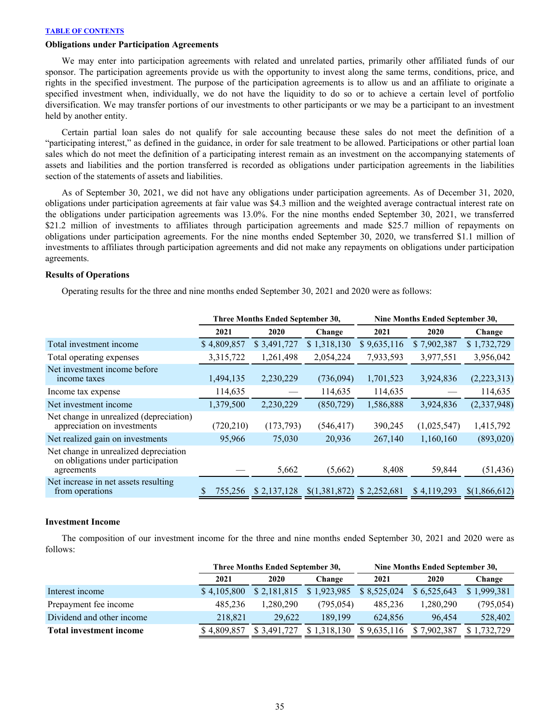# **Obligations under Participation Agreements**

 We may enter into participation agreements with related and unrelated parties, primarily other affiliated funds of our sponsor. The participation agreements provide us with the opportunity to invest along the same terms, conditions, price, and rights in the specified investment. The purpose of the participation agreements is to allow us and an affiliate to originate a specified investment when, individually, we do not have the liquidity to do so or to achieve a certain level of portfolio diversification. We may transfer portions of our investments to other participants or we may be a participant to an investment held by another entity.

 Certain partial loan sales do not qualify for sale accounting because these sales do not meet the definition of a "participating interest," as defined in the guidance, in order for sale treatment to be allowed. Participations or other partial loan sales which do not meet the definition of a participating interest remain as an investment on the accompanying statements of assets and liabilities and the portion transferred is recorded as obligations under participation agreements in the liabilities section of the statements of assets and liabilities.

 As of September 30, 2021, we did not have any obligations under participation agreements. As of December 31, 2020, obligations under participation agreements at fair value was \$4.3 million and the weighted average contractual interest rate on the obligations under participation agreements was 13.0%. For the nine months ended September 30, 2021, we transferred \$21.2 million of investments to affiliates through participation agreements and made \$25.7 million of repayments on obligations under participation agreements. For the nine months ended September 30, 2020, we transferred \$1.1 million of investments to affiliates through participation agreements and did not make any repayments on obligations under participation agreements.

#### **Results of Operations**

Operating results for the three and nine months ended September 30, 2021 and 2020 were as follows:

|                                                                                           |             | Three Months Ended September 30, |               | Nine Months Ended September 30, |             |               |  |  |
|-------------------------------------------------------------------------------------------|-------------|----------------------------------|---------------|---------------------------------|-------------|---------------|--|--|
|                                                                                           | 2021        | 2020                             | Change        | 2021                            | 2020        | Change        |  |  |
| Total investment income                                                                   | \$4,809,857 | \$3,491,727                      | \$1,318,130   | \$9,635,116                     | \$7,902,387 | \$1,732,729   |  |  |
| Total operating expenses                                                                  | 3,315,722   | 1,261,498                        | 2,054,224     | 7,933,593                       | 3,977,551   | 3,956,042     |  |  |
| Net investment income before<br>income taxes                                              | 1,494,135   | 2,230,229                        | (736,094)     | 1,701,523                       | 3,924,836   | (2,223,313)   |  |  |
| Income tax expense                                                                        | 114,635     |                                  | 114,635       | 114,635                         |             | 114,635       |  |  |
| Net investment income                                                                     | 1,379,500   | 2,230,229                        | (850, 729)    | 1,586,888                       | 3,924,836   | (2,337,948)   |  |  |
| Net change in unrealized (depreciation)<br>appreciation on investments                    | (720, 210)  | (173,793)                        | (546, 417)    | 390,245                         | (1,025,547) | 1,415,792     |  |  |
| Net realized gain on investments                                                          | 95,966      | 75,030                           | 20,936        | 267,140                         | 1,160,160   | (893,020)     |  |  |
| Net change in unrealized depreciation<br>on obligations under participation<br>agreements |             | 5,662                            | (5,662)       | 8,408                           | 59,844      | (51, 436)     |  |  |
| Net increase in net assets resulting<br>from operations                                   | 755,256     | \$2,137,128                      | \$(1,381,872) | \$2,252,681                     | \$4,119,293 | \$(1,866,612) |  |  |

### **Investment Income**

The composition of our investment income for the three and nine months ended September 30, 2021 and 2020 were as follows:

|                                |             | Three Months Ended September 30, |             | Nine Months Ended September 30, |             |             |  |  |
|--------------------------------|-------------|----------------------------------|-------------|---------------------------------|-------------|-------------|--|--|
|                                | 2021        | 2020                             | Change      | 2021                            | 2020        | Change      |  |  |
| Interest income                | \$4,105,800 | \$2,181,815                      | \$1,923,985 | \$8,525,024                     | \$6,525,643 | \$1,999,381 |  |  |
| Prepayment fee income          | 485.236     | 1.280.290                        | (795,054)   | 485.236                         | 1,280,290   | (795, 054)  |  |  |
| Dividend and other income      | 218.821     | 29.622                           | 189.199     | 624.856                         | 96.454      | 528,402     |  |  |
| <b>Total investment income</b> | \$4,809,857 | \$ 3.491.727                     | \$1,318,130 | \$9.635.116                     | .902.387    | 1.732.729   |  |  |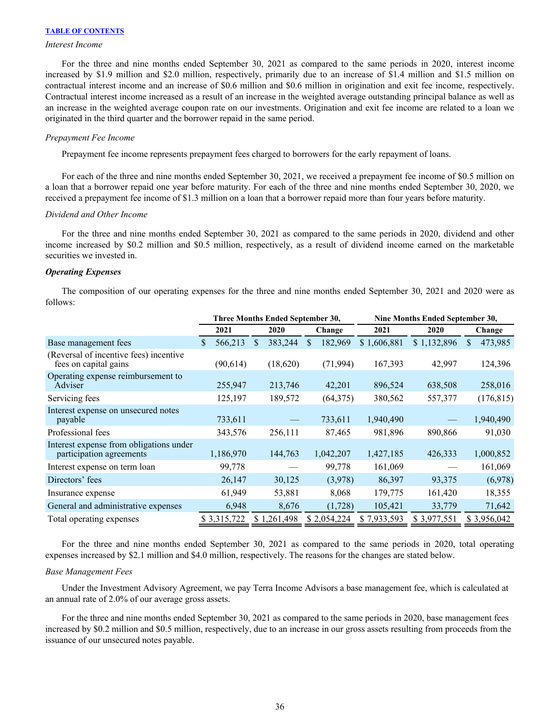#### *Interest Income*

For the three and nine months ended September 30, 2021 as compared to the same periods in 2020, interest income increased by \$1.9 million and \$2.0 million, respectively, primarily due to an increase of \$1.4 million and \$1.5 million on contractual interest income and an increase of \$0.6 million and \$0.6 million in origination and exit fee income, respectively. Contractual interest income increased as a result of an increase in the weighted average outstanding principal balance as well as an increase in the weighted average coupon rate on our investments. Origination and exit fee income are related to a loan we originated in the third quarter and the borrower repaid in the same period.

#### *Prepayment Fee Income*

Prepayment fee income represents prepayment fees charged to borrowers for the early repayment of loans.

For each of the three and nine months ended September 30, 2021, we received a prepayment fee income of \$0.5 million on a loan that a borrower repaid one year before maturity. For each of the three and nine months ended September 30, 2020, we received a prepayment fee income of \$1.3 million on a loan that a borrower repaid more than four years before maturity.

#### *Dividend and Other Income*

For the three and nine months ended September 30, 2021 as compared to the same periods in 2020, dividend and other income increased by \$0.2 million and \$0.5 million, respectively, as a result of dividend income earned on the marketable securities we invested in.

# *Operating Expenses*

The composition of our operating expenses for the three and nine months ended September 30, 2021 and 2020 were as follows:

|                                                                     | Three Months Ended September 30, |  |               |   |             | <b>Nine Months Ended September 30,</b> |             |               |  |  |
|---------------------------------------------------------------------|----------------------------------|--|---------------|---|-------------|----------------------------------------|-------------|---------------|--|--|
|                                                                     | 2021                             |  | 2020          |   | Change      | 2021                                   | 2020        | Change        |  |  |
| Base management fees                                                | 566,213<br>S                     |  | 383,244<br>\$ | S | 182,969     | \$1,606,881                            | \$1,132,896 | 473,985<br>\$ |  |  |
| (Reversal of incentive fees) incentive<br>fees on capital gains     | (90,614)                         |  | (18,620)      |   | (71, 994)   | 167,393                                | 42,997      | 124,396       |  |  |
| Operating expense reimbursement to<br>Adviser                       | 255,947                          |  | 213,746       |   | 42,201      | 896,524                                | 638,508     | 258,016       |  |  |
| Servicing fees                                                      | 125,197                          |  | 189,572       |   | (64,375)    | 380,562                                | 557,377     | (176, 815)    |  |  |
| Interest expense on unsecured notes<br>payable                      | 733,611                          |  |               |   | 733,611     | 1,940,490                              |             | 1,940,490     |  |  |
| Professional fees                                                   | 343,576                          |  | 256,111       |   | 87,465      | 981,896                                | 890,866     | 91,030        |  |  |
| Interest expense from obligations under<br>participation agreements | 1,186,970                        |  | 144,763       |   | 1,042,207   | 1,427,185                              | 426,333     | 1,000,852     |  |  |
| Interest expense on term loan                                       | 99,778                           |  |               |   | 99,778      | 161,069                                |             | 161,069       |  |  |
| Directors' fees                                                     | 26,147                           |  | 30,125        |   | (3,978)     | 86,397                                 | 93,375      | (6,978)       |  |  |
| Insurance expense                                                   | 61,949                           |  | 53,881        |   | 8,068       | 179,775                                | 161,420     | 18,355        |  |  |
| General and administrative expenses                                 | 6,948                            |  | 8,676         |   | (1, 728)    | 105,421                                | 33,779      | 71,642        |  |  |
| Total operating expenses                                            | \$3,315,722                      |  | \$1,261,498   |   | \$2,054,224 | \$7,933,593                            | \$3,977,551 | \$3,956,042   |  |  |

 For the three and nine months ended September 30, 2021 as compared to the same periods in 2020, total operating expenses increased by \$2.1 million and \$4.0 million, respectively. The reasons for the changes are stated below.

#### *Base Management Fees*

 Under the Investment Advisory Agreement, we pay Terra Income Advisors a base management fee, which is calculated at an annual rate of 2.0% of our average gross assets.

 For the three and nine months ended September 30, 2021 as compared to the same periods in 2020, base management fees increased by \$0.2 million and \$0.5 million, respectively, due to an increase in our gross assets resulting from proceeds from the issuance of our unsecured notes payable.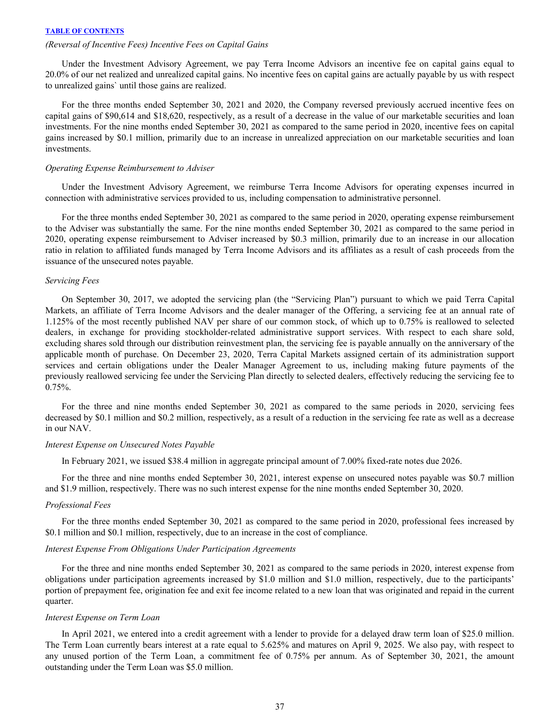# *(Reversal of Incentive Fees) Incentive Fees on Capital Gains*

Under the Investment Advisory Agreement, we pay Terra Income Advisors an incentive fee on capital gains equal to 20.0% of our net realized and unrealized capital gains. No incentive fees on capital gains are actually payable by us with respect to unrealized gains` until those gains are realized.

For the three months ended September 30, 2021 and 2020, the Company reversed previously accrued incentive fees on capital gains of \$90,614 and \$18,620, respectively, as a result of a decrease in the value of our marketable securities and loan investments. For the nine months ended September 30, 2021 as compared to the same period in 2020, incentive fees on capital gains increased by \$0.1 million, primarily due to an increase in unrealized appreciation on our marketable securities and loan investments.

#### *Operating Expense Reimbursement to Adviser*

 Under the Investment Advisory Agreement, we reimburse Terra Income Advisors for operating expenses incurred in connection with administrative services provided to us, including compensation to administrative personnel.

 For the three months ended September 30, 2021 as compared to the same period in 2020, operating expense reimbursement to the Adviser was substantially the same. For the nine months ended September 30, 2021 as compared to the same period in 2020, operating expense reimbursement to Adviser increased by \$0.3 million, primarily due to an increase in our allocation ratio in relation to affiliated funds managed by Terra Income Advisors and its affiliates as a result of cash proceeds from the issuance of the unsecured notes payable.

# *Servicing Fees*

 On September 30, 2017, we adopted the servicing plan (the "Servicing Plan") pursuant to which we paid Terra Capital Markets, an affiliate of Terra Income Advisors and the dealer manager of the Offering, a servicing fee at an annual rate of 1.125% of the most recently published NAV per share of our common stock, of which up to 0.75% is reallowed to selected dealers, in exchange for providing stockholder-related administrative support services. With respect to each share sold, excluding shares sold through our distribution reinvestment plan, the servicing fee is payable annually on the anniversary of the applicable month of purchase. On December 23, 2020, Terra Capital Markets assigned certain of its administration support services and certain obligations under the Dealer Manager Agreement to us, including making future payments of the previously reallowed servicing fee under the Servicing Plan directly to selected dealers, effectively reducing the servicing fee to 0.75%.

 For the three and nine months ended September 30, 2021 as compared to the same periods in 2020, servicing fees decreased by \$0.1 million and \$0.2 million, respectively, as a result of a reduction in the servicing fee rate as well as a decrease in our NAV.

#### *Interest Expense on Unsecured Notes Payable*

In February 2021, we issued \$38.4 million in aggregate principal amount of 7.00% fixed-rate notes due 2026.

For the three and nine months ended September 30, 2021, interest expense on unsecured notes payable was \$0.7 million and \$1.9 million, respectively. There was no such interest expense for the nine months ended September 30, 2020.

#### *Professional Fees*

For the three months ended September 30, 2021 as compared to the same period in 2020, professional fees increased by \$0.1 million and \$0.1 million, respectively, due to an increase in the cost of compliance.

# *Interest Expense From Obligations Under Participation Agreements*

For the three and nine months ended September 30, 2021 as compared to the same periods in 2020, interest expense from obligations under participation agreements increased by \$1.0 million and \$1.0 million, respectively, due to the participants' portion of prepayment fee, origination fee and exit fee income related to a new loan that was originated and repaid in the current quarter.

#### *Interest Expense on Term Loan*

In April 2021, we entered into a credit agreement with a lender to provide for a delayed draw term loan of \$25.0 million. The Term Loan currently bears interest at a rate equal to 5.625% and matures on April 9, 2025. We also pay, with respect to any unused portion of the Term Loan, a commitment fee of 0.75% per annum. As of September 30, 2021, the amount outstanding under the Term Loan was \$5.0 million.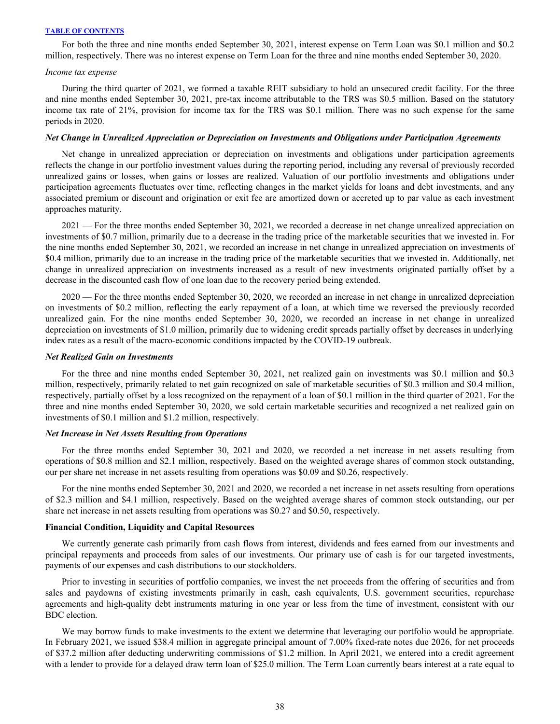For both the three and nine months ended September 30, 2021, interest expense on Term Loan was \$0.1 million and \$0.2 million, respectively. There was no interest expense on Term Loan for the three and nine months ended September 30, 2020.

#### *Income tax expense*

During the third quarter of 2021, we formed a taxable REIT subsidiary to hold an unsecured credit facility. For the three and nine months ended September 30, 2021, pre-tax income attributable to the TRS was \$0.5 million. Based on the statutory income tax rate of 21%, provision for income tax for the TRS was \$0.1 million. There was no such expense for the same periods in 2020.

#### *Net Change in Unrealized Appreciation or Depreciation on Investments and Obligations under Participation Agreements*

 Net change in unrealized appreciation or depreciation on investments and obligations under participation agreements reflects the change in our portfolio investment values during the reporting period, including any reversal of previously recorded unrealized gains or losses, when gains or losses are realized. Valuation of our portfolio investments and obligations under participation agreements fluctuates over time, reflecting changes in the market yields for loans and debt investments, and any associated premium or discount and origination or exit fee are amortized down or accreted up to par value as each investment approaches maturity.

2021 — For the three months ended September 30, 2021, we recorded a decrease in net change unrealized appreciation on investments of \$0.7 million, primarily due to a decrease in the trading price of the marketable securities that we invested in. For the nine months ended September 30, 2021, we recorded an increase in net change in unrealized appreciation on investments of \$0.4 million, primarily due to an increase in the trading price of the marketable securities that we invested in. Additionally, net change in unrealized appreciation on investments increased as a result of new investments originated partially offset by a decrease in the discounted cash flow of one loan due to the recovery period being extended.

2020 — For the three months ended September 30, 2020, we recorded an increase in net change in unrealized depreciation on investments of \$0.2 million, reflecting the early repayment of a loan, at which time we reversed the previously recorded unrealized gain. For the nine months ended September 30, 2020, we recorded an increase in net change in unrealized depreciation on investments of \$1.0 million, primarily due to widening credit spreads partially offset by decreases in underlying index rates as a result of the macro-economic conditions impacted by the COVID-19 outbreak.

#### *Net Realized Gain on Investments*

For the three and nine months ended September 30, 2021, net realized gain on investments was \$0.1 million and \$0.3 million, respectively, primarily related to net gain recognized on sale of marketable securities of \$0.3 million and \$0.4 million, respectively, partially offset by a loss recognized on the repayment of a loan of \$0.1 million in the third quarter of 2021. For the three and nine months ended September 30, 2020, we sold certain marketable securities and recognized a net realized gain on investments of \$0.1 million and \$1.2 million, respectively.

#### *Net Increase in Net Assets Resulting from Operations*

For the three months ended September 30, 2021 and 2020, we recorded a net increase in net assets resulting from operations of \$0.8 million and \$2.1 million, respectively. Based on the weighted average shares of common stock outstanding, our per share net increase in net assets resulting from operations was \$0.09 and \$0.26, respectively.

For the nine months ended September 30, 2021 and 2020, we recorded a net increase in net assets resulting from operations of \$2.3 million and \$4.1 million, respectively. Based on the weighted average shares of common stock outstanding, our per share net increase in net assets resulting from operations was \$0.27 and \$0.50, respectively.

# **Financial Condition, Liquidity and Capital Resources**

We currently generate cash primarily from cash flows from interest, dividends and fees earned from our investments and principal repayments and proceeds from sales of our investments. Our primary use of cash is for our targeted investments, payments of our expenses and cash distributions to our stockholders.

 Prior to investing in securities of portfolio companies, we invest the net proceeds from the offering of securities and from sales and paydowns of existing investments primarily in cash, cash equivalents, U.S. government securities, repurchase agreements and high-quality debt instruments maturing in one year or less from the time of investment, consistent with our BDC election.

 We may borrow funds to make investments to the extent we determine that leveraging our portfolio would be appropriate. In February 2021, we issued \$38.4 million in aggregate principal amount of 7.00% fixed-rate notes due 2026, for net proceeds of \$37.2 million after deducting underwriting commissions of \$1.2 million. In April 2021, we entered into a credit agreement with a lender to provide for a delayed draw term loan of \$25.0 million. The Term Loan currently bears interest at a rate equal to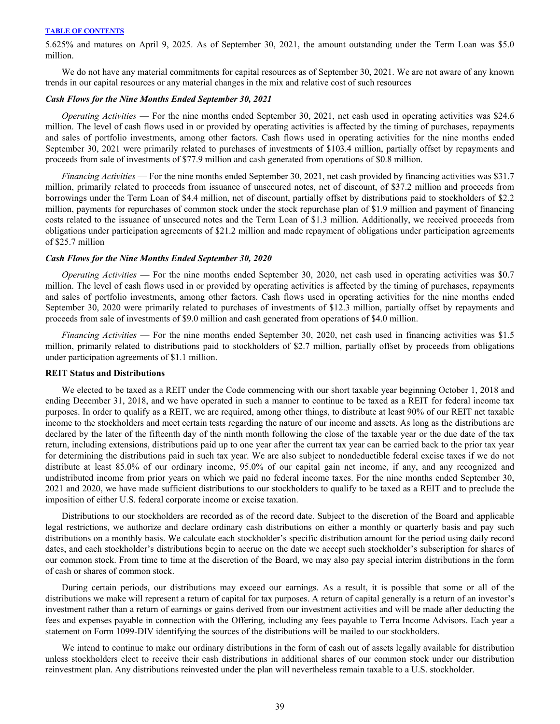5.625% and matures on April 9, 2025. As of September 30, 2021, the amount outstanding under the Term Loan was \$5.0 million.

 We do not have any material commitments for capital resources as of September 30, 2021. We are not aware of any known trends in our capital resources or any material changes in the mix and relative cost of such resources

#### *Cash Flows for the Nine Months Ended September 30, 2021*

 *Operating Activities* — For the nine months ended September 30, 2021, net cash used in operating activities was \$24.6 million. The level of cash flows used in or provided by operating activities is affected by the timing of purchases, repayments and sales of portfolio investments, among other factors. Cash flows used in operating activities for the nine months ended September 30, 2021 were primarily related to purchases of investments of \$103.4 million, partially offset by repayments and proceeds from sale of investments of \$77.9 million and cash generated from operations of \$0.8 million.

*Financing Activities* — For the nine months ended September 30, 2021, net cash provided by financing activities was \$31.7 million, primarily related to proceeds from issuance of unsecured notes, net of discount, of \$37.2 million and proceeds from borrowings under the Term Loan of \$4.4 million, net of discount, partially offset by distributions paid to stockholders of \$2.2 million, payments for repurchases of common stock under the stock repurchase plan of \$1.9 million and payment of financing costs related to the issuance of unsecured notes and the Term Loan of \$1.3 million. Additionally, we received proceeds from obligations under participation agreements of \$21.2 million and made repayment of obligations under participation agreements of \$25.7 million

#### *Cash Flows for the Nine Months Ended September 30, 2020*

 *Operating Activities* — For the nine months ended September 30, 2020, net cash used in operating activities was \$0.7 million. The level of cash flows used in or provided by operating activities is affected by the timing of purchases, repayments and sales of portfolio investments, among other factors. Cash flows used in operating activities for the nine months ended September 30, 2020 were primarily related to purchases of investments of \$12.3 million, partially offset by repayments and proceeds from sale of investments of \$9.0 million and cash generated from operations of \$4.0 million.

*Financing Activities* — For the nine months ended September 30, 2020, net cash used in financing activities was \$1.5 million, primarily related to distributions paid to stockholders of \$2.7 million, partially offset by proceeds from obligations under participation agreements of \$1.1 million.

#### **REIT Status and Distributions**

We elected to be taxed as a REIT under the Code commencing with our short taxable year beginning October 1, 2018 and ending December 31, 2018, and we have operated in such a manner to continue to be taxed as a REIT for federal income tax purposes. In order to qualify as a REIT, we are required, among other things, to distribute at least 90% of our REIT net taxable income to the stockholders and meet certain tests regarding the nature of our income and assets. As long as the distributions are declared by the later of the fifteenth day of the ninth month following the close of the taxable year or the due date of the tax return, including extensions, distributions paid up to one year after the current tax year can be carried back to the prior tax year for determining the distributions paid in such tax year. We are also subject to nondeductible federal excise taxes if we do not distribute at least 85.0% of our ordinary income, 95.0% of our capital gain net income, if any, and any recognized and undistributed income from prior years on which we paid no federal income taxes. For the nine months ended September 30, 2021 and 2020, we have made sufficient distributions to our stockholders to qualify to be taxed as a REIT and to preclude the imposition of either U.S. federal corporate income or excise taxation.

 Distributions to our stockholders are recorded as of the record date. Subject to the discretion of the Board and applicable legal restrictions, we authorize and declare ordinary cash distributions on either a monthly or quarterly basis and pay such distributions on a monthly basis. We calculate each stockholder's specific distribution amount for the period using daily record dates, and each stockholder's distributions begin to accrue on the date we accept such stockholder's subscription for shares of our common stock. From time to time at the discretion of the Board, we may also pay special interim distributions in the form of cash or shares of common stock.

 During certain periods, our distributions may exceed our earnings. As a result, it is possible that some or all of the distributions we make will represent a return of capital for tax purposes. A return of capital generally is a return of an investor's investment rather than a return of earnings or gains derived from our investment activities and will be made after deducting the fees and expenses payable in connection with the Offering, including any fees payable to Terra Income Advisors. Each year a statement on Form 1099-DIV identifying the sources of the distributions will be mailed to our stockholders.

 We intend to continue to make our ordinary distributions in the form of cash out of assets legally available for distribution unless stockholders elect to receive their cash distributions in additional shares of our common stock under our distribution reinvestment plan. Any distributions reinvested under the plan will nevertheless remain taxable to a U.S. stockholder.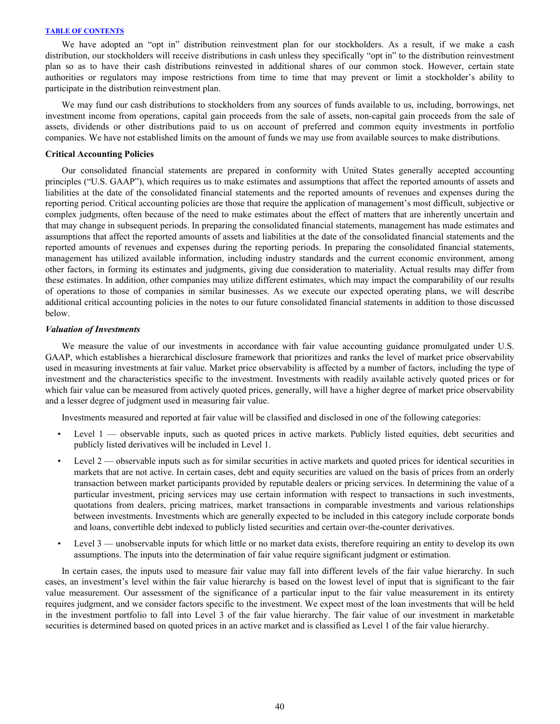We have adopted an "opt in" distribution reinvestment plan for our stockholders. As a result, if we make a cash distribution, our stockholders will receive distributions in cash unless they specifically "opt in" to the distribution reinvestment plan so as to have their cash distributions reinvested in additional shares of our common stock. However, certain state authorities or regulators may impose restrictions from time to time that may prevent or limit a stockholder's ability to participate in the distribution reinvestment plan.

 We may fund our cash distributions to stockholders from any sources of funds available to us, including, borrowings, net investment income from operations, capital gain proceeds from the sale of assets, non-capital gain proceeds from the sale of assets, dividends or other distributions paid to us on account of preferred and common equity investments in portfolio companies. We have not established limits on the amount of funds we may use from available sources to make distributions.

#### **Critical Accounting Policies**

Our consolidated financial statements are prepared in conformity with United States generally accepted accounting principles ("U.S. GAAP"), which requires us to make estimates and assumptions that affect the reported amounts of assets and liabilities at the date of the consolidated financial statements and the reported amounts of revenues and expenses during the reporting period. Critical accounting policies are those that require the application of management's most difficult, subjective or complex judgments, often because of the need to make estimates about the effect of matters that are inherently uncertain and that may change in subsequent periods. In preparing the consolidated financial statements, management has made estimates and assumptions that affect the reported amounts of assets and liabilities at the date of the consolidated financial statements and the reported amounts of revenues and expenses during the reporting periods. In preparing the consolidated financial statements, management has utilized available information, including industry standards and the current economic environment, among other factors, in forming its estimates and judgments, giving due consideration to materiality. Actual results may differ from these estimates. In addition, other companies may utilize different estimates, which may impact the comparability of our results of operations to those of companies in similar businesses. As we execute our expected operating plans, we will describe additional critical accounting policies in the notes to our future consolidated financial statements in addition to those discussed below.

#### *Valuation of Investments*

We measure the value of our investments in accordance with fair value accounting guidance promulgated under U.S. GAAP, which establishes a hierarchical disclosure framework that prioritizes and ranks the level of market price observability used in measuring investments at fair value. Market price observability is affected by a number of factors, including the type of investment and the characteristics specific to the investment. Investments with readily available actively quoted prices or for which fair value can be measured from actively quoted prices, generally, will have a higher degree of market price observability and a lesser degree of judgment used in measuring fair value.

Investments measured and reported at fair value will be classified and disclosed in one of the following categories:

- Level 1 observable inputs, such as quoted prices in active markets. Publicly listed equities, debt securities and publicly listed derivatives will be included in Level 1.
- Level  $2$  observable inputs such as for similar securities in active markets and quoted prices for identical securities in markets that are not active. In certain cases, debt and equity securities are valued on the basis of prices from an orderly transaction between market participants provided by reputable dealers or pricing services. In determining the value of a particular investment, pricing services may use certain information with respect to transactions in such investments, quotations from dealers, pricing matrices, market transactions in comparable investments and various relationships between investments. Investments which are generally expected to be included in this category include corporate bonds and loans, convertible debt indexed to publicly listed securities and certain over-the-counter derivatives.
- Level 3 unobservable inputs for which little or no market data exists, therefore requiring an entity to develop its own assumptions. The inputs into the determination of fair value require significant judgment or estimation.

In certain cases, the inputs used to measure fair value may fall into different levels of the fair value hierarchy. In such cases, an investment's level within the fair value hierarchy is based on the lowest level of input that is significant to the fair value measurement. Our assessment of the significance of a particular input to the fair value measurement in its entirety requires judgment, and we consider factors specific to the investment. We expect most of the loan investments that will be held in the investment portfolio to fall into Level 3 of the fair value hierarchy. The fair value of our investment in marketable securities is determined based on quoted prices in an active market and is classified as Level 1 of the fair value hierarchy.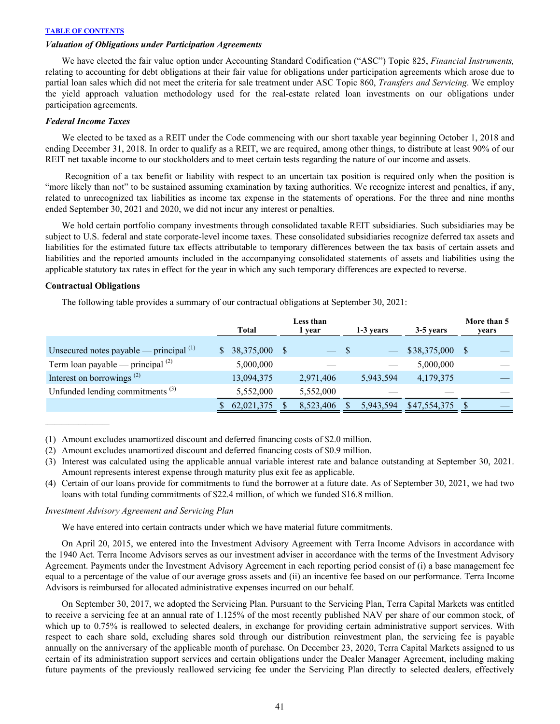# *Valuation of Obligations under Participation Agreements*

 We have elected the fair value option under Accounting Standard Codification ("ASC") Topic 825, *Financial Instruments,*  relating to accounting for debt obligations at their fair value for obligations under participation agreements which arose due to partial loan sales which did not meet the criteria for sale treatment under ASC Topic 860, *Transfers and Servicing*. We employ the yield approach valuation methodology used for the real-estate related loan investments on our obligations under participation agreements.

# *Federal Income Taxes*

We elected to be taxed as a REIT under the Code commencing with our short taxable year beginning October 1, 2018 and ending December 31, 2018. In order to qualify as a REIT, we are required, among other things, to distribute at least 90% of our REIT net taxable income to our stockholders and to meet certain tests regarding the nature of our income and assets.

 Recognition of a tax benefit or liability with respect to an uncertain tax position is required only when the position is "more likely than not" to be sustained assuming examination by taxing authorities. We recognize interest and penalties, if any, related to unrecognized tax liabilities as income tax expense in the statements of operations. For the three and nine months ended September 30, 2021 and 2020, we did not incur any interest or penalties.

We hold certain portfolio company investments through consolidated taxable REIT subsidiaries. Such subsidiaries may be subject to U.S. federal and state corporate-level income taxes. These consolidated subsidiaries recognize deferred tax assets and liabilities for the estimated future tax effects attributable to temporary differences between the tax basis of certain assets and liabilities and the reported amounts included in the accompanying consolidated statements of assets and liabilities using the applicable statutory tax rates in effect for the year in which any such temporary differences are expected to reverse.

### **Contractual Obligations**

The following table provides a summary of our contractual obligations at September 30, 2021:

|                                                    | Total |            | Less than<br>1 year |           |  | 1-3 years | 3-5 years    | More than 5<br>years |  |
|----------------------------------------------------|-------|------------|---------------------|-----------|--|-----------|--------------|----------------------|--|
| Unsecured notes payable — principal $(1)$          |       | 38,375,000 | -S                  | $-$ \$    |  |           | \$38,375,000 |                      |  |
| Term loan payable — principal $^{(2)}$             |       | 5,000,000  |                     |           |  |           | 5,000,000    |                      |  |
| Interest on borrowings <sup><math>(2)</math></sup> |       | 13,094,375 |                     | 2,971,406 |  | 5,943,594 | 4,179,375    |                      |  |
| Unfunded lending commitments <sup>(3)</sup>        |       | 5,552,000  |                     | 5,552,000 |  |           |              |                      |  |
|                                                    |       | 62,021,375 |                     | 8,523,406 |  | 5,943,594 | \$47,554,375 |                      |  |

(1) Amount excludes unamortized discount and deferred financing costs of \$2.0 million.

- (2) Amount excludes unamortized discount and deferred financing costs of \$0.9 million.
- (3) Interest was calculated using the applicable annual variable interest rate and balance outstanding at September 30, 2021. Amount represents interest expense through maturity plus exit fee as applicable.
- (4) Certain of our loans provide for commitments to fund the borrower at a future date. As of September 30, 2021, we had two loans with total funding commitments of \$22.4 million, of which we funded \$16.8 million.

#### *Investment Advisory Agreement and Servicing Plan*

We have entered into certain contracts under which we have material future commitments.

On April 20, 2015, we entered into the Investment Advisory Agreement with Terra Income Advisors in accordance with the 1940 Act. Terra Income Advisors serves as our investment adviser in accordance with the terms of the Investment Advisory Agreement. Payments under the Investment Advisory Agreement in each reporting period consist of (i) a base management fee equal to a percentage of the value of our average gross assets and (ii) an incentive fee based on our performance. Terra Income Advisors is reimbursed for allocated administrative expenses incurred on our behalf.

 On September 30, 2017, we adopted the Servicing Plan. Pursuant to the Servicing Plan, Terra Capital Markets was entitled to receive a servicing fee at an annual rate of 1.125% of the most recently published NAV per share of our common stock, of which up to 0.75% is reallowed to selected dealers, in exchange for providing certain administrative support services. With respect to each share sold, excluding shares sold through our distribution reinvestment plan, the servicing fee is payable annually on the anniversary of the applicable month of purchase. On December 23, 2020, Terra Capital Markets assigned to us certain of its administration support services and certain obligations under the Dealer Manager Agreement, including making future payments of the previously reallowed servicing fee under the Servicing Plan directly to selected dealers, effectively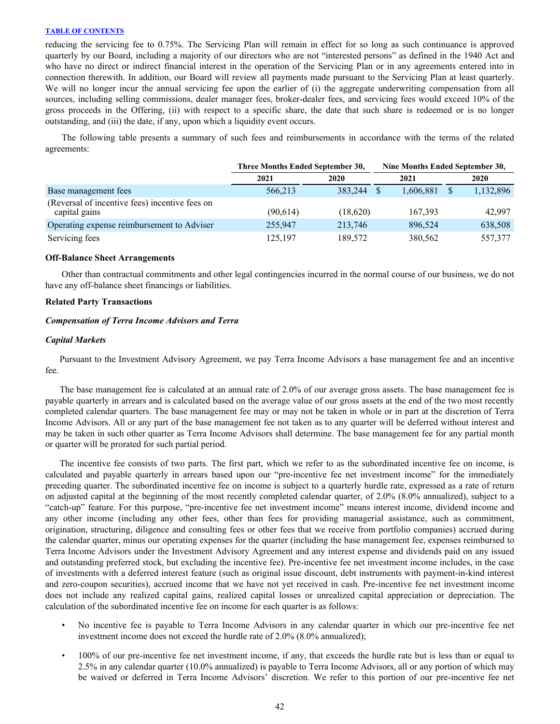reducing the servicing fee to 0.75%. The Servicing Plan will remain in effect for so long as such continuance is approved quarterly by our Board, including a majority of our directors who are not "interested persons" as defined in the 1940 Act and who have no direct or indirect financial interest in the operation of the Servicing Plan or in any agreements entered into in connection therewith. In addition, our Board will review all payments made pursuant to the Servicing Plan at least quarterly. We will no longer incur the annual servicing fee upon the earlier of (i) the aggregate underwriting compensation from all sources, including selling commissions, dealer manager fees, broker-dealer fees, and servicing fees would exceed 10% of the gross proceeds in the Offering, (ii) with respect to a specific share, the date that such share is redeemed or is no longer outstanding, and (iii) the date, if any, upon which a liquidity event occurs.

The following table presents a summary of such fees and reimbursements in accordance with the terms of the related agreements:

|                                                                 | Three Months Ended September 30, | Nine Months Ended September 30, |      |           |      |           |
|-----------------------------------------------------------------|----------------------------------|---------------------------------|------|-----------|------|-----------|
|                                                                 | 2021                             | 2020                            | 2021 |           | 2020 |           |
| Base management fees                                            | 566.213                          | 383,244                         |      | 1,606,881 |      | 1,132,896 |
| (Reversal of incentive fees) incentive fees on<br>capital gains | (90, 614)                        | (18,620)                        |      | 167,393   |      | 42,997    |
| Operating expense reimbursement to Adviser                      | 255,947                          | 213,746                         |      | 896.524   |      | 638,508   |
| Servicing fees                                                  | 125,197                          | 189,572                         |      | 380,562   |      | 557,377   |

#### **Off-Balance Sheet Arrangements**

Other than contractual commitments and other legal contingencies incurred in the normal course of our business, we do not have any off-balance sheet financings or liabilities.

# **Related Party Transactions**

# *Compensation of Terra Income Advisors and Terra*

# *Capital Markets*

Pursuant to the Investment Advisory Agreement, we pay Terra Income Advisors a base management fee and an incentive fee.

The base management fee is calculated at an annual rate of 2.0% of our average gross assets. The base management fee is payable quarterly in arrears and is calculated based on the average value of our gross assets at the end of the two most recently completed calendar quarters. The base management fee may or may not be taken in whole or in part at the discretion of Terra Income Advisors. All or any part of the base management fee not taken as to any quarter will be deferred without interest and may be taken in such other quarter as Terra Income Advisors shall determine. The base management fee for any partial month or quarter will be prorated for such partial period.

The incentive fee consists of two parts. The first part, which we refer to as the subordinated incentive fee on income, is calculated and payable quarterly in arrears based upon our "pre-incentive fee net investment income" for the immediately preceding quarter. The subordinated incentive fee on income is subject to a quarterly hurdle rate, expressed as a rate of return on adjusted capital at the beginning of the most recently completed calendar quarter, of 2.0% (8.0% annualized), subject to a "catch-up" feature. For this purpose, "pre-incentive fee net investment income" means interest income, dividend income and any other income (including any other fees, other than fees for providing managerial assistance, such as commitment, origination, structuring, diligence and consulting fees or other fees that we receive from portfolio companies) accrued during the calendar quarter, minus our operating expenses for the quarter (including the base management fee, expenses reimbursed to Terra Income Advisors under the Investment Advisory Agreement and any interest expense and dividends paid on any issued and outstanding preferred stock, but excluding the incentive fee). Pre-incentive fee net investment income includes, in the case of investments with a deferred interest feature (such as original issue discount, debt instruments with payment-in-kind interest and zero-coupon securities), accrued income that we have not yet received in cash. Pre-incentive fee net investment income does not include any realized capital gains, realized capital losses or unrealized capital appreciation or depreciation. The calculation of the subordinated incentive fee on income for each quarter is as follows:

- No incentive fee is payable to Terra Income Advisors in any calendar quarter in which our pre-incentive fee net investment income does not exceed the hurdle rate of 2.0% (8.0% annualized);
- 100% of our pre-incentive fee net investment income, if any, that exceeds the hurdle rate but is less than or equal to 2.5% in any calendar quarter (10.0% annualized) is payable to Terra Income Advisors, all or any portion of which may be waived or deferred in Terra Income Advisors' discretion. We refer to this portion of our pre-incentive fee net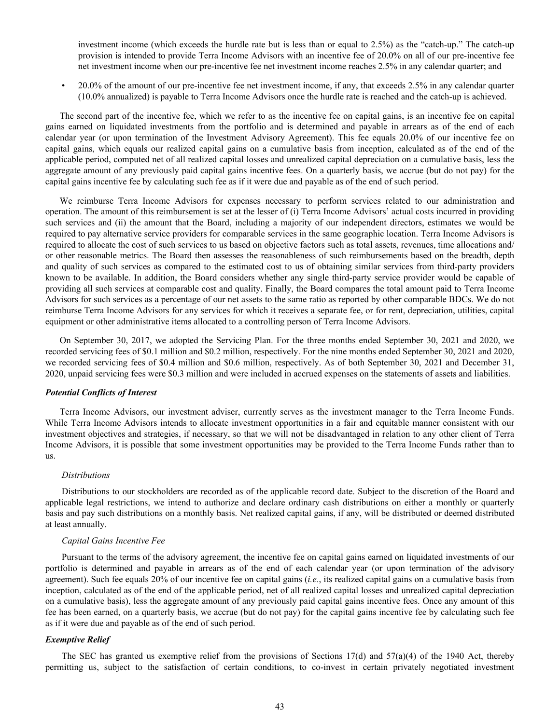investment income (which exceeds the hurdle rate but is less than or equal to 2.5%) as the "catch-up." The catch-up provision is intended to provide Terra Income Advisors with an incentive fee of 20.0% on all of our pre-incentive fee net investment income when our pre-incentive fee net investment income reaches 2.5% in any calendar quarter; and

• 20.0% of the amount of our pre-incentive fee net investment income, if any, that exceeds 2.5% in any calendar quarter (10.0% annualized) is payable to Terra Income Advisors once the hurdle rate is reached and the catch-up is achieved.

The second part of the incentive fee, which we refer to as the incentive fee on capital gains, is an incentive fee on capital gains earned on liquidated investments from the portfolio and is determined and payable in arrears as of the end of each calendar year (or upon termination of the Investment Advisory Agreement). This fee equals 20.0% of our incentive fee on capital gains, which equals our realized capital gains on a cumulative basis from inception, calculated as of the end of the applicable period, computed net of all realized capital losses and unrealized capital depreciation on a cumulative basis, less the aggregate amount of any previously paid capital gains incentive fees. On a quarterly basis, we accrue (but do not pay) for the capital gains incentive fee by calculating such fee as if it were due and payable as of the end of such period.

We reimburse Terra Income Advisors for expenses necessary to perform services related to our administration and operation. The amount of this reimbursement is set at the lesser of (i) Terra Income Advisors' actual costs incurred in providing such services and (ii) the amount that the Board, including a majority of our independent directors, estimates we would be required to pay alternative service providers for comparable services in the same geographic location. Terra Income Advisors is required to allocate the cost of such services to us based on objective factors such as total assets, revenues, time allocations and/ or other reasonable metrics. The Board then assesses the reasonableness of such reimbursements based on the breadth, depth and quality of such services as compared to the estimated cost to us of obtaining similar services from third-party providers known to be available. In addition, the Board considers whether any single third-party service provider would be capable of providing all such services at comparable cost and quality. Finally, the Board compares the total amount paid to Terra Income Advisors for such services as a percentage of our net assets to the same ratio as reported by other comparable BDCs. We do not reimburse Terra Income Advisors for any services for which it receives a separate fee, or for rent, depreciation, utilities, capital equipment or other administrative items allocated to a controlling person of Terra Income Advisors.

On September 30, 2017, we adopted the Servicing Plan. For the three months ended September 30, 2021 and 2020, we recorded servicing fees of \$0.1 million and \$0.2 million, respectively. For the nine months ended September 30, 2021 and 2020, we recorded servicing fees of \$0.4 million and \$0.6 million, respectively. As of both September 30, 2021 and December 31, 2020, unpaid servicing fees were \$0.3 million and were included in accrued expenses on the statements of assets and liabilities.

# *Potential Conflicts of Interest*

Terra Income Advisors, our investment adviser, currently serves as the investment manager to the Terra Income Funds. While Terra Income Advisors intends to allocate investment opportunities in a fair and equitable manner consistent with our investment objectives and strategies, if necessary, so that we will not be disadvantaged in relation to any other client of Terra Income Advisors, it is possible that some investment opportunities may be provided to the Terra Income Funds rather than to us.

#### *Distributions*

 Distributions to our stockholders are recorded as of the applicable record date. Subject to the discretion of the Board and applicable legal restrictions, we intend to authorize and declare ordinary cash distributions on either a monthly or quarterly basis and pay such distributions on a monthly basis. Net realized capital gains, if any, will be distributed or deemed distributed at least annually.

# *Capital Gains Incentive Fee*

 Pursuant to the terms of the advisory agreement, the incentive fee on capital gains earned on liquidated investments of our portfolio is determined and payable in arrears as of the end of each calendar year (or upon termination of the advisory agreement). Such fee equals 20% of our incentive fee on capital gains (*i.e.*, its realized capital gains on a cumulative basis from inception, calculated as of the end of the applicable period, net of all realized capital losses and unrealized capital depreciation on a cumulative basis), less the aggregate amount of any previously paid capital gains incentive fees. Once any amount of this fee has been earned, on a quarterly basis, we accrue (but do not pay) for the capital gains incentive fee by calculating such fee as if it were due and payable as of the end of such period.

# *Exemptive Relief*

The SEC has granted us exemptive relief from the provisions of Sections  $17(d)$  and  $57(a)(4)$  of the 1940 Act, thereby permitting us, subject to the satisfaction of certain conditions, to co-invest in certain privately negotiated investment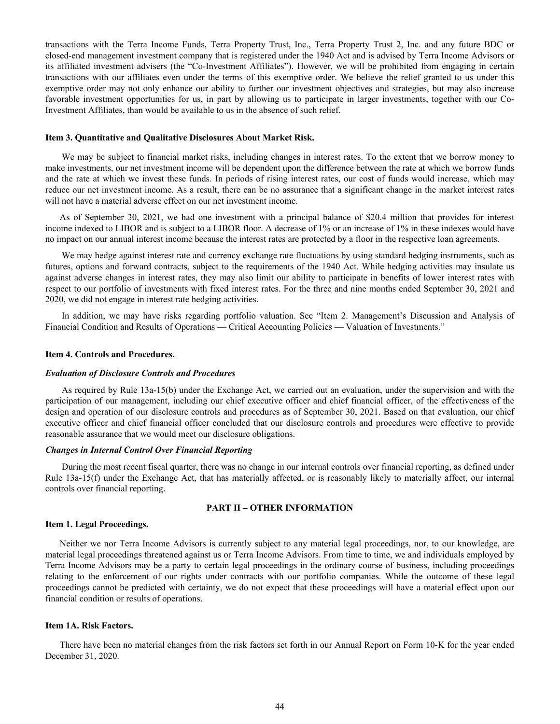<span id="page-44-0"></span>transactions with the Terra Income Funds, Terra Property Trust, Inc., Terra Property Trust 2, Inc. and any future BDC or closed-end management investment company that is registered under the 1940 Act and is advised by Terra Income Advisors or its affiliated investment advisers (the "Co-Investment Affiliates"). However, we will be prohibited from engaging in certain transactions with our affiliates even under the terms of this exemptive order. We believe the relief granted to us under this exemptive order may not only enhance our ability to further our investment objectives and strategies, but may also increase favorable investment opportunities for us, in part by allowing us to participate in larger investments, together with our Co-Investment Affiliates, than would be available to us in the absence of such relief.

#### **Item 3. Quantitative and Qualitative Disclosures About Market Risk.**

We may be subject to financial market risks, including changes in interest rates. To the extent that we borrow money to make investments, our net investment income will be dependent upon the difference between the rate at which we borrow funds and the rate at which we invest these funds. In periods of rising interest rates, our cost of funds would increase, which may reduce our net investment income. As a result, there can be no assurance that a significant change in the market interest rates will not have a material adverse effect on our net investment income.

As of September 30, 2021, we had one investment with a principal balance of \$20.4 million that provides for interest income indexed to LIBOR and is subject to a LIBOR floor. A decrease of 1% or an increase of 1% in these indexes would have no impact on our annual interest income because the interest rates are protected by a floor in the respective loan agreements.

We may hedge against interest rate and currency exchange rate fluctuations by using standard hedging instruments, such as futures, options and forward contracts, subject to the requirements of the 1940 Act. While hedging activities may insulate us against adverse changes in interest rates, they may also limit our ability to participate in benefits of lower interest rates with respect to our portfolio of investments with fixed interest rates. For the three and nine months ended September 30, 2021 and 2020, we did not engage in interest rate hedging activities.

In addition, we may have risks regarding portfolio valuation. See "Item 2. Management's Discussion and Analysis of Financial Condition and Results of Operations — Critical Accounting Policies — Valuation of Investments."

#### **Item 4. Controls and Procedures.**

#### *Evaluation of Disclosure Controls and Procedures*

 As required by Rule 13a-15(b) under the Exchange Act, we carried out an evaluation, under the supervision and with the participation of our management, including our chief executive officer and chief financial officer, of the effectiveness of the design and operation of our disclosure controls and procedures as of September 30, 2021. Based on that evaluation, our chief executive officer and chief financial officer concluded that our disclosure controls and procedures were effective to provide reasonable assurance that we would meet our disclosure obligations.

#### *Changes in Internal Control Over Financial Reporting*

 During the most recent fiscal quarter, there was no change in our internal controls over financial reporting, as defined under Rule 13a-15(f) under the Exchange Act, that has materially affected, or is reasonably likely to materially affect, our internal controls over financial reporting.

# **PART II – OTHER INFORMATION**

# **Item 1. Legal Proceedings.**

Neither we nor Terra Income Advisors is currently subject to any material legal proceedings, nor, to our knowledge, are material legal proceedings threatened against us or Terra Income Advisors. From time to time, we and individuals employed by Terra Income Advisors may be a party to certain legal proceedings in the ordinary course of business, including proceedings relating to the enforcement of our rights under contracts with our portfolio companies. While the outcome of these legal proceedings cannot be predicted with certainty, we do not expect that these proceedings will have a material effect upon our financial condition or results of operations.

# **Item 1A. Risk Factors.**

There have been no material changes from the risk factors set forth in our Annual Report on Form 10-K for the year ended December 31, 2020.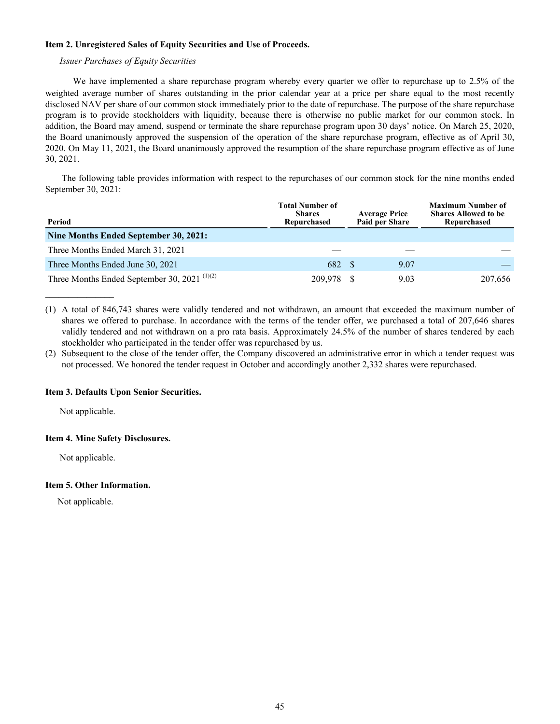# <span id="page-45-0"></span>**Item 2. Unregistered Sales of Equity Securities and Use of Proceeds.**

# *Issuer Purchases of Equity Securities*

We have implemented a share repurchase program whereby every quarter we offer to repurchase up to 2.5% of the weighted average number of shares outstanding in the prior calendar year at a price per share equal to the most recently disclosed NAV per share of our common stock immediately prior to the date of repurchase. The purpose of the share repurchase program is to provide stockholders with liquidity, because there is otherwise no public market for our common stock. In addition, the Board may amend, suspend or terminate the share repurchase program upon 30 days' notice. On March 25, 2020, the Board unanimously approved the suspension of the operation of the share repurchase program, effective as of April 30, 2020. On May 11, 2021, the Board unanimously approved the resumption of the share repurchase program effective as of June 30, 2021.

The following table provides information with respect to the repurchases of our common stock for the nine months ended September 30, 2021:

| Period                                                               | <b>Total Number of</b><br><b>Average Price</b><br><b>Shares</b><br>Paid per Share<br>Repurchased |  |      | <b>Maximum Number of</b><br><b>Shares Allowed to be</b><br>Repurchased |
|----------------------------------------------------------------------|--------------------------------------------------------------------------------------------------|--|------|------------------------------------------------------------------------|
| Nine Months Ended September 30, 2021:                                |                                                                                                  |  |      |                                                                        |
| Three Months Ended March 31, 2021                                    |                                                                                                  |  |      |                                                                        |
| Three Months Ended June 30, 2021                                     | 682 \$                                                                                           |  | 9.07 |                                                                        |
| Three Months Ended September 30, 2021 <sup><math>(1)(2)</math></sup> | 209.978                                                                                          |  | 9.03 | 207.656                                                                |

<sup>(1)</sup> A total of 846,743 shares were validly tendered and not withdrawn, an amount that exceeded the maximum number of shares we offered to purchase. In accordance with the terms of the tender offer, we purchased a total of 207,646 shares validly tendered and not withdrawn on a pro rata basis. Approximately 24.5% of the number of shares tendered by each stockholder who participated in the tender offer was repurchased by us.

(2) Subsequent to the close of the tender offer, the Company discovered an administrative error in which a tender request was not processed. We honored the tender request in October and accordingly another 2,332 shares were repurchased.

# **Item 3. Defaults Upon Senior Securities.**

Not applicable.

 $\mathcal{L}_\text{max}$  and  $\mathcal{L}_\text{max}$ 

# **Item 4. Mine Safety Disclosures.**

Not applicable.

# **Item 5. Other Information.**

Not applicable.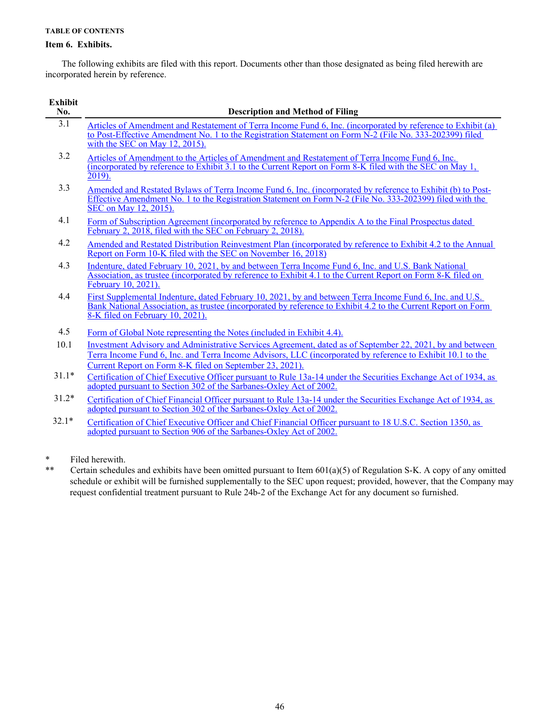# <span id="page-46-0"></span>**Item 6. Exhibits.**

 $\overline{\phantom{a}}$ 

 The following exhibits are filed with this report. Documents other than those designated as being filed herewith are incorporated herein by reference.

| Exhibit<br>No. | <b>Description and Method of Filing</b>                                                                                                                                                                                                                                             |
|----------------|-------------------------------------------------------------------------------------------------------------------------------------------------------------------------------------------------------------------------------------------------------------------------------------|
| 3.1            | Articles of Amendment and Restatement of Terra Income Fund 6, Inc. (incorporated by reference to Exhibit (a)<br>to Post-Effective Amendment No. 1 to the Registration Statement on Form N-2 (File No. 333-202399) filed<br>with the SEC on May $12$ , $2015$ ).                     |
| 3.2            | Articles of Amendment to the Articles of Amendment and Restatement of Terra Income Fund 6, Inc.<br>(incorporated by reference to Exhibit 3.1 to the Current Report on Form 8-K filed with the SEC on May 1,<br>$2019$ ).                                                            |
| 3.3            | Amended and Restated Bylaws of Terra Income Fund 6, Inc. (incorporated by reference to Exhibit (b) to Post-<br>Effective Amendment No. 1 to the Registration Statement on Form N-2 (File No. 333-202399) filed with the<br>SEC on May 12, 2015).                                    |
| 4.1            | Form of Subscription Agreement (incorporated by reference to Appendix A to the Final Prospectus dated<br>February 2, 2018, filed with the SEC on February 2, 2018).                                                                                                                 |
| 4.2            | Amended and Restated Distribution Reinvestment Plan (incorporated by reference to Exhibit 4.2 to the Annual<br>Report on Form 10-K filed with the SEC on November 16, 2018)                                                                                                         |
| 4.3            | Indenture, dated February 10, 2021, by and between Terra Income Fund 6, Inc. and U.S. Bank National<br>Association, as trustee (incorporated by reference to Exhibit 4.1 to the Current Report on Form 8-K filed on<br>February 10, 2021).                                          |
| 4.4            | First Supplemental Indenture, dated February 10, 2021, by and between Terra Income Fund 6, Inc. and U.S.<br>Bank National Association, as trustee (incorporated by reference to Exhibit 4.2 to the Current Report on Form<br>8-K filed on February 10, 2021).                       |
| 4.5            | Form of Global Note representing the Notes (included in Exhibit 4.4).                                                                                                                                                                                                               |
| 10.1           | Investment Advisory and Administrative Services Agreement, dated as of September 22, 2021, by and between<br>Terra Income Fund 6, Inc. and Terra Income Advisors, LLC (incorporated by reference to Exhibit 10.1 to the<br>Current Report on Form 8-K filed on September 23, 2021). |
| $31.1*$        | Certification of Chief Executive Officer pursuant to Rule 13a-14 under the Securities Exchange Act of 1934, as<br>adopted pursuant to Section 302 of the Sarbanes-Oxley Act of 2002.                                                                                                |
| $31.2*$        | Certification of Chief Financial Officer pursuant to Rule 13a-14 under the Securities Exchange Act of 1934, as<br>adopted pursuant to Section 302 of the Sarbanes-Oxley Act of 2002.                                                                                                |
| $32.1*$        | Certification of Chief Executive Officer and Chief Financial Officer pursuant to 18 U.S.C. Section 1350, as<br>adopted pursuant to Section 906 of the Sarbanes-Oxley Act of 2002.                                                                                                   |

\* Filed herewith.

\*\* Certain schedules and exhibits have been omitted pursuant to Item 601(a)(5) of Regulation S-K. A copy of any omitted schedule or exhibit will be furnished supplementally to the SEC upon request; provided, however, that the Company may request confidential treatment pursuant to Rule 24b-2 of the Exchange Act for any document so furnished.